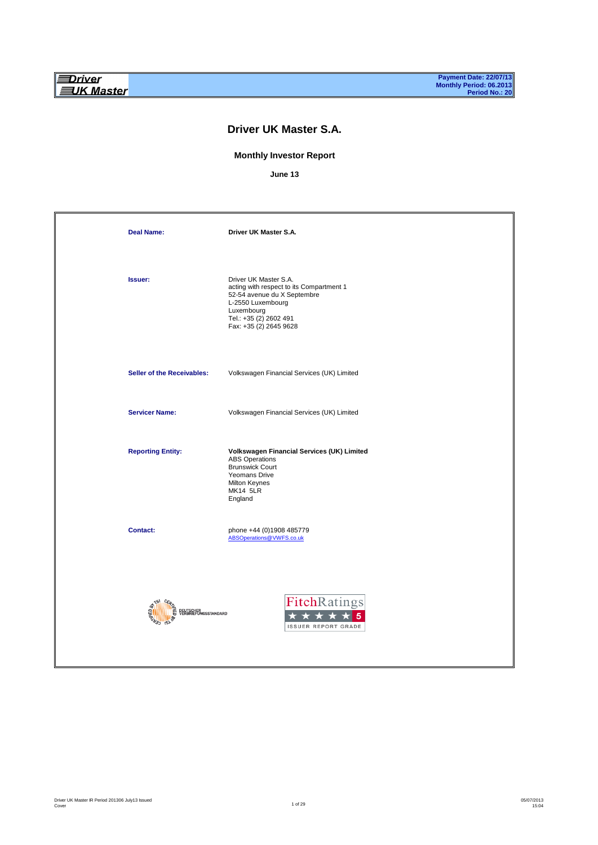## **Driver UK Master S.A.**

### **Monthly Investor Report**

**June 13**

| <b>Deal Name:</b>                 | Driver UK Master S.A.                                                                                                                                                                   |
|-----------------------------------|-----------------------------------------------------------------------------------------------------------------------------------------------------------------------------------------|
| <b>Issuer:</b>                    | Driver UK Master S.A.<br>acting with respect to its Compartment 1<br>52-54 avenue du X Septembre<br>L-2550 Luxembourg<br>Luxembourg<br>Tel.: +35 (2) 2602 491<br>Fax: +35 (2) 2645 9628 |
| Seller of the Receivables:        | Volkswagen Financial Services (UK) Limited                                                                                                                                              |
| <b>Servicer Name:</b>             | Volkswagen Financial Services (UK) Limited                                                                                                                                              |
| <b>Reporting Entity:</b>          | Volkswagen Financial Services (UK) Limited<br><b>ABS Operations</b><br><b>Brunswick Court</b><br>Yeomans Drive<br>Milton Keynes<br><b>MK14 5LR</b><br>England                           |
| <b>Contact:</b>                   | phone +44 (0)1908 485779<br>ABSOperations@VWFS.co.uk                                                                                                                                    |
| DEUTSCHER<br>VERBRIEFUNGSSTANDARD | FitchRatings<br><b>ISSUER REPORT GRADE</b>                                                                                                                                              |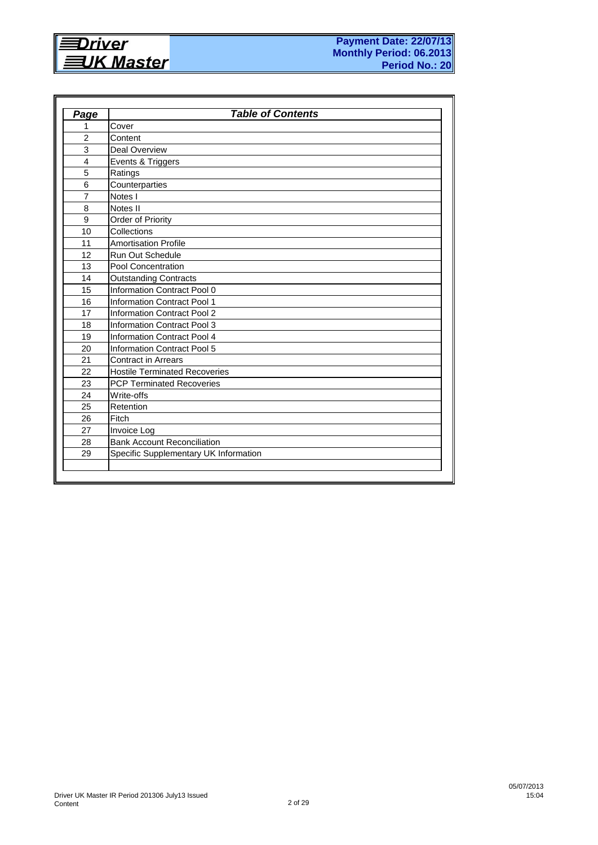

| Page                    | <b>Table of Contents</b>              |
|-------------------------|---------------------------------------|
| 1                       | Cover                                 |
| $\overline{2}$          | Content                               |
| 3                       | <b>Deal Overview</b>                  |
| $\overline{\mathbf{4}}$ | Events & Triggers                     |
| 5                       | Ratings                               |
| 6                       | Counterparties                        |
| $\overline{7}$          | Notes I                               |
| 8                       | Notes II                              |
| 9                       | Order of Priority                     |
| 10                      | Collections                           |
| 11                      | <b>Amortisation Profile</b>           |
| 12                      | <b>Run Out Schedule</b>               |
| 13                      | <b>Pool Concentration</b>             |
| 14                      | <b>Outstanding Contracts</b>          |
| 15                      | Information Contract Pool 0           |
| 16                      | Information Contract Pool 1           |
| 17                      | <b>Information Contract Pool 2</b>    |
| 18                      | <b>Information Contract Pool 3</b>    |
| 19                      | Information Contract Pool 4           |
| 20                      | <b>Information Contract Pool 5</b>    |
| 21                      | <b>Contract in Arrears</b>            |
| 22                      | <b>Hostile Terminated Recoveries</b>  |
| 23                      | <b>PCP Terminated Recoveries</b>      |
| 24                      | Write-offs                            |
| 25                      | Retention                             |
| 26                      | Fitch                                 |
| 27                      | Invoice Log                           |
| 28                      | <b>Bank Account Reconciliation</b>    |
| 29                      | Specific Supplementary UK Information |
|                         |                                       |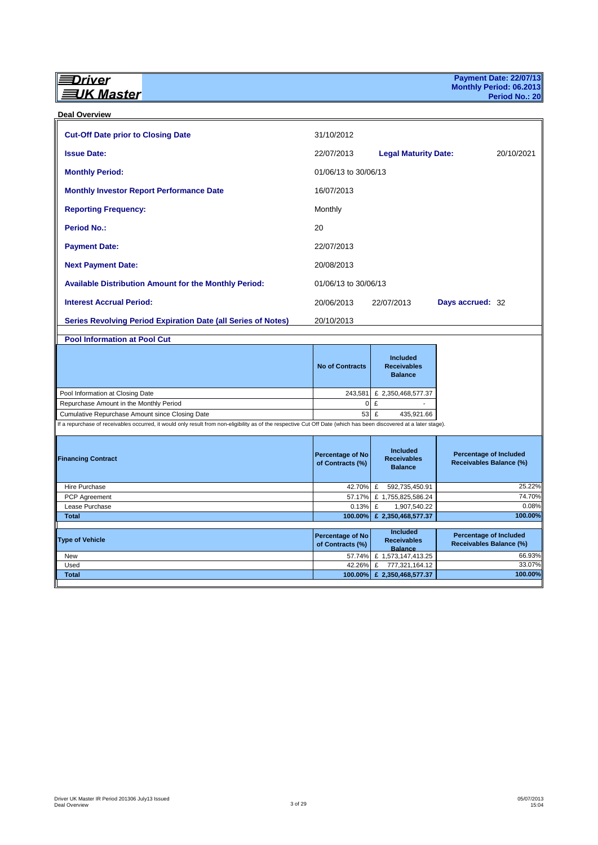#### **Deal Overview**

| <b>Cut-Off Date prior to Closing Date</b>                                                                                                                          | 31/10/2012                                  |                                                         |                                                          |                  |
|--------------------------------------------------------------------------------------------------------------------------------------------------------------------|---------------------------------------------|---------------------------------------------------------|----------------------------------------------------------|------------------|
| <b>Issue Date:</b>                                                                                                                                                 | 22/07/2013                                  | <b>Legal Maturity Date:</b>                             |                                                          | 20/10/2021       |
| <b>Monthly Period:</b>                                                                                                                                             | 01/06/13 to 30/06/13                        |                                                         |                                                          |                  |
| <b>Monthly Investor Report Performance Date</b>                                                                                                                    | 16/07/2013                                  |                                                         |                                                          |                  |
| <b>Reporting Frequency:</b>                                                                                                                                        | Monthly                                     |                                                         |                                                          |                  |
| <b>Period No.:</b>                                                                                                                                                 | 20                                          |                                                         |                                                          |                  |
| <b>Payment Date:</b>                                                                                                                                               | 22/07/2013                                  |                                                         |                                                          |                  |
| <b>Next Payment Date:</b>                                                                                                                                          | 20/08/2013                                  |                                                         |                                                          |                  |
| <b>Available Distribution Amount for the Monthly Period:</b>                                                                                                       | 01/06/13 to 30/06/13                        |                                                         |                                                          |                  |
| <b>Interest Accrual Period:</b>                                                                                                                                    | 20/06/2013                                  | 22/07/2013                                              | Days accrued: 32                                         |                  |
| <b>Series Revolving Period Expiration Date (all Series of Notes)</b>                                                                                               | 20/10/2013                                  |                                                         |                                                          |                  |
|                                                                                                                                                                    |                                             |                                                         |                                                          |                  |
| <b>Pool Information at Pool Cut</b>                                                                                                                                |                                             |                                                         |                                                          |                  |
|                                                                                                                                                                    | <b>No of Contracts</b>                      | Included<br><b>Receivables</b><br><b>Balance</b>        |                                                          |                  |
| Pool Information at Closing Date                                                                                                                                   | 243,581                                     | £ 2,350,468,577.37                                      |                                                          |                  |
| Repurchase Amount in the Monthly Period                                                                                                                            | $\mathbf 0$                                 | £                                                       |                                                          |                  |
| Cumulative Repurchase Amount since Closing Date                                                                                                                    |                                             | 53 £<br>435,921.66                                      |                                                          |                  |
| If a repurchase of receivables occurred, it would only result from non-eligibility as of the respective Cut Off Date (which has been discovered at a later stage). |                                             |                                                         |                                                          |                  |
| <b>Financing Contract</b>                                                                                                                                          | Percentage of No<br>of Contracts (%)        | <b>Included</b><br><b>Receivables</b><br><b>Balance</b> | <b>Percentage of Included</b><br>Receivables Balance (%) |                  |
| Hire Purchase                                                                                                                                                      | 42.70%                                      | £<br>592,735,450.91                                     |                                                          | 25.22%           |
| PCP Agreement                                                                                                                                                      | 57.17%                                      | £ 1,755,825,586.24                                      |                                                          | 74.70%           |
| Lease Purchase                                                                                                                                                     | 0.13%                                       | £<br>1,907,540.22                                       |                                                          | 0.08%            |
| <b>Total</b>                                                                                                                                                       | 100.00%                                     | £ 2,350,468,577.37                                      |                                                          | 100.00%          |
| <b>Type of Vehicle</b>                                                                                                                                             | <b>Percentage of No</b><br>of Contracts (%) | <b>Included</b><br><b>Receivables</b><br><b>Balance</b> | <b>Percentage of Included</b><br>Receivables Balance (%) |                  |
| New<br>Used                                                                                                                                                        | 57.74%<br>42.26%                            | £ 1,573,147,413.25<br>£<br>777,321,164.12               |                                                          | 66.93%<br>33.07% |
| <b>Total</b>                                                                                                                                                       | 100.00%                                     | £ 2,350,468,577.37                                      |                                                          | 100.00%          |
|                                                                                                                                                                    |                                             |                                                         |                                                          |                  |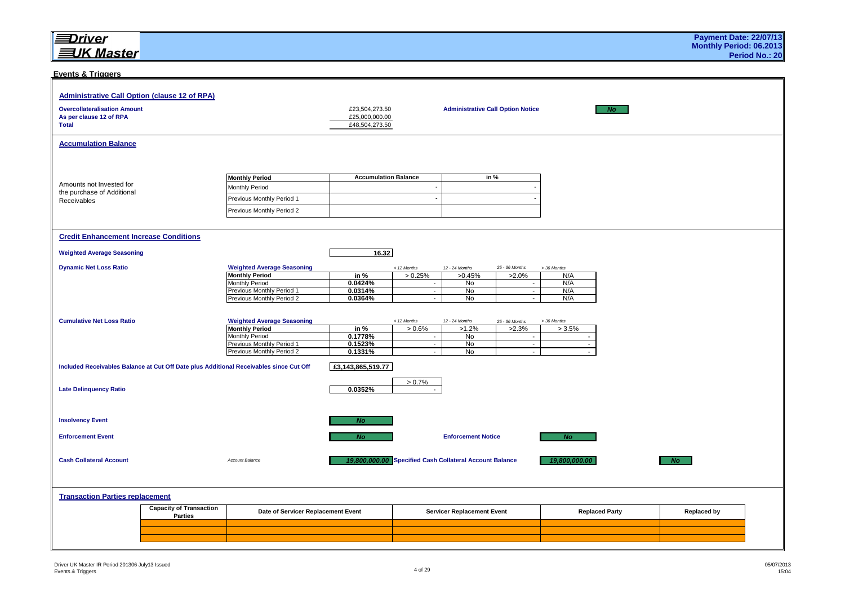#### **Events & Triggers**

| <b>Administrative Call Option (clause 12 of RPA)</b><br><b>Overcollateralisation Amount</b><br>As per clause 12 of RPA<br><b>Total</b> |                                                  |                                                                                        | £23,504,273.50<br>£25,000,000.00<br>£48,504,273.50 |                          | <b>Administrative Call Option Notice</b>                |                    |                      | No                    |                    |  |
|----------------------------------------------------------------------------------------------------------------------------------------|--------------------------------------------------|----------------------------------------------------------------------------------------|----------------------------------------------------|--------------------------|---------------------------------------------------------|--------------------|----------------------|-----------------------|--------------------|--|
| <b>Accumulation Balance</b>                                                                                                            |                                                  |                                                                                        |                                                    |                          |                                                         |                    |                      |                       |                    |  |
| Amounts not Invested for                                                                                                               |                                                  | <b>Monthly Period</b><br>Monthly Period                                                | <b>Accumulation Balance</b>                        | $\overline{\phantom{a}}$ | in %                                                    |                    |                      |                       |                    |  |
| the purchase of Additional<br>Receivables                                                                                              |                                                  | Previous Monthly Period 1<br>Previous Monthly Period 2                                 |                                                    |                          |                                                         |                    |                      |                       |                    |  |
|                                                                                                                                        |                                                  |                                                                                        |                                                    |                          |                                                         |                    |                      |                       |                    |  |
| <b>Credit Enhancement Increase Conditions</b>                                                                                          |                                                  |                                                                                        |                                                    |                          |                                                         |                    |                      |                       |                    |  |
| <b>Weighted Average Seasoning</b>                                                                                                      |                                                  |                                                                                        | 16.32                                              |                          |                                                         |                    |                      |                       |                    |  |
| <b>Dynamic Net Loss Ratio</b>                                                                                                          |                                                  | <b>Weighted Average Seasoning</b>                                                      |                                                    | < 12 Months              | 12 - 24 Months                                          | 25 - 36 Months     | > 36 Months          |                       |                    |  |
|                                                                                                                                        |                                                  | <b>Monthly Period</b><br>Monthly Period                                                | in $%$<br>0.0424%                                  | > 0.25%<br>$\sim$        | >0.45%<br>No                                            | $>2.0\%$<br>$\sim$ | N/A<br>N/A           |                       |                    |  |
|                                                                                                                                        |                                                  | Previous Monthly Period 1<br>Previous Monthly Period 2                                 | 0.0314%<br>0.0364%                                 | $\sim$<br>$\sim$         | <b>No</b><br>No                                         | $\sim$<br>$\sim$   | N/A<br>N/A           |                       |                    |  |
|                                                                                                                                        |                                                  |                                                                                        |                                                    |                          |                                                         |                    |                      |                       |                    |  |
| <b>Cumulative Net Loss Ratio</b>                                                                                                       |                                                  | <b>Weighted Average Seasoning</b>                                                      |                                                    | < 12 Months              | 12 - 24 Months                                          | 25 - 36 Months     | > 36 Months          |                       |                    |  |
|                                                                                                                                        |                                                  | <b>Monthly Period</b>                                                                  | in $%$                                             | > 0.6%                   | $>1.2\%$                                                | $>2.3\%$           | >3.5%                |                       |                    |  |
|                                                                                                                                        |                                                  | <b>Monthly Period</b><br>Previous Monthly Period 1                                     | 0.1778%<br>0.1523%                                 | $\sim$<br>$\sim$         | No<br>No                                                | $\sim$<br>$\sim$   | ÷,<br>$\blacksquare$ |                       |                    |  |
|                                                                                                                                        |                                                  | Previous Monthly Period 2                                                              | 0.1331%                                            | $\sim$                   | <b>No</b>                                               | $\sim$             |                      |                       |                    |  |
|                                                                                                                                        |                                                  | Included Receivables Balance at Cut Off Date plus Additional Receivables since Cut Off | £3,143,865,519.77                                  |                          |                                                         |                    |                      |                       |                    |  |
| <b>Late Delinquency Ratio</b>                                                                                                          |                                                  |                                                                                        | 0.0352%                                            | $> 0.7\%$                |                                                         |                    |                      |                       |                    |  |
|                                                                                                                                        |                                                  |                                                                                        |                                                    |                          |                                                         |                    |                      |                       |                    |  |
| <b>Insolvency Event</b>                                                                                                                |                                                  |                                                                                        | <b>No</b>                                          |                          |                                                         |                    |                      |                       |                    |  |
| <b>Enforcement Event</b>                                                                                                               |                                                  |                                                                                        | <b>No</b>                                          |                          | <b>Enforcement Notice</b>                               |                    | N <sub>O</sub>       |                       |                    |  |
| <b>Cash Collateral Account</b>                                                                                                         |                                                  | Account Balance                                                                        |                                                    |                          | 19,800,000.00 Specified Cash Collateral Account Balance |                    | 19,800,000.00        |                       | <b>No</b>          |  |
|                                                                                                                                        |                                                  |                                                                                        |                                                    |                          |                                                         |                    |                      |                       |                    |  |
| <b>Transaction Parties replacement</b>                                                                                                 |                                                  |                                                                                        |                                                    |                          |                                                         |                    |                      |                       |                    |  |
|                                                                                                                                        | <b>Capacity of Transaction</b><br><b>Parties</b> | Date of Servicer Replacement Event                                                     |                                                    |                          | <b>Servicer Replacement Event</b>                       |                    |                      | <b>Replaced Party</b> | <b>Replaced by</b> |  |
|                                                                                                                                        |                                                  |                                                                                        |                                                    |                          |                                                         |                    |                      |                       |                    |  |
|                                                                                                                                        |                                                  |                                                                                        |                                                    |                          |                                                         |                    |                      |                       |                    |  |
|                                                                                                                                        |                                                  |                                                                                        |                                                    |                          |                                                         |                    |                      |                       |                    |  |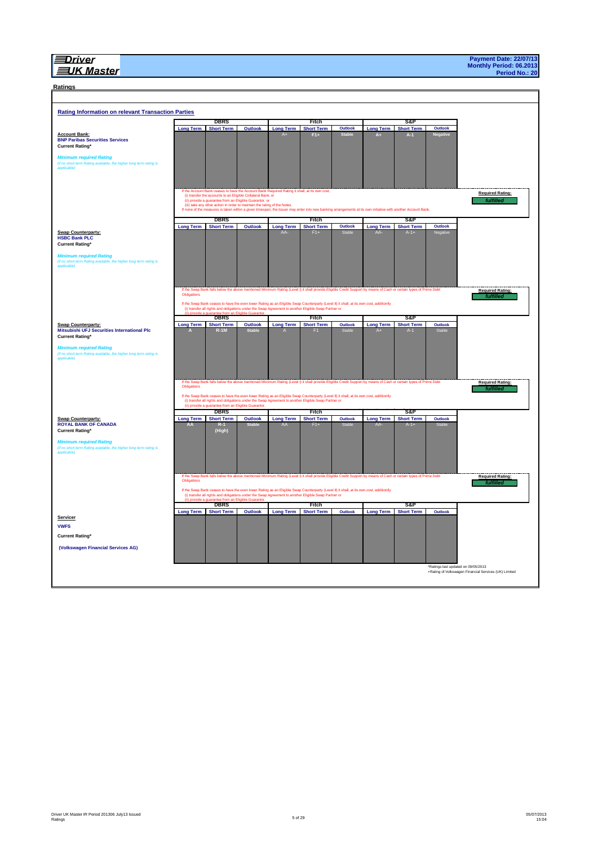#### **EUK Master**

# **Ratings**

| Ratings                                                                                                                                                                      |                            |                                                                                                                                                                                                                                                                                                        |                                               |                         |                            |                   |                                                                                                                                                   |                             |                                     |                                                       |  |
|------------------------------------------------------------------------------------------------------------------------------------------------------------------------------|----------------------------|--------------------------------------------------------------------------------------------------------------------------------------------------------------------------------------------------------------------------------------------------------------------------------------------------------|-----------------------------------------------|-------------------------|----------------------------|-------------------|---------------------------------------------------------------------------------------------------------------------------------------------------|-----------------------------|-------------------------------------|-------------------------------------------------------|--|
|                                                                                                                                                                              |                            |                                                                                                                                                                                                                                                                                                        |                                               |                         |                            |                   |                                                                                                                                                   |                             |                                     |                                                       |  |
| <b>Rating Information on relevant Transaction Parties</b>                                                                                                                    |                            |                                                                                                                                                                                                                                                                                                        |                                               |                         |                            |                   |                                                                                                                                                   |                             |                                     |                                                       |  |
|                                                                                                                                                                              |                            | <b>DBRS</b>                                                                                                                                                                                                                                                                                            |                                               |                         | Fitch                      |                   |                                                                                                                                                   | S&P                         |                                     |                                                       |  |
|                                                                                                                                                                              | <b>Long Term</b>           | <b>Short Term</b>                                                                                                                                                                                                                                                                                      | Outlook                                       | <b>Long Term</b>        | <b>Short Term</b>          | Outlook           | <b>Long Term</b>                                                                                                                                  | <b>Short Term</b>           | Outlook                             |                                                       |  |
| <b>Account Bank:</b><br><b>BNP Paribas Securities Services</b><br><b>Current Rating*</b>                                                                                     |                            |                                                                                                                                                                                                                                                                                                        |                                               |                         | $F1+$                      | <b>Stable</b>     | Λ.                                                                                                                                                | $A-1$                       | Negative                            |                                                       |  |
| <b>Minimum required Rating</b>                                                                                                                                               |                            |                                                                                                                                                                                                                                                                                                        |                                               |                         |                            |                   |                                                                                                                                                   |                             |                                     |                                                       |  |
| (if no short term Rating available, the higher long term rating is<br>applicable)                                                                                            |                            |                                                                                                                                                                                                                                                                                                        |                                               |                         |                            |                   |                                                                                                                                                   |                             |                                     |                                                       |  |
|                                                                                                                                                                              |                            | If the Account Bank ceases to have the Account Bank Required Rating it shall, at its own cost,<br>(i) transfer the accounts to an Eligible Collateral Bank, or<br>(ii) provide a guarantee from an Eligible Guarantor, or<br>(iii) take any other action in order to maintain the rating of the Notes. |                                               |                         |                            |                   |                                                                                                                                                   |                             |                                     | <b>Required Rating:</b><br><b>fulfilled</b>           |  |
|                                                                                                                                                                              |                            | If none of the measures is taken within a given timespan, the Issuer may enter into new banking arrangements at its own initiative with another Account Bank.                                                                                                                                          |                                               |                         |                            |                   |                                                                                                                                                   |                             |                                     |                                                       |  |
|                                                                                                                                                                              |                            | <b>DBRS</b>                                                                                                                                                                                                                                                                                            |                                               |                         | Fitch                      |                   |                                                                                                                                                   | S&P                         |                                     |                                                       |  |
| <b>Swap Counterparty:</b>                                                                                                                                                    | <b>Long Term</b>           | <b>Short Term</b>                                                                                                                                                                                                                                                                                      | Outlook                                       | <b>Long Term</b><br>AA- | <b>Short Term</b><br>$F1+$ | Outlook<br>Stable | <b>Long Term</b><br>AA-                                                                                                                           | <b>Short Term</b><br>$A-1+$ | Outlook<br>Negative                 |                                                       |  |
| <b>HSBC Bank PLC</b><br><b>Current Rating*</b><br><b>Minimum required Rating</b><br>(if no short term Rating available, the higher long term rating is<br>.<br>applicable)   |                            |                                                                                                                                                                                                                                                                                                        |                                               |                         |                            |                   |                                                                                                                                                   |                             |                                     |                                                       |  |
|                                                                                                                                                                              | Obligations                | If the Swap Bank falls below the above mentioned Minimum Rating (Level I) it shall provide Eligible Credit Support by means of Cash or certain types of Prime Debt                                                                                                                                     |                                               |                         |                            |                   |                                                                                                                                                   |                             |                                     | <b>Required Rating:</b>                               |  |
|                                                                                                                                                                              |                            |                                                                                                                                                                                                                                                                                                        |                                               |                         |                            |                   |                                                                                                                                                   |                             |                                     | fulfilled                                             |  |
|                                                                                                                                                                              |                            | If the Swap Bank ceases to have the even lower Rating as an Eligible Swap Counterparty (Level II) it shall, at its own cost, additionlly<br>(i) transfer all rights and obligations under the Swap Agreement to another Eligible Swap Partner or                                                       |                                               |                         |                            |                   |                                                                                                                                                   |                             |                                     |                                                       |  |
|                                                                                                                                                                              |                            | <b>DBRS</b>                                                                                                                                                                                                                                                                                            | le Guaranto                                   |                         | Fitch                      |                   |                                                                                                                                                   | S&P                         |                                     |                                                       |  |
| Swap Counterparty:                                                                                                                                                           | <b>Long Term</b>           | <b>Short Term</b>                                                                                                                                                                                                                                                                                      | Outlook                                       | <b>Long Term</b>        | <b>Short Term</b>          | Outlook           | <b>Long Term</b>                                                                                                                                  | <b>Short Term</b>           | Outlook                             |                                                       |  |
| <b>Mitsubishi UFJ Securities International PIc</b><br><b>Current Rating*</b>                                                                                                 |                            | $R-1M$                                                                                                                                                                                                                                                                                                 | <b>Stable</b>                                 |                         | н                          |                   |                                                                                                                                                   |                             |                                     |                                                       |  |
| <b>Minimum required Rating</b><br>(if no short term Rating available, the higher long term rat<br>ing is<br>applicable)                                                      |                            |                                                                                                                                                                                                                                                                                                        |                                               |                         |                            |                   |                                                                                                                                                   |                             |                                     |                                                       |  |
|                                                                                                                                                                              | If the Swap<br>Obligations |                                                                                                                                                                                                                                                                                                        |                                               |                         |                            |                   | falls below the above mentioned Minimum Rating (Level I) it shall provide Eligible Credit Support by means of Cash or certain types of Prime Debt |                             |                                     | <b>Required Rating:</b><br>fulfilled                  |  |
|                                                                                                                                                                              |                            | If the Swap Bank ceases to have the even lower Rating as an Eligible Swap Counterparty (Level II) it shall, at its own cost, additionlly<br>(i) transfer all rights and obligations under the Swap Agreement to another Eligible Swap Partner or                                                       |                                               |                         |                            |                   |                                                                                                                                                   |                             |                                     |                                                       |  |
|                                                                                                                                                                              |                            | (ii) provide a guarantee from an Eligible Guarantor.<br><b>DBRS</b>                                                                                                                                                                                                                                    |                                               |                         | Fitch                      |                   |                                                                                                                                                   | S&P                         |                                     |                                                       |  |
| <b>Swap Counterparty:</b>                                                                                                                                                    | <b>Long Term</b>           | <b>Short Term</b>                                                                                                                                                                                                                                                                                      | Outlook                                       | <b>Long Term</b>        | <b>Short Term</b>          | Outlook           | <b>Long Term</b>                                                                                                                                  | <b>Short Term</b>           | Outlook                             |                                                       |  |
| <b>ROYAL BANK OF CANADA</b><br><b>Current Rating*</b><br><b>Minimum required Rating</b><br>(if no short term Rating available, the higher long term rating is<br>applicable) | AA                         | $R-1$<br>(High)                                                                                                                                                                                                                                                                                        | Stable                                        | AA                      |                            |                   | AA                                                                                                                                                | $A - 1 +$                   |                                     |                                                       |  |
|                                                                                                                                                                              |                            |                                                                                                                                                                                                                                                                                                        |                                               |                         |                            |                   |                                                                                                                                                   |                             |                                     |                                                       |  |
|                                                                                                                                                                              | Obligations                | If the Swap Bank falls below the above mentioned Minimum Rating (Level I) it shall provide Eligible Credit Support by means of Cash or certain types of Prime Debt                                                                                                                                     |                                               |                         |                            |                   |                                                                                                                                                   |                             |                                     | <b>Required Rating:</b><br>fulfilled                  |  |
|                                                                                                                                                                              |                            | If the Swap Bank ceases to have the even lower Rating as an Eligible Swap Counterparty (Level II) it shall, at its own cost, additionly                                                                                                                                                                |                                               |                         |                            |                   |                                                                                                                                                   |                             |                                     |                                                       |  |
|                                                                                                                                                                              | (ii) provide a             | (i) transfer all rights and obligations under the Swap Agreement to another Eligible Swap Partner or                                                                                                                                                                                                   | <b>Contractive Contract Contract Contract</b> |                         |                            |                   |                                                                                                                                                   |                             |                                     |                                                       |  |
|                                                                                                                                                                              |                            | DBRS                                                                                                                                                                                                                                                                                                   |                                               |                         | Fitch                      |                   |                                                                                                                                                   | S&P                         |                                     |                                                       |  |
| Servicer                                                                                                                                                                     | <b>Long Term</b>           | <b>Short Term</b>                                                                                                                                                                                                                                                                                      | Outlook                                       |                         | Long Term Short Term       | Outlook           |                                                                                                                                                   | Long Term Short Term        | Outlook                             |                                                       |  |
| <b>VWFS</b>                                                                                                                                                                  |                            |                                                                                                                                                                                                                                                                                                        |                                               |                         |                            |                   |                                                                                                                                                   |                             |                                     |                                                       |  |
| <b>Current Rating*</b>                                                                                                                                                       |                            |                                                                                                                                                                                                                                                                                                        |                                               |                         |                            |                   |                                                                                                                                                   |                             |                                     |                                                       |  |
| (Volkswagen Financial Services AG)                                                                                                                                           |                            |                                                                                                                                                                                                                                                                                                        |                                               |                         |                            |                   |                                                                                                                                                   |                             |                                     |                                                       |  |
|                                                                                                                                                                              |                            |                                                                                                                                                                                                                                                                                                        |                                               |                         |                            |                   |                                                                                                                                                   |                             |                                     |                                                       |  |
|                                                                                                                                                                              |                            |                                                                                                                                                                                                                                                                                                        |                                               |                         |                            |                   |                                                                                                                                                   |                             | *Ratings last updated on 09/05/2013 | +Rating of Volkswagen Financial Services (UK) Limited |  |
|                                                                                                                                                                              |                            |                                                                                                                                                                                                                                                                                                        |                                               |                         |                            |                   |                                                                                                                                                   |                             |                                     |                                                       |  |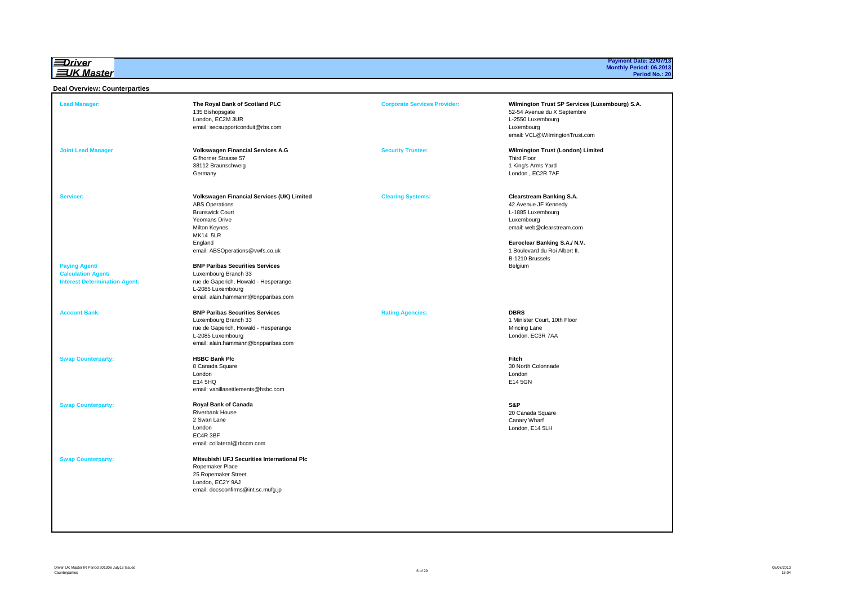l≡Driver **EUK Master** 

# **Payment Date: 22/07/13 Monthly Period: 06.2013 Period No.: 20**

#### **Deal Overview: Counterparties**

| <b>Lead Manager:</b>                                                                                   | The Royal Bank of Scotland PLC<br>135 Bishopsgate<br>London, EC2M 3UR<br>email: secsupportconduit@rbs.com                                                                                                                                                                                                                              | <b>Corporate Services Provider:</b> | Wilmington Trust SP Services (Luxembourg) S.A.<br>52-54 Avenue du X Septembre<br>L-2550 Luxembourg<br>Luxembourg<br>email: VCL@WilmingtonTrust.com                                                               |
|--------------------------------------------------------------------------------------------------------|----------------------------------------------------------------------------------------------------------------------------------------------------------------------------------------------------------------------------------------------------------------------------------------------------------------------------------------|-------------------------------------|------------------------------------------------------------------------------------------------------------------------------------------------------------------------------------------------------------------|
| <b>Joint Lead Manager</b>                                                                              | <b>Volkswagen Financial Services A.G</b><br>Gifhorner Strasse 57<br>38112 Braunschweig<br>Germany                                                                                                                                                                                                                                      | <b>Security Trustee:</b>            | Wilmington Trust (London) Limited<br><b>Third Floor</b><br>1 King's Arms Yard<br>London, EC2R 7AF                                                                                                                |
| Servicer:<br><b>Paying Agent/</b><br><b>Calculation Agent/</b><br><b>Interest Determination Agent:</b> | Volkswagen Financial Services (UK) Limited<br><b>ABS Operations</b><br><b>Brunswick Court</b><br>Yeomans Drive<br><b>Milton Keynes</b><br><b>MK14 5LR</b><br>England<br>email: ABSOperations@vwfs.co.uk<br><b>BNP Paribas Securities Services</b><br>Luxembourg Branch 33<br>rue de Gaperich, Howald - Hesperange<br>L-2085 Luxembourg | <b>Clearing Systems:</b>            | Clearstream Banking S.A.<br>42 Avenue JF Kennedy<br>L-1885 Luxembourg<br>Luxembourg<br>email: web@clearstream.com<br>Euroclear Banking S.A./ N.V.<br>1 Boulevard du Roi Albert II.<br>B-1210 Brussels<br>Belgium |
| <b>Account Bank:</b>                                                                                   | email: alain.hammann@bnpparibas.com<br><b>BNP Paribas Securities Services</b><br>Luxembourg Branch 33<br>rue de Gaperich, Howald - Hesperange<br>L-2085 Luxembourg<br>email: alain.hammann@bnpparibas.com                                                                                                                              | <b>Rating Agencies:</b>             | <b>DBRS</b><br>1 Minister Court, 10th Floor<br>Mincing Lane<br>London, EC3R 7AA                                                                                                                                  |
| <b>Swap Counterparty:</b>                                                                              | <b>HSBC Bank Plc</b><br>8 Canada Square<br>London<br>E14 5HQ<br>email: vanillasettlements@hsbc.com                                                                                                                                                                                                                                     |                                     | Fitch<br>30 North Colonnade<br>London<br>E14 5GN                                                                                                                                                                 |
| <b>Swap Counterparty:</b>                                                                              | <b>Royal Bank of Canada</b><br><b>Riverbank House</b><br>2 Swan Lane<br>London<br>EC4R 3BF<br>email: collateral@rbccm.com                                                                                                                                                                                                              |                                     | S&P<br>20 Canada Square<br>Canary Wharf<br>London, E14 5LH                                                                                                                                                       |
| <b>Swap Counterparty:</b>                                                                              | Mitsubishi UFJ Securities International Plc<br>Ropemaker Place<br>25 Ropemaker Street<br>London, EC2Y 9AJ<br>email: docsconfirms@int.sc.mufg.jp                                                                                                                                                                                        |                                     |                                                                                                                                                                                                                  |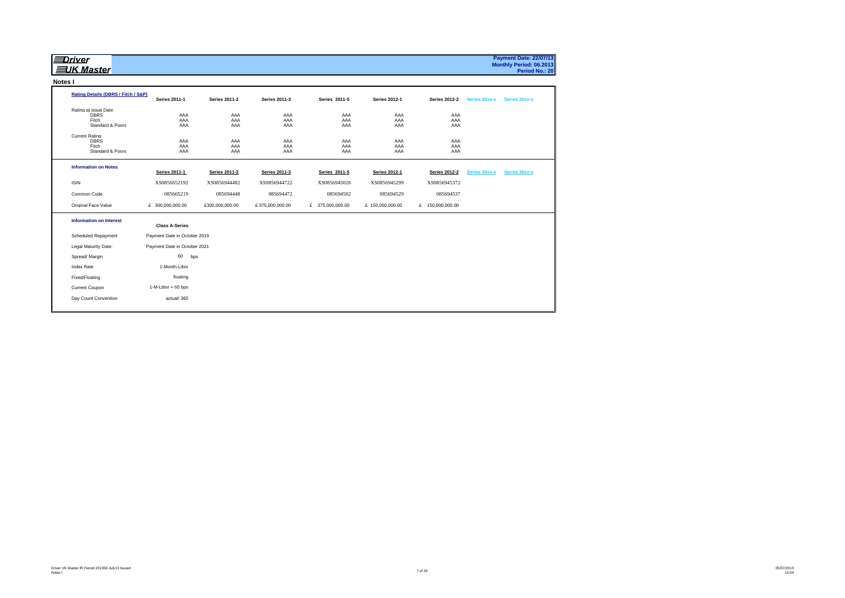| <u> Driver</u><br><b>三JK Master</b>                               |                              |                      |                      |                   |                      |                      |               | <b>Payment Date: 22/07/13</b><br>Monthly Period: 06.2013<br>Period No.: 20 |
|-------------------------------------------------------------------|------------------------------|----------------------|----------------------|-------------------|----------------------|----------------------|---------------|----------------------------------------------------------------------------|
| Notes I                                                           |                              |                      |                      |                   |                      |                      |               |                                                                            |
| Rating Details (DBRS / Fitch / S&P)                               | <b>Series 2011-1</b>         | <b>Series 2011-2</b> | <b>Series 2011-3</b> | Series 2011-5     | <b>Series 2012-1</b> | <b>Series 2012-2</b> | Series 20xx-x | Series 20xx-x                                                              |
| Rating at Issue Date<br><b>DBRS</b><br>Fitch<br>Standard & Poors  | AAA<br>AAA<br>AAA            | AAA<br>AAA<br>AAA    | AAA<br>AAA<br>AAA    | AAA<br>AAA<br>AAA | AAA<br>AAA<br>AAA    | AAA<br>AAA<br>AAA    |               |                                                                            |
| <b>Current Rating</b><br><b>DBRS</b><br>Fitch<br>Standard & Poors | AAA<br>AAA<br>AAA            | AAA<br>AAA<br>AAA    | AAA<br>AAA<br>AAA    | AAA<br>AAA<br>AAA | AAA<br>AAA<br>AAA    | AAA<br>AAA<br>AAA    |               |                                                                            |
| <b>Information on Notes</b>                                       | <b>Series 2011-1</b>         | <b>Series 2011-2</b> | <b>Series 2011-3</b> | Series 2011-5     | <b>Series 2012-1</b> | <b>Series 2012-2</b> | Series 20xx-x | Series 20xx-x                                                              |
| <b>ISIN</b>                                                       | XS0856652192                 | XS0856944482         | XS0856944722         | XS0856945026      | XS0856945299         | XS0856945372         |               |                                                                            |
| Common Code                                                       | 085665219                    | 085694448            | 085694472            | 085694502         | 085694529            | 085694537            |               |                                                                            |
| Original Face Value                                               | £ 300,000,000.00             | £300,000,000.00      | £375,000,000.00      | £ 375,000,000.00  | £ 150,000,000.00     | £ 150,000,000.00     |               |                                                                            |
| <b>Information on Interest</b>                                    | <b>Class A-Series</b>        |                      |                      |                   |                      |                      |               |                                                                            |
| <b>Scheduled Repayment</b>                                        | Payment Date in October 2019 |                      |                      |                   |                      |                      |               |                                                                            |
| Legal Maturity Date:                                              | Payment Date in October 2021 |                      |                      |                   |                      |                      |               |                                                                            |
| Spread/ Margin                                                    | 60<br>bps                    |                      |                      |                   |                      |                      |               |                                                                            |
| <b>Index Rate</b>                                                 | 1-Month-Libor                |                      |                      |                   |                      |                      |               |                                                                            |
| Fixed/Floating                                                    | floating                     |                      |                      |                   |                      |                      |               |                                                                            |
| Current Coupon                                                    | 1-M-Libor + 60 bps           |                      |                      |                   |                      |                      |               |                                                                            |
| Day Count Convention                                              | actual/365                   |                      |                      |                   |                      |                      |               |                                                                            |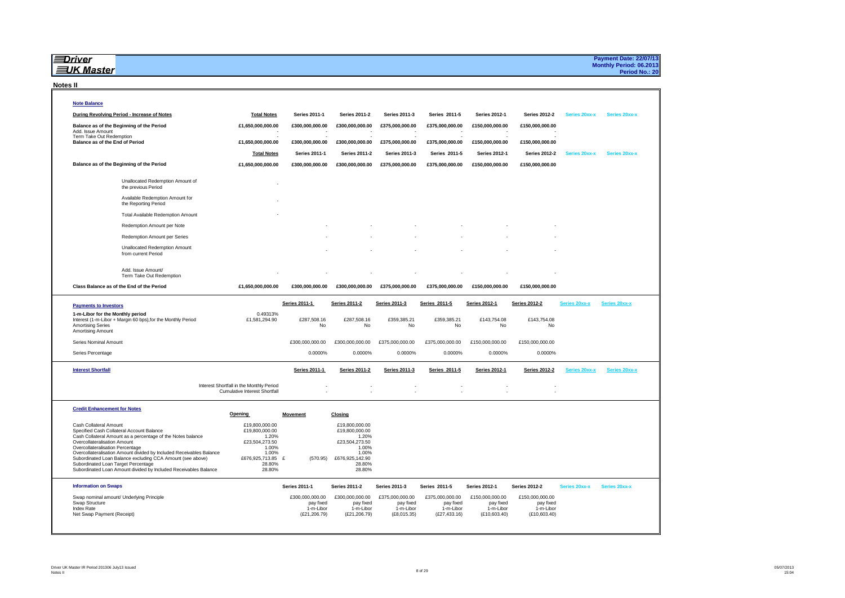|                 | <b>∄Driver</b><br><b>三UK Master</b>                                                                                                                                                                                                                                               |                                                                                  |                                         |                                                       |                                       |                                         |                                        |                                        |               | <b>Payment Date: 22/07/13</b><br>Monthly Period: 06.2013<br>Period No.: 20 |
|-----------------|-----------------------------------------------------------------------------------------------------------------------------------------------------------------------------------------------------------------------------------------------------------------------------------|----------------------------------------------------------------------------------|-----------------------------------------|-------------------------------------------------------|---------------------------------------|-----------------------------------------|----------------------------------------|----------------------------------------|---------------|----------------------------------------------------------------------------|
| <b>Notes II</b> |                                                                                                                                                                                                                                                                                   |                                                                                  |                                         |                                                       |                                       |                                         |                                        |                                        |               |                                                                            |
|                 | <b>Note Balance</b>                                                                                                                                                                                                                                                               |                                                                                  |                                         |                                                       |                                       |                                         |                                        |                                        |               |                                                                            |
|                 | During Revolving Period - Increase of Notes                                                                                                                                                                                                                                       | <b>Total Notes</b>                                                               | Series 2011-1                           | <b>Series 2011-2</b>                                  | Series 2011-3                         | Series 2011-5                           | <b>Series 2012-1</b>                   | <b>Series 2012-2</b>                   | Series 20xx-x | Series 20xx-x                                                              |
|                 | Balance as of the Beginning of the Period<br>Add, Issue Amount                                                                                                                                                                                                                    | £1,650,000,000.00                                                                | £300,000,000.00                         | £300,000,000.00                                       | £375,000,000.00                       | £375,000,000.00                         | £150,000,000.00                        | £150,000,000.00                        |               |                                                                            |
|                 | Term Take Out Redemption<br>Balance as of the End of Period                                                                                                                                                                                                                       | £1,650,000,000.00                                                                | £300,000,000.00                         | £300,000,000.00                                       | £375,000,000.00                       | £375,000,000.00                         | £150,000,000.00                        | £150,000,000.00                        |               |                                                                            |
|                 |                                                                                                                                                                                                                                                                                   | <b>Total Notes</b>                                                               | Series 2011-1                           | Series 2011-2                                         | <b>Series 2011-3</b>                  | Series 2011-5                           | <b>Series 2012-1</b>                   | <b>Series 2012-2</b>                   | Series 20xx-x | Series 20xx-x                                                              |
|                 | Balance as of the Beginning of the Period                                                                                                                                                                                                                                         | £1,650,000,000.00                                                                | £300,000,000.00                         | £300,000,000.00                                       | £375,000,000.00                       | £375,000,000.00                         | £150,000,000.00                        | £150,000,000.00                        |               |                                                                            |
|                 | Unallocated Redemption Amount of<br>the previous Period                                                                                                                                                                                                                           |                                                                                  |                                         |                                                       |                                       |                                         |                                        |                                        |               |                                                                            |
|                 | Available Redemption Amount for<br>the Reporting Period                                                                                                                                                                                                                           |                                                                                  |                                         |                                                       |                                       |                                         |                                        |                                        |               |                                                                            |
|                 | <b>Total Available Redemption Amount</b>                                                                                                                                                                                                                                          |                                                                                  |                                         |                                                       |                                       |                                         |                                        |                                        |               |                                                                            |
|                 | Redemption Amount per Note                                                                                                                                                                                                                                                        |                                                                                  |                                         |                                                       |                                       |                                         |                                        |                                        |               |                                                                            |
|                 | Redemption Amount per Series                                                                                                                                                                                                                                                      |                                                                                  |                                         |                                                       |                                       |                                         |                                        |                                        |               |                                                                            |
|                 | <b>Unallocated Redemption Amount</b><br>from current Period                                                                                                                                                                                                                       |                                                                                  |                                         |                                                       |                                       |                                         |                                        |                                        |               |                                                                            |
|                 | Add. Issue Amount/<br>Term Take Out Redemption                                                                                                                                                                                                                                    |                                                                                  |                                         |                                                       |                                       |                                         |                                        |                                        |               |                                                                            |
|                 | Class Balance as of the End of the Period                                                                                                                                                                                                                                         | £1,650,000,000.00                                                                | £300,000,000.00                         | £300,000,000.00                                       | £375,000,000.00                       | £375,000,000.00                         | £150,000,000.00                        | £150,000,000.00                        |               |                                                                            |
|                 | <b>Payments to Investors</b>                                                                                                                                                                                                                                                      |                                                                                  | Series 2011-1                           | <b>Series 2011-2</b>                                  | Series 2011-3                         | Series 2011-5                           | <b>Series 2012-1</b>                   | <b>Series 2012-2</b>                   | Series 20xx-x | Series 20xx-x                                                              |
|                 | 1-m-Libor for the Monthly period<br>Interest (1-m-Libor + Margin 60 bps), for the Monthly Period<br><b>Amortising Series</b><br><b>Amortising Amount</b>                                                                                                                          | 0.49313%<br>£1,581,294.90                                                        | £287,508.16<br>No                       | £287,508.16<br>No                                     | £359,385.21<br>No                     | £359,385.21<br>No                       | £143,754.08<br>No                      | £143,754.08<br>No                      |               |                                                                            |
|                 |                                                                                                                                                                                                                                                                                   |                                                                                  |                                         |                                                       |                                       |                                         |                                        |                                        |               |                                                                            |
|                 | Series Nominal Amount                                                                                                                                                                                                                                                             |                                                                                  | £300,000,000.00                         | £300,000,000.00                                       | £375,000,000.00                       | £375,000,000.00                         | £150,000,000.00                        | £150,000,000.00                        |               |                                                                            |
|                 | Series Percentage                                                                                                                                                                                                                                                                 |                                                                                  | 0.0000%                                 | 0.0000%                                               | 0.0000%                               | 0.0000%                                 | 0.0000%                                | 0.0000%                                |               |                                                                            |
|                 | <b>Interest Shortfall</b>                                                                                                                                                                                                                                                         |                                                                                  | <b>Series 2011-1</b>                    | <b>Series 2011-2</b>                                  | Series 2011-3                         | Series 2011-5                           | <b>Series 2012-1</b>                   | <b>Series 2012-2</b>                   | Series 20xx-x | Series 20xx-x                                                              |
|                 |                                                                                                                                                                                                                                                                                   | Interest Shortfall in the Monthly Period<br><b>Cumulative Interest Shortfall</b> |                                         |                                                       |                                       |                                         |                                        |                                        |               |                                                                            |
|                 | <b>Credit Enhancement for Notes</b>                                                                                                                                                                                                                                               |                                                                                  |                                         |                                                       |                                       |                                         |                                        |                                        |               |                                                                            |
|                 | Cash Collateral Amount<br>Specified Cash Collateral Account Balance                                                                                                                                                                                                               | <b>Opening</b><br>£19,800,000.00<br>£19,800,000.00                               | <b>Movement</b>                         | Closing<br>£19,800,000,00<br>£19,800,000.00           |                                       |                                         |                                        |                                        |               |                                                                            |
|                 | Cash Collateral Amount as a percentage of the Notes balance<br>Overcollateralisation Amount                                                                                                                                                                                       | 1.20%<br>£23,504,273.50                                                          |                                         | 1.20%<br>£23,504,273.50                               |                                       |                                         |                                        |                                        |               |                                                                            |
|                 | Overcollateralisation Percentage<br>Overcollateralisation Amount divided by Included Receivables Balance<br>Subordinated Loan Balance excluding CCA Amount (see above)<br>Subordinated Loan Target Percentage<br>Subordinated Loan Amount divided by Included Receivables Balance | 1.00%<br>1.00%<br>£676,925,713.85<br>28.80%<br>28.80%                            | £<br>(570.95)                           | 1.00%<br>1.00%<br>£676,925,142.90<br>28.80%<br>28.80% |                                       |                                         |                                        |                                        |               |                                                                            |
|                 | <b>Information on Swaps</b>                                                                                                                                                                                                                                                       |                                                                                  | <b>Series 2011-1</b>                    | <b>Series 2011-2</b>                                  | <b>Series 2011-3</b>                  | Series 2011-5                           | <b>Series 2012-1</b>                   | <b>Series 2012-2</b>                   | Series 20xx-x | Series 20xx-x                                                              |
|                 | Swap nominal amount/ Underlying Principle                                                                                                                                                                                                                                         |                                                                                  | £300,000,000.00                         | £300,000,000.00                                       | £375,000,000.00                       | £375,000,000.00                         | £150,000,000.00                        | £150,000,000.00                        |               |                                                                            |
|                 | Swap Structure<br>Index Rate<br>Net Swap Payment (Receipt)                                                                                                                                                                                                                        |                                                                                  | pay fixed<br>1-m-Libor<br>(E21, 206.79) | pay fixed<br>1-m-Libor<br>(E21, 206.79)               | pay fixed<br>1-m-Libor<br>(E8,015.35) | pay fixed<br>1-m-Libor<br>(E27, 433.16) | pay fixed<br>1-m-Libor<br>(E10,603.40) | pay fixed<br>1-m-Libor<br>(E10,603.40) |               |                                                                            |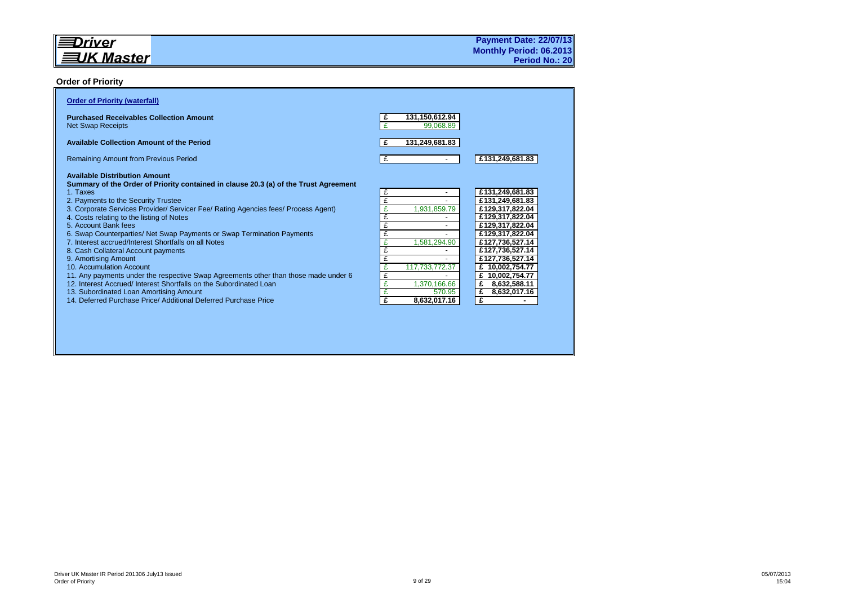#### **Order of Priority**

| <b>Order of Priority (waterfall)</b>                                                                                                                                                                                                                                                                                                                                                                                                                                                                                                                                                                                                                                                                                                                                                                                                              |                                                                                                                                                      |                                                                                                                                                                                                                                                                 |
|---------------------------------------------------------------------------------------------------------------------------------------------------------------------------------------------------------------------------------------------------------------------------------------------------------------------------------------------------------------------------------------------------------------------------------------------------------------------------------------------------------------------------------------------------------------------------------------------------------------------------------------------------------------------------------------------------------------------------------------------------------------------------------------------------------------------------------------------------|------------------------------------------------------------------------------------------------------------------------------------------------------|-----------------------------------------------------------------------------------------------------------------------------------------------------------------------------------------------------------------------------------------------------------------|
| <b>Purchased Receivables Collection Amount</b><br><b>Net Swap Receipts</b>                                                                                                                                                                                                                                                                                                                                                                                                                                                                                                                                                                                                                                                                                                                                                                        | 131,150,612.94<br>£<br>99,068.89                                                                                                                     |                                                                                                                                                                                                                                                                 |
| <b>Available Collection Amount of the Period</b>                                                                                                                                                                                                                                                                                                                                                                                                                                                                                                                                                                                                                                                                                                                                                                                                  | 131,249,681.83<br>£                                                                                                                                  |                                                                                                                                                                                                                                                                 |
| <b>Remaining Amount from Previous Period</b>                                                                                                                                                                                                                                                                                                                                                                                                                                                                                                                                                                                                                                                                                                                                                                                                      | £                                                                                                                                                    | £131,249,681.83                                                                                                                                                                                                                                                 |
| <b>Available Distribution Amount</b><br>Summary of the Order of Priority contained in clause 20.3 (a) of the Trust Agreement<br>1. Taxes<br>2. Payments to the Security Trustee<br>3. Corporate Services Provider/ Servicer Fee/ Rating Agencies fees/ Process Agent)<br>4. Costs relating to the listing of Notes<br>5. Account Bank fees<br>6. Swap Counterparties/ Net Swap Payments or Swap Termination Payments<br>7. Interest accrued/Interest Shortfalls on all Notes<br>8. Cash Collateral Account payments<br>9. Amortising Amount<br>10. Accumulation Account<br>11. Any payments under the respective Swap Agreements other than those made under 6<br>12. Interest Accrued/ Interest Shortfalls on the Subordinated Loan<br>13. Subordinated Loan Amortising Amount<br>14 Deferred Purchase Price/ Additional Deferred Purchase Price | £<br>£<br>£<br>1,931,859.79<br>£<br>£<br>£<br>1,581,294.90<br>£<br>£<br>£<br>117,733,772.37<br>£<br>1.370.166.66<br>£<br>570.95<br>£<br>8,632,017.16 | £131,249,681.83<br>£131,249,681.83<br>£129,317,822.04<br>£129,317,822.04<br>£129,317,822.04<br>£129,317,822.04<br>£127,736,527.14<br>£127,736,527.14<br>£127,736,527.14<br>£ 10,002,754.77<br>10,002,754.77<br>£<br>8,632,588.11<br>£<br>£<br>8,632,017.16<br>£ |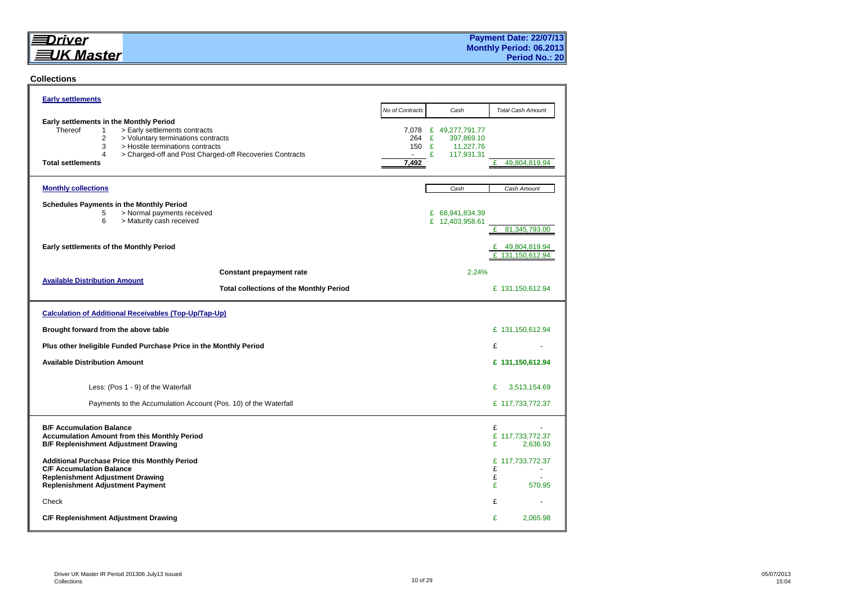## $\equiv$ Driver **EUK Master**

#### **Collections**

| <b>Early settlements</b>                                                                                                                                                                                                                                                            |                       |                                                                          |                                           |
|-------------------------------------------------------------------------------------------------------------------------------------------------------------------------------------------------------------------------------------------------------------------------------------|-----------------------|--------------------------------------------------------------------------|-------------------------------------------|
|                                                                                                                                                                                                                                                                                     | No of Contracts       | Cash                                                                     | <b>Total Cash Amount</b>                  |
| Early settlements in the Monthly Period<br>Thereof<br>> Early settlements contracts<br>$\mathbf{1}$<br>2<br>> Voluntary terminations contracts<br>3<br>> Hostile terminations contracts<br>4<br>> Charged-off and Post Charged-off Recoveries Contracts<br><b>Total settlements</b> | 264<br>150 £<br>7,492 | 7,078 £ 49,277,791.77<br>E<br>397,869.10<br>11,227.76<br>£<br>117,931.31 | 49,804,819.94<br>£                        |
| <b>Monthly collections</b>                                                                                                                                                                                                                                                          |                       | Cash                                                                     | Cash Amount                               |
| <b>Schedules Payments in the Monthly Period</b><br>> Normal payments received<br>5<br>6<br>> Maturity cash received                                                                                                                                                                 |                       | £ 68,941,834.39<br>£ 12,403,958.61                                       | £<br>81,345,793.00                        |
| Early settlements of the Monthly Period                                                                                                                                                                                                                                             |                       |                                                                          | £<br>49,804,819.94<br>£<br>131.150.612.94 |
| <b>Constant prepayment rate</b>                                                                                                                                                                                                                                                     |                       | 2.24%                                                                    |                                           |
| <b>Available Distribution Amount</b><br><b>Total collections of the Monthly Period</b>                                                                                                                                                                                              |                       |                                                                          | £ 131,150,612.94                          |
| <b>Calculation of Additional Receivables (Top-Up/Tap-Up)</b>                                                                                                                                                                                                                        |                       |                                                                          |                                           |
| Brought forward from the above table                                                                                                                                                                                                                                                |                       |                                                                          | £ 131,150,612.94                          |
| Plus other Ineligible Funded Purchase Price in the Monthly Period                                                                                                                                                                                                                   |                       |                                                                          | £                                         |
| <b>Available Distribution Amount</b>                                                                                                                                                                                                                                                |                       |                                                                          | £ 131,150,612.94                          |
| Less: (Pos 1 - 9) of the Waterfall                                                                                                                                                                                                                                                  |                       |                                                                          | £<br>3,513,154.69                         |
| Payments to the Accumulation Account (Pos. 10) of the Waterfall                                                                                                                                                                                                                     |                       |                                                                          | £ 117,733,772.37                          |
| <b>B/F Accumulation Balance</b><br><b>Accumulation Amount from this Monthly Period</b><br><b>B/F Replenishment Adjustment Drawing</b>                                                                                                                                               |                       |                                                                          | £<br>£ 117,733,772.37<br>£<br>2,636.93    |
| <b>Additional Purchase Price this Monthly Period</b><br><b>C/F Accumulation Balance</b><br><b>Replenishment Adjustment Drawing</b><br><b>Replenishment Adjustment Payment</b>                                                                                                       |                       |                                                                          | £ 117,733,772.37<br>£<br>£<br>£<br>570.95 |
| Check                                                                                                                                                                                                                                                                               |                       |                                                                          | £                                         |
| C/F Replenishment Adjustment Drawing                                                                                                                                                                                                                                                |                       |                                                                          | £<br>2,065.98                             |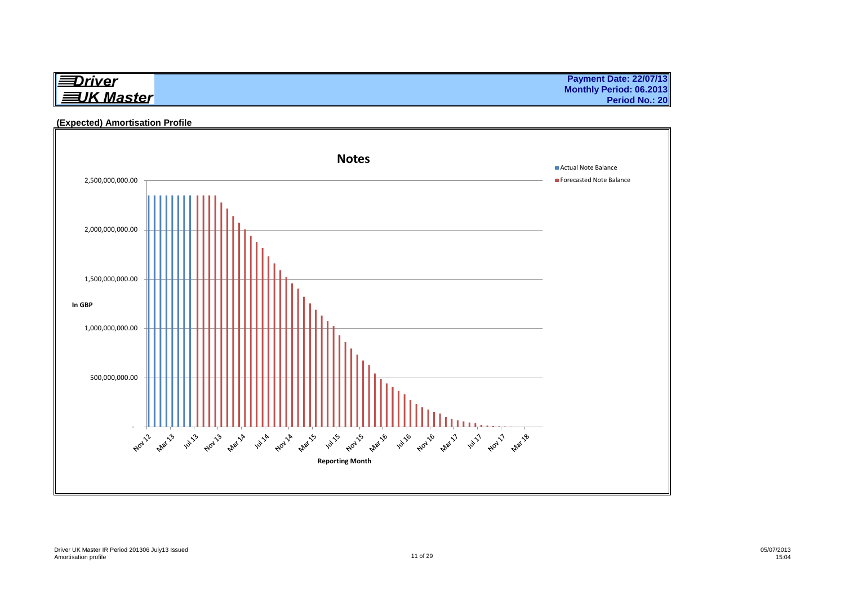| ll≡Driver         |  |
|-------------------|--|
| <b>三UK Master</b> |  |

**Payment Date: 22/07/13 Monthly Period: 06.2013 Period No.: 20**

#### **(Expected) Amortisation Profile**

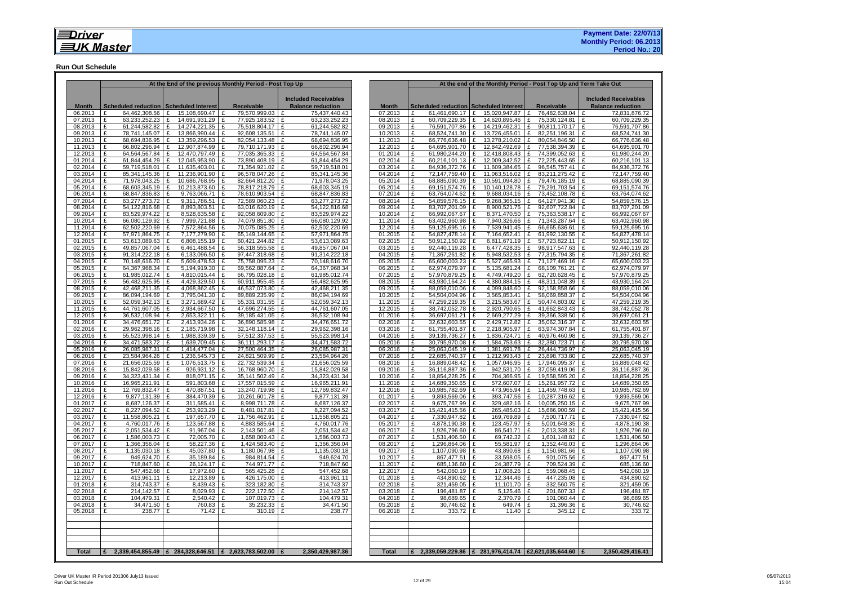#### **Run Out Schedule**

|                    |                                                                  |          |                                  | At the End of the previous Monthly Period - Post Top Up |                                                     |                    |                   |                                        |                   |                                | At the end of the Monthly Period - Post Top Up and Term Take Out |                                      |
|--------------------|------------------------------------------------------------------|----------|----------------------------------|---------------------------------------------------------|-----------------------------------------------------|--------------------|-------------------|----------------------------------------|-------------------|--------------------------------|------------------------------------------------------------------|--------------------------------------|
|                    |                                                                  |          |                                  |                                                         | <b>Included Receivables</b>                         |                    |                   |                                        |                   |                                |                                                                  | <b>Included Receivables</b>          |
| <b>Month</b>       | Scheduled reduction   Scheduled Interest                         |          |                                  | Receivable                                              | <b>Balance reduction</b>                            | <b>Month</b>       |                   | Scheduled reduction Scheduled Interest |                   |                                | <b>Receivable</b>                                                | <b>Balance reduction</b>             |
| 06.2013            | £<br>64,462,308.56 £                                             |          | 15,108,690.47 E                  | 79.570.999.03                                           | 75,437,440.43                                       | 07.2013            | £                 | 61.461.690.17                          | Ι£                | 15,020,947.87 £                | 76,482,638.04 E                                                  | 72,831,876.72                        |
| 07.2013<br>08.2013 | £<br>63.233.252.23<br>£<br>61,244,582.82                         | £<br>£   | 14.691.931.29<br>14,274,221.35   | 77.925.183.52<br>£<br>£<br>75,518,804.17                | 63,233,252.23<br>$\mathbf{f}$<br>£<br>61,244,582.82 | 08.2013<br>09.2013 | £<br>£            | 60.709.229.35<br>76.591.707.86         | $\mathbf{f}$<br>£ | 14.620.895.46<br>14,219,462.31 | £<br>75,330,124.81<br>£<br>90,811,170.17   £                     | 60,709,229.35<br>£<br>76,591,707.86  |
| 09.2013            | 78,741,145.07<br>£                                               | £        | 13,866,990.44                    | 92,608,135.51<br>£                                      | 78,741,145.07<br>£                                  | 10.2013            | £                 | 68,524,741.30                          | £                 | 13,726,455.01                  | 82,251,196.31<br>£                                               | 68,524,741.30<br>l £                 |
| 10.2013            | 68,694,836.95<br>£                                               | £        | 13,359,296.53                    | 82,054,133.48<br>$\mathbf{f}$                           | 68,694,836.95<br>$\mathbf{f}$                       | 11.2013            | £                 | 66,776,636.48                          | $\mathbf{f}$      | 13,278,210.02                  | 80,054,846.50<br>$\mathbf{f}$                                    | 66,776,636.48<br>E                   |
| 11.2013            | 66,802,296.94 £<br>£                                             |          | 12,907,874.99                    | 79,710,171.93<br>£                                      | £<br>66,802,296.94                                  | 12.2013            | £                 | 64,695,901.70                          | l £               | 12,842,492.69                  | 77,538,394.39 £<br>£                                             | 64,695,901.70                        |
| 12.2013<br>01.2014 | £<br>64,564,567.84 £<br>61.844.454.29 E<br>£                     |          | 12.470.797.49<br>12.045.953.90   | 77,035,365.33<br>£<br>73.890.408.19<br>£                | 64,564,567.84<br>61.844.454.29<br>$\mathbf{f}$      | 01.2014<br>02.2014 | £<br>£            | 61.980.244.20 E<br>60.216.101.13   £   |                   | 12.418.808.43<br>12.009.342.52 | 74.399.052.63 E<br>£<br>72.225.443.65 E<br>$\mathbf{f}$          | 61,980,244.20<br>60.216.101.13       |
| 02.2014            | 59,719,518.01 £<br>£                                             |          | 11,635,403.01 E                  | 71,354,921.02 £                                         | 59,719,518.01                                       | 03.2014            | £                 | 84,936,372.76 £                        |                   | 11,609,384.65                  | £<br>96,545,757.41 £                                             | 84,936,372.76                        |
| 03.2014            | £<br>85,341,145.36 £                                             |          | 11,236,901.90 £                  | 96,578,047.26 £                                         | 85,341,145.36                                       | 04.2014            | £                 | 72,147,759.40 £                        |                   | 11,063,516.02                  | 83,211,275.42 £<br>£                                             | 72,147,759.40                        |
| 04.2014            | E<br>71,978,043.25 £                                             |          | 10,686,768.95 £                  | 82,664,812.20 £                                         | 71,978,043.25                                       | 05.2014            | £                 | 68,885,090.39                          | £                 | 10,591,094.80                  | £<br>79,476,185.19 £                                             | 68,885,090.39                        |
| 05.2014<br>06.2014 | £<br>68,603,345.19 £<br>£                                        |          | 10,213,873.60 E                  | 78,817,218.79 E<br>78,610,903.54                        | 68,603,345.19<br>£                                  | 06.2014<br>07.2014 | £<br>£            | 69,151,574.76                          | £                 | 10,140,128.78<br>9,688,034.16  | £<br>79,291,703.54 £<br>£<br>73,452,108.78 E                     | 69, 151, 574. 76<br>63,764,074.62    |
| 07.2014            | 68,847,836.83<br>£<br>63,277,273.72                              | £<br>l £ | 9,763,066.71<br>9,311,786.51     | £<br>£<br>72,589,060.23 £                               | 68,847,836.83<br>63,277,273.72                      | 08.2014            | £                 | 63,764,074.62<br>54,859,576.15         | l £               | 9,268,365.15                   | £<br>64,127,941.30 E                                             | 54,859,576.15                        |
| 08.2014            | 54,122,816.68<br>£                                               | £        | 8,893,803.51                     | 63,016,620.19   £<br>£                                  | 54,122,816.68                                       | 09.2014            | £                 | 83,707,201.09 £                        |                   | 8,900,521.75                   | 92,607,722.84 £<br>£                                             | 83,707,201.09                        |
| 09.2014            | 83,529,974.22<br>£                                               | £        | 8,528,635.58                     | 92,058,609.80 £<br>£                                    | 83,529,974.22                                       | 10.2014            | £                 | 66,992,067.67                          | f                 | 8,371,470.50                   | 75,363,538.17<br>£                                               | 66,992,067.67<br>Ι£                  |
| 10.2014            | 66,080,129.92<br>$\mathbf{f}$                                    | f        | 7,999,721.88 £                   | 74,079,851.80   £                                       | 66,080,129.92                                       | 11.2014            | £                 | 63,402,960.98 £                        |                   | 7,940,326.66                   | 71,343,287.64   £<br>- F                                         | 63,402,960.98                        |
| 11.2014<br>12.2014 | 62,502,220.69 £<br>£<br>57.971.864.75 E<br>$\mathbf{f}$          |          | 7,572,864.56<br>7.177.279.90     | 70,075,085.25   £<br>£<br>65.149.144.65<br>$\mathbf{f}$ | 62,502,220.69<br>57.971.864.75<br>$\mathbf{f}$      | 12.2014<br>01.2015 | £<br>$\mathbf{f}$ | 59,125,695.16 £<br>54.827.478.14       | $\mathbf{f}$      | 7,539,941.45<br>7.164.652.41   | 66,665,636.61 £<br>£<br>61.992.130.55<br>$\mathbf{f}$            | 59,125,695.16<br>54.827.478.14<br>۱£ |
| 01.2015            | £<br>53.613.089.63 E                                             |          | 6.808.155.19                     | £<br>60.421.244.82                                      | 53,613,089.63                                       | 02.2015            | $\mathbf{f}$      | 50.912.150.92                          |                   | 6.811.671.19                   | $\mathbf{f}$<br>57.723.822.11                                    | 50.912.150.92                        |
| 02.2015            | £<br>49,857,067.04 £                                             |          | 6,461,488.54                     | £<br>56,318,555.58 £                                    | 49,857,067.04                                       | 03.2015            | £                 | 92,440,119.28                          | $\mathbf{f}$      | 6,477,428.35                   | £<br>98,917,547.63                                               | 92.440.119.28<br>١£                  |
| 03.2015            | 91,314,222.18<br>£                                               | £        | 6,133,096.50                     | 97,447,318.68<br>£                                      | 91,314,222.18<br>$\mathbf{f}$                       | 04.2015            | £                 | 71,367,261.82                          | $\mathbf{f}$      | 5,948,532.53                   | £<br>77,315,794.35 £                                             | 71,367,261.82                        |
| 04.2015<br>05.2015 | 70,148,616.70 £<br>£<br>£<br>64,367,968.34 £                     |          | 5,609,478.53<br>5,194,919.30     | 75,758,095.23 £<br>£<br>69,562,887.64                   | 70,148,616.70<br>64,367,968.34<br>£                 | 05.2015<br>06.2015 | £<br>£            | 65,600,003.23 £<br>62,974,079.97       |                   | 5,527,465.93<br>5,135,681.24   | 71,127,469.16   £<br>£<br>£<br>68.109.761.21                     | 65,600,003.23<br>62,974,079.97<br>£  |
| 06.2015            | 61.985.012.74 £<br>£                                             |          | 4.810.015.44                     | £<br>66.795.028.18<br>£                                 | 61.985.012.74<br>£                                  | 07.2015            | £                 | 57.970.879.25                          | $\mathbf{f}$      | 4.749.749.20                   | 62.720.628.45<br>£                                               | 57.970.879.25<br>l £                 |
| 07.2015            | £<br>56,482,625.95                                               | £        | 4,429,329.50                     | £<br>60,911,955.45 £                                    | 56,482,625.95                                       | 08.2015            | £                 | 43,930,164.24                          | £                 | 4,380,884.15                   | £<br>48,311,048.39                                               | 43,930,164.24<br>£                   |
| 08.2015            | 42,468,211.35<br>£                                               | £        | 4,068,862.45                     | 46,537,073.80<br>£                                      | 42,468,211.35<br>£                                  | 09.2015            | £                 | 88,059,010.06                          | $\mathbf{f}$      | 4,099,848.60                   | 92,158,858.66<br>£                                               | 88,059,010.06<br>£                   |
| 09.2015            | 86,094,194.69 £<br>£                                             |          | 3,795,041.30                     | 89,889,235.99<br>£                                      | 86,094,194.69<br>£                                  | 10.2015            | £                 | 54,504,004.96                          | $\mathbf{f}$      | 3,565,853.41                   | 58,069,858.37<br>£                                               | 54,504,004.96<br>Ι£                  |
| 10.2015<br>11.2015 | £<br>52,059,342.13 £<br>44.761.607.05 E<br>£                     |          | 3,271,689.42<br>2.934.667.50     | 55,331,031.55<br>£<br>47.696.274.55<br>£                | 52.059.342.13<br>£<br>44.761.607.05<br>$\mathbf{f}$ | 11.2015<br>12.2015 | £<br>£            | 47,259,219.35<br>38.742.052.78 £       |                   | 3.215.583.67<br>2.920.790.65   | 50,474,803.02<br>£<br>41.662.843.43 E<br>£                       | 47,259,219.35<br>E<br>38.742.052.78  |
| 12.2015            | 36,532,108.94 £<br>£                                             |          | 2.653.322.11                     | 39,185,431.05 £<br>£                                    | 36,532,108.94                                       | 01.2016            | £                 | 36,697,061.21 £                        |                   | 2.669.277.29                   | $\mathbf{f}$<br>39,366,338.50 E                                  | 36,697,061.21                        |
| 01.2016            | £<br>34,476,651.72                                               | Ι£       | 2,413,934.26                     | £<br>36,890,585.98                                      | 34,476,651.72                                       | 02.2016            | £                 | 32,632,603.55 £                        |                   | 2,429,712.82                   | £<br>35,062,316.37 £                                             | 32,632,603.55                        |
| 02.2016            | £<br>29,962,398.16 £                                             |          | 2,185,719.98                     | £<br>32,148,118.14 £                                    | 29,962,398.16                                       | 03.2016            | £                 | 61,755,401.87                          | l £               | 2,218,905.97                   | £<br>63,974,307.84 £<br>$\overline{\mathbf{r}}$                  | 61,755,401.87                        |
| 03.2016<br>04.2016 | $\mathbf{f}$<br>55.523.998.14 E<br>£<br>34,471,583.72 £          |          | 1.988.339.39<br>1,639,709.45 £   | $\mathbf{f}$<br>57,512,337.53 E<br>36,111,293.17 £      | 55.523.998.14<br>34,471,583.72                      | 04.2016<br>05.2016 | $\mathbf{f}$<br>£ | 39,139,736.27<br>30,795,970.08         | l £<br>£          | 1.836.724.71<br>1,584,753.63   | 40.976.460.98 E<br>£<br>32,380,723.71                            | 39,139,736.27<br>30,795,970.08<br>١£ |
| 05.2016            | £<br>26,085,987.31 £                                             |          | 1,414,477.04                     | 27,500,464.35<br>£                                      | 26,085,987.31<br>£                                  | 06.2016            | £                 | 25,063,045.19                          | £                 | 1,381,691.78                   | £<br>26,444,736.97                                               | 25,063,045.19<br>Ι£                  |
| 06.2016            | £<br>23,584,964.26 £                                             |          | 1,236,545.73                     | 24,821,509.99 £<br>£                                    | 23,584,964.26                                       | 07.2016            | £                 | 22,685,740.37                          | l £               | 1,212,993.43                   | £<br>23,898,733.80 E                                             | 22,685,740.37                        |
| 07.2016            | £<br>21,656,025.59 £                                             |          | 1,076,513.75                     | 22,732,539.34 £<br>£                                    | 21,656,025.59                                       | 08.2016            | £                 | 16,889,048.42                          | £                 | 1,057,046.95                   | £<br>17,946,095.37                                               | 16,889,048.42<br>١£                  |
| 08.2016<br>09.2016 | 15,842,029.58<br>£<br>34,323,431.34 £<br>£                       | E        | $926,931.12$ £<br>818,071.15   £ | 16,768,960.70 £<br>35,141,502.49 E                      | 15,842,029.58<br>34,323,431.34                      | 09.2016<br>10.2016 | £<br>£            | 36,116,887.36<br>18,854,228.25         | Ι£                | 942,531.70<br>704,366.95       | 37,059,419.06 £<br>£<br>19,558,595.20 E<br>£                     | 36,116,887.36<br>18,854,228.25       |
| 10.2016            | £<br>16,965,211.91                                               | l £      | 591,803.68 £                     | 17,557,015.59 £                                         | 16,965,211.91                                       | 11.2016            | £                 | 14,689,350.65                          | £                 | 572,607.07                     | 15,261,957.72<br>£                                               | 14,689,350.65<br>l £                 |
| 11.2016            | 12.769.832.47<br>£                                               | l £      | 470,887.51                       | 13.240.719.98 E<br>£                                    | 12.769.832.47                                       | 12.2016            | £                 | 10,985,782.69                          | $\mathbf{f}$      | 473.965.94                     | 11,459,748.63 £<br>£                                             | 10.985.782.69                        |
| 12.2016            | £<br>9,877,131.39                                                | Ι£       | 384,470.39 £                     | 10,261,601.78 £                                         | 9,877,131.39                                        | 01.2017            | £                 | 9,893,569.06                           | £                 | 393,747.56                     | £<br>10,287,316.62 E                                             | 9.893.569.06                         |
| 01.2017            | 8,687,126.37<br>£                                                | l £      | 311,585.41<br>253,923.29         | 8,998,711.78 £<br>£<br>£                                | 8,687,126.37                                        | 02.2017            | £<br>£            | 9,675,767.99                           | $\mathbf{f}$      | 329,482.16                     | £<br>10,005,250.15 £                                             | 9,675,767.99                         |
| 02.2017<br>03.2017 | 8,227,094.52 £<br>E<br>£<br>11,558,805.21                        | £        | 197,657.70                       | 8,481,017.81 £<br>£<br>11,756,462.91                    | 8,227,094.52<br>11,558,805.21<br>£                  | 03.2017<br>04.2017 | £                 | 15,421,415.56 £<br>7,330,947.82        |                   | 265,485.03 £<br>169,769.89     | 15,686,900.59 £<br>£<br>7,500,717.71                             | 15,421,415.56<br>١£<br>7,330,947.82  |
| 04.2017            | £<br>4.760.017.76                                                | l £      | 123.567.88                       | 4,883,585.64<br>£                                       | 4.760.017.76<br>£                                   | 05.2017            | £                 | 4,878,190.38                           | $\mathbf{f}$      | 123.457.97                     | 5,001,648.35<br>£                                                | 4.878.190.38<br>£                    |
| 05.2017            | £<br>2,051,534.42                                                | E        | 91,967.04                        | 2,143,501.46<br>£                                       | 2,051,534.42<br>£                                   | 06.2017            | £                 | 1,926,796.60                           |                   | 86,541.71                      | £<br>2,013,338.31                                                | 1,926,796.60<br>١£                   |
| 06.2017            | £<br>1,586,003.73                                                | £        | 72,005.70                        | £<br>1,658,009.43                                       | 1,586,003.73<br>£                                   | 07.2017            | £                 | 1,531,406.50 £                         |                   | 69,742.32                      | £<br>1,601,148.82                                                | 1,531,406.50<br>£                    |
| 07.2017<br>08.2017 | £<br>1,366,356.04 £<br>£<br>1,135,030.18 £                       |          | 58,227.36<br>45,037.80           | 1,424,583.40 £<br>£<br>1,180,067.98 £<br>£              | 1,366,356.04<br>1,135,030.18                        | 08.2017<br>09.2017 | £<br>£            | 1,296,864.06 £<br>1,107,090.98 £       |                   | 55,581.97<br>43,890.68         | £<br>1,352,446.03<br>1,150,981.66 £<br>£                         | 1,296,864.06<br>£<br>1,107,090.98    |
| 09.2017            | £<br>949,624.70 E                                                |          | 35,189.84                        | £<br>984,814.54 E                                       | 949,624.70                                          | 10.2017            | £                 | 867,477.51   £                         |                   | 33.598.05                      | £<br>901,075.56   £                                              | 867.477.51                           |
| 10.2017            | £<br>718,847.60 £                                                |          | 26,124.17                        | 744,971.77<br>£                                         | 718,847.60<br>$\mathbf{f}$                          | 11.2017            | £                 | 685,136.60 £                           |                   | 24,387.79                      | £<br>709,524.39 £                                                | 685,136.60                           |
| 11.2017            | £<br>547,452.68 £                                                |          | 17,972.60                        | l £<br>565,425.28 £                                     | 547,452.68                                          | 12.2017            | £                 | 542,060.19 £                           |                   | 17,008.26 £                    | 559,068.45 £                                                     | 542,060.19                           |
| 12.2017<br>01.2018 | £<br>413,961.11 £<br>E<br>314,743.37 £                           |          | 12,213.89 £<br>8,439.43 £        | 426,175.00 £<br>323,182.80 £                            | 413,961.11<br>314,743.37                            | 01.2018<br>02.2018 | £<br>£            | 434,890.62 £<br>321,459.05 £           |                   | 12,344.46 £<br>11,101.70 £     | 447,235.08 £<br>332,560.75 £                                     | 434,890.62<br>321,459.05             |
| 02.2018            | £<br>214,142.57 E                                                |          | 8,029.93 £                       | 222,172.50 £                                            | 214,142.57                                          | 03.2018            | £                 | 196,481.87 E                           |                   | 5,125.46                       | £<br>201,607.33 £                                                | 196,481.87                           |
| 03.2018            | £<br>104,479.31 £                                                |          | 2,540.42                         | 107,019.73<br>£                                         | 104,479.31<br>£                                     | 04.2018            | £                 | 98,689.65 £                            |                   | 2,370.79                       | £<br>101,060.44 £                                                | 98,689.65                            |
| 04.2018            | £<br>34,471.50 £                                                 |          | 760.83                           | £<br>35,232.33                                          | 34.471.50<br>£                                      | 05.2018            | £                 | 30,746.62 £                            |                   | 649.74                         | £<br>31,396.36 £                                                 | 30.746.62                            |
| 05.2018            | 238.77 £<br>£                                                    |          | $71.42 \text{ E}$                | $310.19$ £                                              | 238.77                                              | 06.2018            | £                 | 333.72 £                               |                   | 11.40 $E$                      | 345.12 £                                                         | 333.72                               |
|                    |                                                                  |          |                                  |                                                         |                                                     |                    |                   |                                        |                   |                                |                                                                  |                                      |
|                    |                                                                  |          |                                  |                                                         |                                                     |                    |                   |                                        |                   |                                |                                                                  |                                      |
|                    |                                                                  |          |                                  |                                                         |                                                     |                    |                   |                                        |                   |                                |                                                                  |                                      |
| Total              | $E$ 2,339,454,855.49 $E$ 284,328,646.51 $E$ 2,623,783,502.00 $E$ |          |                                  |                                                         | 2,350,429,987.36                                    | Total              |                   |                                        |                   |                                | $E$ 2,339,059,229.86 $E$ 281,976,414.74 $E$ 2,621,035,644.60 $E$ | 2,350,429,416.41                     |
|                    |                                                                  |          |                                  |                                                         |                                                     |                    |                   |                                        |                   |                                |                                                                  |                                      |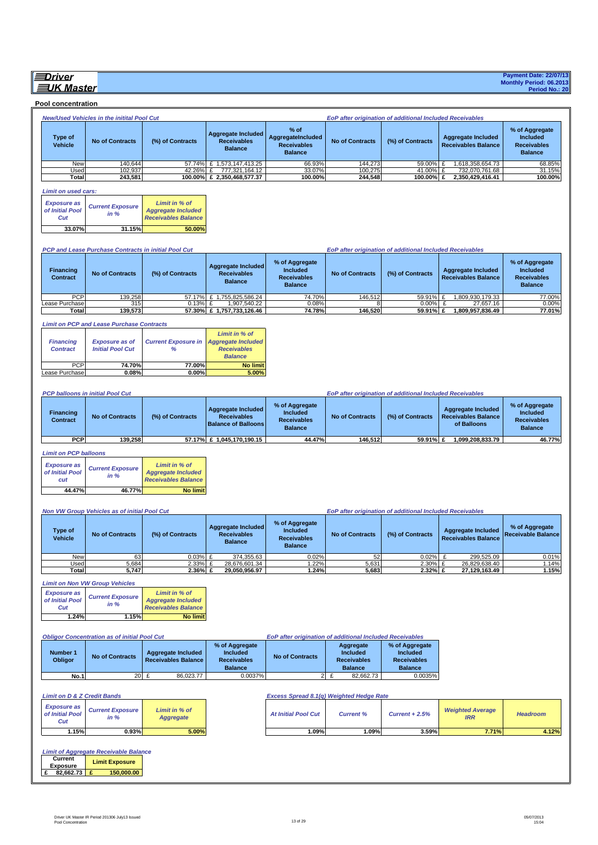#### **EDriver EUK Master**

 **Pool concentration**

|                                              | New/Used Vehicles in the initital Pool Cut                                                           |                                                                          |                                                                                    |                                                                    |                                                  | EoP after origination of additional Included Receivables |                                                                        |                                                                    |
|----------------------------------------------|------------------------------------------------------------------------------------------------------|--------------------------------------------------------------------------|------------------------------------------------------------------------------------|--------------------------------------------------------------------|--------------------------------------------------|----------------------------------------------------------|------------------------------------------------------------------------|--------------------------------------------------------------------|
| <b>Type of</b><br>Vehicle                    | <b>No of Contracts</b>                                                                               | (%) of Contracts                                                         | <b>Aggregate Included</b><br><b>Receivables</b><br><b>Balance</b>                  | % of<br>AggregateIncluded<br><b>Receivables</b><br><b>Balance</b>  | <b>No of Contracts</b>                           | (%) of Contracts                                         | <b>Aggregate Included</b><br><b>Receivables Balance</b>                | % of Aggregate<br>Included<br><b>Receivables</b><br><b>Balance</b> |
| New<br>Used                                  | 140,644<br>102.937                                                                                   | 42.26%                                                                   | 57.74% £ 1,573,147,413.25<br>£<br>777,321,164.12                                   | 66.93%<br>33.07%                                                   | 144,273<br>100,275                               | 59.00%<br>41.00% £                                       | 1,618,358,654.73<br>£<br>732,070,761.68                                | 68.85%<br>31.15%                                                   |
| Total                                        | 243,581                                                                                              |                                                                          | 100.00% £ 2,350,468,577.37                                                         | 100.00%                                                            | 244,548                                          | 100.00% £                                                | 2,350,429,416.41                                                       | 100.00%                                                            |
| Limit on used cars:                          |                                                                                                      |                                                                          |                                                                                    |                                                                    |                                                  |                                                          |                                                                        |                                                                    |
| <b>Exposure as</b><br>of Initial Pool<br>Cut | <b>Current Exposure</b><br>in %                                                                      | Limit in % of<br><b>Aggregate Included</b><br><b>Receivables Balance</b> |                                                                                    |                                                                    |                                                  |                                                          |                                                                        |                                                                    |
| 33.07%                                       | 31.15%                                                                                               | 50.00%                                                                   |                                                                                    |                                                                    |                                                  |                                                          |                                                                        |                                                                    |
|                                              |                                                                                                      |                                                                          |                                                                                    |                                                                    |                                                  |                                                          |                                                                        |                                                                    |
|                                              | PCP and Lease Purchase Contracts in initial Pool Cut                                                 |                                                                          |                                                                                    |                                                                    |                                                  | EoP after origination of additional Included Receivables |                                                                        |                                                                    |
| <b>Financing</b><br>Contract                 | <b>No of Contracts</b>                                                                               | (%) of Contracts                                                         | <b>Aggregate Included</b><br><b>Receivables</b><br><b>Balance</b>                  | % of Aggregate<br>Included<br><b>Receivables</b><br><b>Balance</b> | <b>No of Contracts</b>                           | (%) of Contracts                                         | <b>Aggregate Included</b><br><b>Receivables Balance</b>                | % of Aggregate<br>Included<br><b>Receivables</b><br><b>Balance</b> |
| PCP<br>Lease Purchase                        | 139,258<br>315                                                                                       | $0.13\%$ £                                                               | 57.17% £ 1,755,825,586.24<br>1,907,540.22                                          | 74.70%<br>0.08%                                                    | 146,512<br>8                                     | 59.91% £<br>$0.00\%$ £                                   | 1,809,930,179.33<br>27,657.16                                          | 77.00%<br>0.00%                                                    |
| Total                                        | 139,573                                                                                              |                                                                          | 57.30% £ 1,757,733,126.46                                                          | 74.78%                                                             | 146,520                                          | 59.91% £                                                 | 1,809,957,836.49                                                       | 77.01%                                                             |
|                                              |                                                                                                      |                                                                          |                                                                                    |                                                                    |                                                  |                                                          |                                                                        |                                                                    |
| <b>Financing</b><br><b>Contract</b>          | <b>Limit on PCP and Lease Purchase Contracts</b><br><b>Exposure as of</b><br><b>Initial Pool Cut</b> | <b>Current Exposure in</b><br>%                                          | Limit in % of<br><b>Aggregate Included</b><br><b>Receivables</b><br><b>Balance</b> |                                                                    |                                                  |                                                          |                                                                        |                                                                    |
| <b>PCP</b><br>Lease Purchase                 | 74.70%<br>0.08%                                                                                      | 77.00%<br>0.00%                                                          | <b>No limit</b><br>5.00%                                                           |                                                                    |                                                  |                                                          |                                                                        |                                                                    |
|                                              |                                                                                                      |                                                                          |                                                                                    |                                                                    |                                                  |                                                          |                                                                        |                                                                    |
|                                              | <b>PCP balloons in initial Pool Cut</b>                                                              |                                                                          |                                                                                    |                                                                    |                                                  | EoP after origination of additional Included Receivables |                                                                        |                                                                    |
| <b>Financing</b><br><b>Contract</b>          | <b>No of Contracts</b>                                                                               | (%) of Contracts                                                         | <b>Aggregate Included</b><br><b>Receivables</b><br><b>Balance of Balloons</b>      | % of Aggregate<br>Included<br><b>Receivables</b><br><b>Balance</b> | <b>No of Contracts</b>                           | (%) of Contracts                                         | <b>Aggregate Included</b><br><b>Receivables Balance</b><br>of Balloons | % of Aggregate<br>Included<br><b>Receivables</b><br><b>Balance</b> |
| <b>PCP</b>                                   | 139,258                                                                                              |                                                                          | 57.17% £ 1,045,170,190.15                                                          | 44.47%                                                             | 146,512                                          | 59.91% £                                                 | 1,099,208,833.79                                                       | 46.77%                                                             |
| <b>Limit on PCP balloons</b>                 |                                                                                                      |                                                                          |                                                                                    |                                                                    |                                                  |                                                          |                                                                        |                                                                    |
| <b>Exposure as</b><br>of Initial Pool<br>cut | <b>Current Exposure</b><br>in %                                                                      | Limit in % of<br><b>Aggregate Included</b><br><b>Receivables Balance</b> |                                                                                    |                                                                    |                                                  |                                                          |                                                                        |                                                                    |
| 44.47%                                       | 46.77%                                                                                               | <b>No limit</b>                                                          |                                                                                    |                                                                    |                                                  |                                                          |                                                                        |                                                                    |
|                                              |                                                                                                      |                                                                          |                                                                                    |                                                                    |                                                  |                                                          |                                                                        |                                                                    |
|                                              | Non VW Group Vehicles as of initial Pool Cut                                                         |                                                                          |                                                                                    |                                                                    |                                                  | EoP after origination of additional Included Receivables |                                                                        |                                                                    |
| Type of<br>Vehicle                           | <b>No of Contracts</b>                                                                               | (%) of Contracts<br>U U3% L                                              | Aggregate Included<br><b>Receivables</b><br><b>Balance</b><br>374 355 63           | % of Aggregate<br>Included<br><b>Receivables</b><br><b>Balance</b> | <b>No of Contracts</b>                           | (%) of Contracts<br>በ በ2% F                              | <b>Aggregate Included</b><br><b>Receivables Balance</b><br>299 525 09  | % of Aggregate<br>Receivable Balance                               |
| New<br>Used                                  | 63<br>5,684                                                                                          | 2.33% £                                                                  | 28,676,601.34                                                                      | 0.02%<br>1.22%                                                     | 52<br>5,631                                      | 2.30% £                                                  | 26,829,638.40                                                          | 0.01%<br>1.14%                                                     |
| Total                                        | 5,747                                                                                                | 2.36% £                                                                  | 29,050,956.97                                                                      | 1.24%                                                              | 5,683                                            | 2.32% £                                                  | 27,129,163.49                                                          | 1.15%                                                              |
|                                              | <b>Limit on Non VW Group Vehicles</b>                                                                |                                                                          |                                                                                    |                                                                    |                                                  |                                                          |                                                                        |                                                                    |
| <b>Exposure as</b><br>of Initial Pool<br>Cut | <b>Current Exposure</b><br>in %                                                                      | Limit in % of<br><b>Aggregate Included</b><br><b>Receivables Balance</b> |                                                                                    |                                                                    |                                                  |                                                          |                                                                        |                                                                    |
| 1.24%                                        | 1.15%                                                                                                | <b>No limit</b>                                                          |                                                                                    |                                                                    |                                                  |                                                          |                                                                        |                                                                    |
|                                              | <b>Obligor Concentration as of initial Pool Cut</b>                                                  |                                                                          |                                                                                    | EoP after origination of additional Included Receivables           |                                                  |                                                          |                                                                        |                                                                    |
|                                              |                                                                                                      |                                                                          | % of Aggregate                                                                     |                                                                    | Aggregate                                        | % of Aggregate                                           |                                                                        |                                                                    |
| Number 1<br>Obligor                          | <b>No of Contracts</b>                                                                               | <b>Aggregate Included</b><br><b>Receivables Balance</b>                  | Included<br><b>Receivables</b><br><b>Balance</b>                                   | <b>No of Contracts</b>                                             | Included<br><b>Receivables</b><br><b>Balance</b> | Included<br><b>Receivables</b><br><b>Balance</b>         |                                                                        |                                                                    |
| <b>No.1</b>                                  |                                                                                                      | 86,023.77<br>20 £                                                        | 0.0037%                                                                            |                                                                    | $2$ £<br>82,662.73                               | 0.0035%                                                  |                                                                        |                                                                    |
|                                              |                                                                                                      |                                                                          |                                                                                    |                                                                    |                                                  |                                                          |                                                                        |                                                                    |
| <b>Limit on D &amp; Z Credit Bands</b>       |                                                                                                      |                                                                          |                                                                                    | Excess Spread 8.1(q) Weighted Hedge Rate                           |                                                  |                                                          |                                                                        |                                                                    |
| <b>Exposure as</b><br>of Initial Pool<br>Cut | <b>Current Exposure</b><br>in %                                                                      | Limit in % of<br><b>Aggregate</b>                                        |                                                                                    | <b>At Initial Pool Cut</b>                                         | <b>Current %</b>                                 | Current $+2.5%$                                          | <b>Weighted Average</b><br><b>IRR</b>                                  | <b>Headroom</b>                                                    |
| 1.15%                                        | 0.93%                                                                                                | 5.00%                                                                    |                                                                                    | 1.09%                                                              | 1.09%                                            | 3.59%                                                    | 7.71%                                                                  | 4.12%                                                              |
| Current<br><b>Exposure</b><br>£<br>82,662.73 | <b>Limit of Aggregate Receivable Balance</b><br><b>Limit Exposure</b><br>150,000.00<br>£             |                                                                          |                                                                                    |                                                                    |                                                  |                                                          |                                                                        |                                                                    |

**Payment Date: 22/07/13 Monthly Period: 06.2013 Period No.: 20**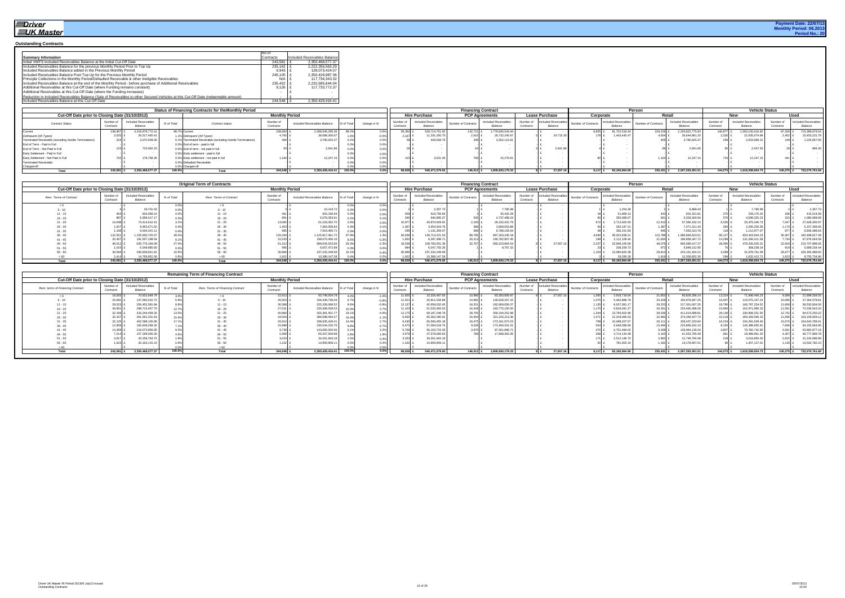#### **Outstanding Contracts**

|                                                                                                                                   | INo of      |                              |
|-----------------------------------------------------------------------------------------------------------------------------------|-------------|------------------------------|
| <b>Summary Information</b>                                                                                                        | Contracts   | Included Receivables Balance |
| Initial VWFS Included Receivables Balance at the Initial Cut-Off Date                                                             | $243.581$ £ | 2.350.468.577.37             |
| Included Receivables Balance for the previous Monthly Period Prior to Top Up                                                      | 235.162 £   | 2.222.356.563.29             |
| Included Receivables Balance added in the Previous Monthly Period                                                                 | $9.943$ £   | 128.073.424.07               |
| Included Receivables Balance Post Top Up for the Previous Monthly Period                                                          | $245.105$ £ | 2.350.429.987.36             |
| Principle Collections in the Monthly Period/Defaulted Receivable & other Ineligible Receivables                                   | $N/A$ $f$   | 117.734.343.32               |
| Included Receivables Balance at the end of the Monthly Period - before purchase of Additional Receivables                         | 235.422 £   | 2.232.695.644.04             |
| Additional Receivables at this Cut-Off Date (where Funding remains constant)                                                      | $9.126$ £   | 117.733.772.37               |
| Additional Receivables at this Cut-Off Date (where the Funding increases)                                                         |             |                              |
| Reduction in Included Receivables Balance (Sale of Receivables to other Secured Vehicles at this Cut-Off Date (redeemable amount) |             |                              |
| Included Receivables Balance at this Cut-Off Date                                                                                 | 244.548     | 2.350.429.416.41             |

|                                                        |                        |                                        | <b>Status of Financing Contracts for theMonthly Period</b> |                       |                              |             |           |                        |                                 | <b>Financing Contract</b> |                                        |                        |                                 |                     |                                 | Person                     |                                        |         | <b>Vehicle Status</b>                  |                     |                                 |
|--------------------------------------------------------|------------------------|----------------------------------------|------------------------------------------------------------|-----------------------|------------------------------|-------------|-----------|------------------------|---------------------------------|---------------------------|----------------------------------------|------------------------|---------------------------------|---------------------|---------------------------------|----------------------------|----------------------------------------|---------|----------------------------------------|---------------------|---------------------------------|
| Cut-Off Date prior to Closing Date (31/10/2012)        |                        |                                        |                                                            | <b>Monthly Period</b> |                              |             |           |                        | <b>Hire Purchase</b>            | <b>PCP Agreements</b>     |                                        |                        | <b>Lease Purchase</b>           | Corporate           |                                 |                            | Retail                                 |         |                                        |                     | Usec                            |
| <b>Contract Status</b>                                 | Number of<br>Contracts | <b>Included Receivables</b><br>Balance | % of Total<br>Contract status                              | Number<br>Contract    | Included Receivables Balance | % of Total  | change in | Number of<br>Contracts | Included Receivables<br>Balance | Number of Contracts       | <b>Included Receivables</b><br>Balance | Number of<br>Contract: | Included Receivables<br>Balance | Number of Contracts | Included Receivables<br>Balance | <b>Number of Contracts</b> | <b>Included Receivables</b><br>Balance | Number  | <b>Included Receivables</b><br>Balance | Number o<br>Contrac | Included Receivables<br>Balance |
| Current                                                | 238,907                | 319,978,772.41                         | 98.7% Current                                              | 238,083               | 2,308,545,295.               | 000<br>30.Z |           |                        | 528,714,751.92                  | 142,721                   | 1.779.830.543.44                       |                        |                                 |                     | 81,722,519.43                   | 229,22                     | 2,226,822,775.9                        | 140,877 | 1,593,155,616.82                       | 97,206 $\pm$        | 715,389,678.54                  |
| Delinquent (All Types)                                 |                        | 26,517,465.4                           | 1.1% Delinquent (All Types)                                | 4,782                 | 38,088,306.6                 |             | 0.5%      |                        | 1,331,350.7                     | 2,610 £                   | 26,732,240.67                          |                        | 24,715.30                       |                     | 1,443,445.4                     | 4.604                      | 36,644,861                             | 2,330   | 22,635,074.89                          | $2,452$ £           | 15,453,231.78                   |
| Terminated Receivable (excluding Hostile Terminations) |                        | 3.070.509.00                           | 1% Terminated Receivable (excluding Hostile Terminations)  | 406                   | 3,780,625.3                  |             | 0.0% .    |                        | 428,508.7                       | 348 £                     | 3,352,116.61                           |                        |                                 |                     |                                 |                            | 3.780.625.3                            | 258     | 2.553.668.3                            | 148                 | 1,226,957.06                    |
| End of Term - Paid in Full                             |                        |                                        | .0% End of term - paid in full                             |                       |                              |             |           |                        |                                 |                           |                                        |                        |                                 |                     |                                 |                            |                                        |         |                                        |                     |                                 |
| End of Term - Not Paid in Full                         |                        | 723,062.2                              | 0.0% End of term - not paid in full                        |                       | 2,941.                       |             | $0.0\%$   |                        |                                 |                           |                                        |                        | 2,941.86                        |                     |                                 |                            |                                        |         | 2,047.56                               |                     | 894.30                          |
| Early Settlement - Paid in Full                        |                        |                                        | 0% Early settlement - paid in full                         |                       |                              |             |           |                        |                                 |                           |                                        |                        |                                 |                     |                                 |                            |                                        |         |                                        |                     |                                 |
| Early Settlement - Not Paid in Full                    |                        | 178,768.3                              | .0% Early settlement - not paid in full                    |                       | 12,247.                      |             | $0.0\%$   |                        | 3,031.4                         |                           | 5,278.61                               |                        |                                 |                     |                                 |                            | 12,247.1                               |         | 12,247.1                               | 141                 |                                 |
| <b>Terminated Receivable</b>                           |                        |                                        | 0% Defaulted Receivable                                    |                       |                              |             |           |                        |                                 |                           |                                        |                        |                                 |                     |                                 |                            |                                        |         |                                        |                     |                                 |
| Charged-off                                            |                        |                                        | % Charged-off                                              |                       |                              |             |           |                        |                                 |                           |                                        |                        |                                 |                     |                                 |                            |                                        |         |                                        |                     |                                 |
| Total                                                  | 243,58                 | .350.468.577.3                         | 100.0%                                                     | 244,548               | 2,350,429,416.41             |             | $0.0\%$   |                        | 540,471,579.92                  | 146,512                   | 1,809,930,179.33                       |                        | 27,657.10                       |                     | 83,165,964.90                   | 235,431                    | 2,267,263,451.                         | 144.273 | 1,618,358,654.73                       | 100,275 £           | 732,070,761.68                  |

|                                                 |                       |                                 |            | <b>Original Term of Contracts</b> |                       |                              |            |             |                       |                                        | <b>Financing Contract</b>  |                                        |                        |                                 |                            |                                 | Person                     |                                        |                     | <b>Vehicle Status</b>           |                     |                                |
|-------------------------------------------------|-----------------------|---------------------------------|------------|-----------------------------------|-----------------------|------------------------------|------------|-------------|-----------------------|----------------------------------------|----------------------------|----------------------------------------|------------------------|---------------------------------|----------------------------|---------------------------------|----------------------------|----------------------------------------|---------------------|---------------------------------|---------------------|--------------------------------|
| Cut-Off Date prior to Closing Date (31/10/2012) |                       |                                 |            |                                   | <b>Monthly Period</b> |                              |            |             |                       | <b>Hire Purchase</b>                   |                            | <b>PCP Agreements</b>                  |                        | <b>Lease Purchase</b>           | Corporate                  |                                 | Retail                     |                                        |                     | New                             |                     | Used                           |
| Rem. Terms of Contract                          | Number o<br>Contracts | Included Receivables<br>Balance | % of Total | Rem. Terms of Contract            | Number<br>Contracts   | Included Receivables Balance | % of Total | change in 9 | Number o<br>Contracts | <b>Included Receivables</b><br>Balance | <b>Number of Contracts</b> | <b>Included Receivables</b><br>Balance | Number of<br>Contracts | Included Receivables<br>Balance | <b>Number of Contracts</b> | Included Receivables<br>Balance | <b>Number of Contracts</b> | <b>Included Receivables</b><br>Balance | Number<br>Contracts | Included Receivables<br>Balance | Number<br>Contract: | Included Receivable<br>Balance |
|                                                 |                       |                                 |            |                                   |                       |                              |            |             |                       |                                        |                            |                                        |                        |                                 |                            |                                 |                            |                                        |                     |                                 |                     |                                |
| $\sim$ 40                                       |                       | 29.701.                         |            |                                   |                       | 10,143.72                    |            |             |                       | 2,357.                                 |                            | 7,785.9                                |                        |                                 |                            | 1,254.28                        |                            | 8.889.4                                |                     | 7,785.9                         |                     | 2,357.7                        |
|                                                 |                       | 834.068                         |            |                                   |                       | 654,190.9                    |            |             |                       | 618,758.6                              |                            | 35,432.29                              |                        |                                 |                            | 51,869.1                        |                            | 602,321.8                              |                     | 239,176.2                       |                     | 415,014.6                      |
| $16 - 20$                                       |                       | 6.958.417.                      |            | $16 - 20$                         |                       | 5,678,393.9                  |            |             |                       | 940,895.                               |                            | 4.737.498.2                            |                        |                                 |                            | 350,089.0                       |                            | 5,328,304.8                            |                     | 4,598,325.2                     |                     | 1,080,068.6                    |
|                                                 |                       | 73.414.612.4                    |            |                                   | 3.082                 | 61,103,352.7                 |            |             |                       | 34.870.929.9                           |                            | 26,232,422.7                           |                        |                                 |                            | 3,712,920.55                    | 12,410                     | 57.390.432.1                           |                     | 33,475,046.                     | 7.547               | 27,628,305.9                   |
| $26 - 30$                                       |                       | 8.953.671                       |            |                                   |                       | 7.363.558.                   |            |             |                       | 3.454.504.7                            |                            | 3.909.053.8                            |                        |                                 |                            | 292,247.21                      | 397                        | 7.071.311.43                           |                     | 2.206.250.                      |                     | 5,157,308.0                    |
|                                                 |                       | 9.004.241.                      |            |                                   |                       | 7,919,465.7                  |            |             |                       | 131.309.0                              | 696                        | 6,788,156.6                            |                        |                                 |                            | 356,151.9                       | 946                        | 7,563,313.7                            |                     | 1,112,977.                      |                     | 6.806.488.6                    |
| $36 - 40$                                       | 122,5                 | .155.830.725.0                  | 49.2       | $36 - 40$                         | 120,434               | 1,125,917,461.7              |            |             |                       | 128,714,221.5                          | 89,795                     | 997,203,240.1                          |                        |                                 |                            | 9.022.838.2                     | 115,788                    | 086.894.623.5                          | 90.127              | 933,418,644.2                   | 30.307              | 192,498,817.                   |
| $41 - 45$                                       |                       | 191.507.198.0                   |            | $41 - 45$                         | 22,033                | 199,070,456                  |            |             |                       | 8.287.498.                             | 20,213                     | 190.782.957.                           |                        |                                 |                            | 112,108.44                      | 21,834                     | 196.958.347.7                          | 14.299              | 31,094,411.5                    | <sup>7</sup> 734    | 67,976,044.58                  |
| $46 - 50$                                       | 48.5                  | 635,776,184.0                   |            | $46 - 50$                         | 51,313                | 689,034,523                  |            |             |                       | 108,783,001.3                          | 32,767                     | 580,223,864.5                          |                        | 27,657.1                        | 2,231                      | 3,948,105.6                     | 49,076                     | 665,086,417.37                         | 28.395              | 478,326,625.                    | 22.918              | 210,707,898.0                  |
|                                                 |                       | 6.549.985.                      |            |                                   | -995                  | 6.057.472                    |            |             |                       | 6.047.705.3                            |                            | 9,767.3                                |                        |                                 |                            | 208,259.7                       | 372 L                      | 5.849.212.9                            |                     | 368,238.                        |                     | 5,689,234.44                   |
| $56 - 60$                                       | 30.58                 | 246.839.821.6                   |            |                                   | 30,966                | 237,232,249.5                |            |             |                       | 237, 232, 249.5                        |                            |                                        |                        |                                 |                            | 3.080.825.3                     | 29,813                     | 224, 151, 424.21                       |                     | 31,878,761.                     | 26.677              | 205, 353, 488.5                |
|                                                 |                       | 14.769.951.                     |            |                                   | 1.922                 | 10.388.147                   |            |             |                       | 10.388.147.5                           |                            |                                        |                        |                                 |                            | 29,295.28                       |                            | 10.358.852.3                           |                     | 1,632,412.                      |                     | 8,755,734.8                    |
| Total                                           | 243.58                | .350.468.577.37                 | 100.0      | Total                             | 244.548               | 2.350.429.416.4              | 100.0%     |             |                       | 540.471.579.92                         | 146.512                    | 1.809.930.179.33                       |                        | 27.657.10                       | 9.117                      | 3.165.964.9                     | 235.431                    | 2.267.263.451.5                        | 144.273             | .618.358.654.7                  | 100.275             | 732.070.761.68                 |

|                                                 |                        |                                 |            | <b>Remaining Term of Financing Contract</b> |                       |                              |            |             |                     |                                        | <b>Financing Contract</b> |                                        |                        |                                 |                            |                                | Person              |                                 |                       | <b>Vehicle Status</b>                  |                       |                                 |
|-------------------------------------------------|------------------------|---------------------------------|------------|---------------------------------------------|-----------------------|------------------------------|------------|-------------|---------------------|----------------------------------------|---------------------------|----------------------------------------|------------------------|---------------------------------|----------------------------|--------------------------------|---------------------|---------------------------------|-----------------------|----------------------------------------|-----------------------|---------------------------------|
| Cut-Off Date prior to Closing Date (31/10/2012) |                        |                                 |            |                                             | <b>Monthly Period</b> |                              |            |             |                     | <b>Hire Purchase</b>                   | <b>PCP Agreements</b>     |                                        |                        | <b>Lease Purchase</b>           | Corporate                  |                                |                     | Retail                          |                       | New                                    |                       | Used                            |
| Rem. terms of Financing Contract                | Number of<br>Contracts | Included Receivables<br>Balance | % of Total | Rem. Terms of Financing Contract            | Number<br>Contract:   | Included Receivables Balance | % of Total | change in 9 | Number<br>Contract: | <b>Included Receivables</b><br>Balance | Number of Contracts       | <b>Included Receivables</b><br>Balance | Number of<br>Contracts | Included Receivables<br>Balance | <b>Number of Contracts</b> | ncluded Receivables<br>Balance | Number of Contracts | Included Receivable:<br>Balance | Number o<br>Contracts | <b>Included Receivables</b><br>Balance | Number o<br>Contracts | Included Receivables<br>Balance |
|                                                 | 18.583                 | 70,832,649.79                   |            |                                             | 22,913                | 93,748,004.78                |            |             | 11.925              | 10,326,487.65                          | 10,980                    | 83.393.859.97                          |                        | 27,657.16                       | 1.060                      | 2.918.718.6                    | 21.853              | 90,829,286.                     | 13.324                | 71.848.446.2                           | 9.589                 | 21,899,558.55                   |
|                                                 | 24.081                 | 137,660,010.72                  |            |                                             | 26,503                | 156,439,736.0                |            | $-0.8%$     |                     | 25,811,528.8                           | 14,982                    | 130.628.207.15                         |                        |                                 |                            | 5.462.888.                     | 25,428              | 150,976,847.                    | 16,407                | 119,075,157.2                          | 10.096 £              | 37,364,578.81                   |
|                                                 | 29.523                 | 206,452,581.8                   |            |                                             | 30,388                | 225,328,088.5                |            |             |                     | 42.659.032.                            | 18,251 £                  | 182.669.056.0                          |                        |                                 |                            |                                | 29,253              | 217,301,007.                    | 18,780                | 166,797,254.5                          | 11,608                | 58,530,834.00                   |
| 16 - 20                                         | 34.951                 | 298,715,457.7                   |            |                                             | 27.531                | 235,308,539.53               |            |             |                     | 51.533.384.0                           | 16,428                    | 183,775,155.50                         |                        |                                 |                            | 9.816.041.                     | 26,361              | 225,492,498.2                   | 15,940                | 162,971,996.3                          | 11,591                | 72,336,543.20                   |
| $1 - 25$                                        | 32.169                 | 316, 244, 459. 2                |            | $21 - 25$                                   | 40,880                | 425,381,501.                 |            |             |                     | 69, 187, 248.7                         | 28,705 £                  | 356.194.252.98                         |                        |                                 |                            | 13.766.602.9                   | 39.536              | 411.614.898.                    | 28,138                | 330.808.251.5                          | 12.742                | 94,573,250.22                   |
| 26 - 30                                         | 32.167                 | 361,561,201.6                   |            | $26 - 30$                                   | 34,054                | 386,588,494.                 |            |             | 9.650.              | 65.362.280.9                           | 24,404 £                  | 321,226,213.36                         |                        |                                 |                            | 12.319.066.                    | 32,983              | 374,269,427.                    | 22,218                | 283,428,566.                           | $11,836$ L            | 103,159,928.12                  |
|                                                 | 32.125                 | 402,598,105.96                  |            |                                             | 26,910                | 338,935,428.4                |            |             |                     | 65.593.455.                            | 18.475                    | 273,341,973.23                         |                        |                                 |                            | 10.498.207.                    | 26.11               | 328,437,220.                    | 16,234                | 234,291,639.40                         | 10.676                | 104,643,789.01                  |
|                                                 | 12.959                 | 166,609,268.3                   |            | $36 - 40$                                   | 15.998                | 230,544,220.7                |            |             | 5.470               | 57.094.019.                            | 9,528                     | 173.450.201.01                         |                        |                                 |                            | 6.648.588.6                    | 15.494              | 223.895.632.                    | 8.150                 | 146.388.655.9                          | 7.848                 | 84, 155, 564.85                 |
|                                                 | 14,369                 | 219,073,956.95                  |            |                                             | 9,738                 | 143,665,620.0                |            | 3.2%        | 5.768               | 56, 103, 723.3                         | 3,970 £                   | 37,561,896.7                           |                        |                                 |                            | 6,701,484.0                    | 9,268               | 136,964,136.                    | 3.807                 | 79,782,742.9                           | 5,931 £               | 63,882,877.16                   |
|                                                 | 7.214                  | 107,299,005.3                   |            | $46 - 50$                                   | 5.368                 | 65,267,929.9                 |            |             |                     | 47.578.566.                            |                           | 7.689.363.3                            |                        |                                 |                            | 3.714.134.                     |                     | 61.553.795.                     |                       | 18.489.961.2                           | 4.407                 | 46,777,968.78                   |
|                                                 | 3.817                  | 43.258.764.                     |            |                                             |                       | 34,261,943.                  |            |             |                     | 34,261,943.                            |                           |                                        |                        |                                 |                            |                                | 2.862               | 31,749,794                      |                       | 3,018,856.3                            |                       | 31,243,086.88                   |
|                                                 | 623                    | 20, 163, 115.1                  |            | $56 - 60$                                   |                       | 14.959.909.                  |            |             |                     | 14,959,909                             |                           |                                        |                        |                                 |                            | 781,002.                       |                     | 14,178,907                      |                       | 1,457,127.0                            | 136                   | 13,502,782.1                    |
|                                                 |                        |                                 |            |                                             |                       |                              |            |             |                     |                                        |                           |                                        |                        |                                 |                            |                                |                     |                                 |                       |                                        |                       |                                 |
|                                                 | 243.581                | 2.350.468.577.37                | 100.0%     | Total                                       | 244.548               | 2,350,429,416.41             | 100.0%     | $0.0\%$     |                     | 540.471.579.9                          | 146.512                   | 1.809.930.179.3                        |                        | 27,657.1                        |                            | 83,165,964.90                  | 235.431             | 2,267,263,451.5                 | 144.273               | 1.618.358.654.7                        | 100.275               | 732,070,761.68                  |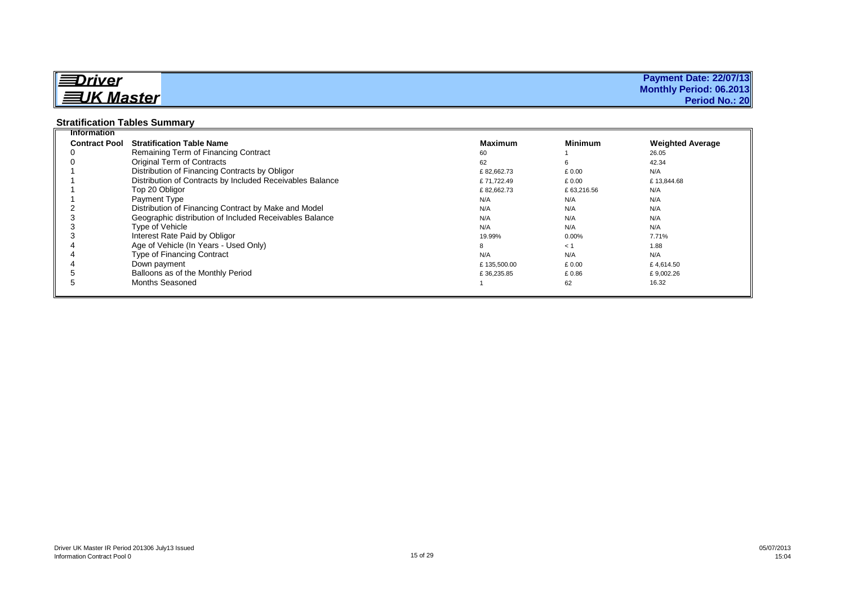| <u> I≡Driver</u>               | <b>Payment Date: 22/07/13</b> |
|--------------------------------|-------------------------------|
| $\parallel$ $\equiv$ UK Master | Monthly Period: 06.2013       |
|                                | <b>Period No.: 20</b>         |

### **Stratification Tables Summary**

| <b>Information</b>   |                                                           |                |                |                         |
|----------------------|-----------------------------------------------------------|----------------|----------------|-------------------------|
| <b>Contract Pool</b> | <b>Stratification Table Name</b>                          | <b>Maximum</b> | <b>Minimum</b> | <b>Weighted Average</b> |
|                      | Remaining Term of Financing Contract                      | 60             |                | 26.05                   |
|                      | Original Term of Contracts                                | 62             | 6              | 42.34                   |
|                      | Distribution of Financing Contracts by Obligor            | £82.662.73     | £0.00          | N/A                     |
|                      | Distribution of Contracts by Included Receivables Balance | £71.722.49     | £ 0.00         | £13.844.68              |
|                      | Top 20 Obligor                                            | £82,662.73     | £63,216.56     | N/A                     |
|                      | Payment Type                                              | N/A            | N/A            | N/A                     |
|                      | Distribution of Financing Contract by Make and Model      | N/A            | N/A            | N/A                     |
|                      | Geographic distribution of Included Receivables Balance   | N/A            | N/A            | N/A                     |
|                      | Type of Vehicle                                           | N/A            | N/A            | N/A                     |
|                      | Interest Rate Paid by Obligor                             | 19.99%         | $0.00\%$       | 7.71%                   |
|                      | Age of Vehicle (In Years - Used Only)                     | 8              | < 1            | 1.88                    |
|                      | <b>Type of Financing Contract</b>                         | N/A            | N/A            | N/A                     |
|                      | Down payment                                              | £135,500.00    | £0.00          | £4,614.50               |
|                      | Balloons as of the Monthly Period                         | £36,235.85     | £0.86          | £9,002.26               |
|                      | <b>Months Seasoned</b>                                    |                | 62             | 16.32                   |
|                      |                                                           |                |                |                         |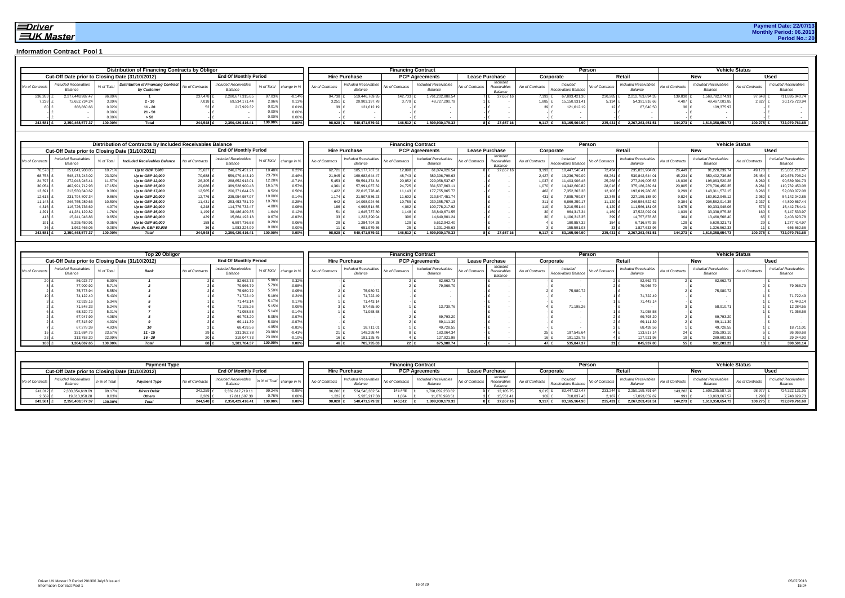#### **Payment Date: 22/07/13 Monthly Period: 06.2013 Period No.: 20**

|                 |                                                 |            | Distribution of Financing Contracts by Obligor           |                 |                                        |         |          |                                        |                                        | <b>Financing Contract</b> |                                        |                 |                                   |                 |                                 | Person         |                                        |                 |                                 | <b>Vehicle Status</b> |                                        |
|-----------------|-------------------------------------------------|------------|----------------------------------------------------------|-----------------|----------------------------------------|---------|----------|----------------------------------------|----------------------------------------|---------------------------|----------------------------------------|-----------------|-----------------------------------|-----------------|---------------------------------|----------------|----------------------------------------|-----------------|---------------------------------|-----------------------|----------------------------------------|
|                 | Cut-Off Date prior to Closing Date (31/10/2012) |            |                                                          |                 | <b>End Of Monthly Period</b>           |         |          |                                        | <b>Hire Purchase</b>                   |                           | <b>PCP Agreements</b>                  |                 | <b>Lease Purchase</b>             |                 | Corporate                       |                | Retai                                  |                 | New                             | Usec                  |                                        |
| No of Contracts | Included Receivables<br>Balance                 | % of Total | <b>Distribution of Financing Contract</b><br>by Customer | Vo of Contracts | <b>Included Receivables</b><br>Balance |         |          | % of Total change in % No of Contracts | <b>Included Receivables</b><br>Balance | No of Contracts           | <b>Included Receivables</b><br>Balance | No of Contracts | Included<br>Receivable<br>Balance | No of Contracts | Included<br>Receivables Balance | No of Contract | <b>Included Receivables</b><br>Balance | No of Contracts | Included Receivables<br>Balance | No of Contracts       | <b>Included Receivables</b><br>Balance |
| 236,263         | 2.277.448.982.47                                | 96.89      |                                                          | 237,478         | 2.280.677.315.65                       |         | $0.14\%$ | 94.738                                 | 519,446,769.95                         | 142,733                   | 761,202,888.54                         |                 | 27.657.16                         | 7.193.          | 67,893,421.30                   | 230,285        | 2.212.783.894.3                        | 139,830         | 1.568.782.274.91                | $97.648$ .            | 711,895,040.74                         |
| 7,238           | 72,652,734.24                                   |            | $2 - 10$                                                 | 7,018           | 69,534,171.44                          |         | 0.13%    | 3,251                                  | 20,903,197.7                           | 3.779 £                   | 48,727,290.79                          |                 |                                   |                 | 15,150,931.41                   | 5.134 £        | 54,391,916.66                          | 4.407           | 49,467,003.85                   | $2,627$ 1             | 20,175,720.94                          |
|                 | 366,860.6                                       |            | $11 - 20$                                                |                 | 217.929.3                              |         | 0.01%    |                                        | 121.612.19                             |                           |                                        |                 |                                   |                 | 121.612.19                      |                | 87.640.5                               |                 | 109,375.9                       |                       |                                        |
|                 |                                                 |            | $21 - 50$                                                |                 |                                        |         | $0.00\%$ |                                        |                                        |                           |                                        |                 |                                   |                 |                                 |                |                                        |                 |                                 |                       |                                        |
|                 |                                                 |            | > 50                                                     |                 |                                        |         | $0.00\%$ |                                        |                                        |                           |                                        |                 |                                   |                 |                                 |                |                                        |                 |                                 |                       |                                        |
| 243,581         | 2,350,468,577.37                                | 100.00%    | <b>Total</b>                                             | 244,548         | 2,350,429,416.41                       | 100.00% | $0.00\%$ | 98.028                                 | 540.471.579.92                         | 146,512                   | 1.809.930.179.33                       |                 | 27,657.16                         | 9.117           | 83,165,964.90                   | 235,431 £      | 2.267.263.451.51                       | 144,273         | 1,618,358,654.73                | 100,275 £             | 732,070,761.68                         |

|                 |                                                 |           | Distribution of Contracts by Included Receivables Balance |                 |                                        |            |          |                             |                                        | <b>Financing Contract</b> |                                        |                                                       |                 |                                 | Person          |                                        |                 |                                        | <b>Vehicle Status</b> |                                        |
|-----------------|-------------------------------------------------|-----------|-----------------------------------------------------------|-----------------|----------------------------------------|------------|----------|-----------------------------|----------------------------------------|---------------------------|----------------------------------------|-------------------------------------------------------|-----------------|---------------------------------|-----------------|----------------------------------------|-----------------|----------------------------------------|-----------------------|----------------------------------------|
|                 | Cut-Off Date prior to Closing Date (31/10/2012) |           |                                                           |                 | <b>End Of Monthly Period</b>           |            |          |                             | <b>Hire Purchase</b>                   |                           | <b>PCP Agreements</b>                  | <b>Lease Purchase</b>                                 |                 | Corporate                       |                 | Retail                                 |                 | New                                    |                       | Used                                   |
| No of Contracts | <b>Included Receivables</b><br>Balance          | % of Tota | <b>Included Receivables Balance</b>                       | No of Contracts | <b>Included Receivables</b><br>Balance | % of Total |          | change in % No of Contracts | <b>Included Receivables</b><br>Balance | No of Contracts           | <b>Included Receivables</b><br>Balance | Included<br>No of Contracts<br>Receivables<br>Balance | No of Contracts | Included<br>Receivables Balance | No of Contracts | <b>Included Receivables</b><br>Balance | No of Contracts | <b>Included Receivables</b><br>Balance | No of Contracts       | <b>Included Receivables</b><br>Balance |
| 76,578          | 251,641,908.05                                  | 10.71%    | Up to GBP 7,000                                           | 75,627          | 246,279,451.21                         | 10.48%     | 0.23%    | 62.721                      | 185, 177, 767.51                       | 12.898                    | 61,074,026.54                          | 27,657.16                                             |                 | 3,193<br>10.447.546.41          | 72.434          | 235.831.904.8                          | 26,449          | 91,228,239.74                          | 49.178                | 155,051,211.47                         |
| 68,758          | 548, 173, 243.02                                | 23.32%    | Up to GBP 10.000                                          | 70.688          | 559,079,443.10                         | 23.79%     | $-0.46%$ | 21,945                      | 169.682.644.47                         | 48.743                    | 389,396,798.63                         |                                                       |                 | 19,236,799.0<br>2,427           | 68,261          | 539.842.644.0                          | 45,234          | 359,402,736.86                         | 25,454                | 199,676,706.24                         |
| 24,797          | 272,043,945.41                                  | 11.57%    | Up to GBP 12,000                                          | 26,305 £        | 288,652,912.01                         | 12.28%     | $-0.71%$ | 5,453                       | 59,594,374.34                          | 20,852                    | 229,058,537.67                         |                                                       |                 | 11,403,906.46<br>1,037          | 25,268          | 277,249,005.53                         | 18,036          | 198,063,520.28                         | 8,269                 | 90,589,391.73                          |
| 30,054          | 402,991,712.93                                  | 17.15%    | Up to GBP 15,000                                          | 29,086          | 389,528,900.43                         | 16.57%     | 0.57%    | 4,361                       | 57,991,037.32                          | 24,725 \$                 | 331,537,863.1                          |                                                       |                 | 14,342,660.82                   | 28,016          | 375,186,239.6                          | 20,805          | 278,796,450.35                         | 8,281                 | 110,732,450.08                         |
| 13,391          | 213,550,840.62                                  | 9.09%     | Up to GBP 17,000                                          | 12,565          | 200,371,644.23                         | 8.52%I     | 0.56%    | 1,422                       | 22,615,778.46                          | $11,143$ £                | 177,755,865.77                         |                                                       |                 | 7,352,363.3<br>462              | 12,103          | 193,019,280.8                          | 9,299           | 148,311,572.15                         | 3,266                 | 52,060,072.08                          |
| 12,613          | 231,794,807.34                                  | 9.86%     | Up to GBP 20,000                                          | 12.776 1        | 235,054,987.97                         | 10.00%     | $-0.14%$ | 1.174                       | 21,507,536.23                          | 11,602 \$                 | 213,547,451.74                         |                                                       |                 | 7,895,799.0                     | $12,345$ .      | 227, 159, 188.9                        | 9.824 f         | 180,912,945.1                          | 2,952                 | 54, 142, 042.85                        |
| 11,143          | 246,765,289.66                                  | 10.50%    | Up to GBP 25,000                                          | 11.431          | 253,453,781.79                         | 10.78%     | $-0.28%$ | 642                         | 14.098.024.66                          | 10,789 \$                 | 239,355,757.13                         |                                                       |                 | 6,869,259.1                     | 11.120          | 246.584.522.6                          | 9.394 f         | 208,562,914.35                         | 2,037                 | 44,890,867.44                          |
| 4,316           | 116,726,736.69                                  | 4.97%     | Up to GBP 30,000                                          | 4.248           | 114,776,732.47                         | 4.88%      | 0.08%    | 1861                        | 4,998,514.55                           | $4.062$ £                 | 109,778,217.92                         |                                                       |                 | 3,210,551.4                     | 4,129           | 11,566,181.0                           | 3,675           | 99,333,948.0                           | 573                   | 15,442,784.41                          |
| 1,291           | 41,281,129.82                                   | 1.76%     | Up to GBP 35,000                                          | $1.199$ f       | 38,486,409.35                          | 1.64%      | 0.12%    |                             | 1,645,737.80                           | $1.148$ £                 | 36,840,671.55                          |                                                       |                 | 964,317.34                      | 1,169           | 37,522,092.0                           | 1.039           | 33,338,875.38                          | 160 <sub>1</sub>      | 5,147,533.97                           |
|                 | 15,241,046.86                                   | $0.65\%$  | Up to GBP 40,000                                          | 429 £           | 15.864.192.18                          | 0.67%      | $-0.03%$ |                             | 1,223,390.9                            | 396 £                     | 14,640,801.24                          |                                                       |                 | 1,106,313.3                     | 399             | 14,757,878.83                          | 364 £           | 13,460,568.40                          |                       | 2,403,623.78                           |
|                 | 8,295,450.91                                    | 0.35%     | Up to GBP 50,000                                          | 158 Ł           | 6,897,736.68                           | 0.29%      | 0.06%    |                             | 1,284,794.28                           | 129 £                     | 5,612,942.40                           |                                                       |                 | 180,857.3                       | 154             | 6,716,879.                             |                 | 5,620,321.7                            |                       | 1,277,414.97                           |
|                 | 1.962.466.06                                    |           | More th. GBP 50.000                                       |                 | 1.983.224.99                           |            | 0.00%    |                             | 651.979.3                              |                           | 1.331.245.63                           |                                                       |                 | 155,591.0                       |                 | 1.827.633.9                            |                 | 1.326.562.3                            |                       | 656,662.66                             |
| 243.581         | 2.350.468.577.37                                | 100.00%   | Total                                                     | 244.548         | 2,350,429,416.41                       | 100.00%    | $0.00\%$ | 98.028                      | 540.471.579.92                         | 146.512                   | 1,809,930,179.33                       | 27,657.16                                             |                 | $9.117$ £<br>83.165.964.90      | 235.431 £       | 2.267.263.451.51                       | 144.273         | 1.618.358.654.73                       | 100,275               | 732,070,761.68                         |

|                 |                                                 |            | Top 20 Obligor |                 |                                        |         |          |                                        |                                        |                 | <b>Financing Contract</b>              |                 |                                    |                 |                                 | Person          |                                        |                 |                                        | <b>Vehicle Status</b> |                                        |
|-----------------|-------------------------------------------------|------------|----------------|-----------------|----------------------------------------|---------|----------|----------------------------------------|----------------------------------------|-----------------|----------------------------------------|-----------------|------------------------------------|-----------------|---------------------------------|-----------------|----------------------------------------|-----------------|----------------------------------------|-----------------------|----------------------------------------|
|                 | Cut-Off Date prior to Closing Date (31/10/2012) |            |                |                 | <b>End Of Monthly Period</b>           |         |          |                                        | <b>Hire Purchase</b>                   |                 | <b>PCP Agreements</b>                  |                 | <b>Lease Purchase</b>              |                 | Corporate                       |                 | Retail                                 |                 | New                                    |                       | Used                                   |
| No of Contracts | <b>Included Receivables</b><br>Balance          | % of Total | Rank           | No of Contracts | <b>Included Receivables</b><br>Balance |         |          | % of Total change in % No of Contracts | <b>Included Receivables</b><br>Balance | No of Contracts | <b>Included Receivables</b><br>Balance | No of Contracts | Included<br>Receivables<br>Balance | No of Contracts | Included<br>Receivables Balance | No of Contracts | <b>Included Receivables</b><br>Balance | No of Contracts | <b>Included Receivables</b><br>Balance | No of Contracts       | <b>Included Receivables</b><br>Balance |
|                 | 86,023.77                                       |            |                |                 | 82,662.73                              | 5.98%   | 0.32%    |                                        |                                        |                 | 82,662.73                              |                 |                                    |                 |                                 |                 | 82,662.7                               |                 | 82,662.73                              |                       |                                        |
|                 | 77,909.92                                       |            |                |                 | 79,966.79                              | 5.79%   | $-0.08%$ |                                        |                                        |                 | 79,966.79                              |                 |                                    |                 |                                 |                 | 79,966.7                               |                 |                                        |                       | 79,966.79                              |
|                 | 75,773.94                                       |            |                |                 | 75,980.72                              | 5.50%   | 0.05%    |                                        | 75,980.72                              |                 |                                        |                 |                                    |                 | 75,980.7                        |                 |                                        |                 | 75,980.7                               |                       |                                        |
|                 | 74,122.4                                        | 5.43%      |                |                 | 71,722.49                              | 5.19%   | 0.24%    |                                        | 71,722.49                              |                 |                                        |                 |                                    |                 |                                 |                 | 71,722.49                              |                 |                                        |                       | 71,722.49                              |
|                 | 72,928.1                                        | 5.34%      |                |                 | 71,443.14                              |         | 0.17%    |                                        | 71,443.1                               |                 |                                        |                 |                                    |                 |                                 |                 | 71,443.14                              |                 |                                        |                       | 71,443.14                              |
|                 | 71,548.33                                       |            |                |                 | 71,195.26                              | 5.15%   | 0.09%    |                                        | 57,455.50                              |                 | 13,739.7                               |                 |                                    |                 | 71,195.2                        |                 |                                        |                 | 58,910.71                              |                       | 12,284.55                              |
|                 | 68,320.72                                       |            |                |                 | 71,058.58                              | 5.14%   | $-0.14%$ |                                        | 71,058.58                              |                 |                                        |                 |                                    |                 |                                 |                 | 71,058.58                              |                 |                                        |                       | 71,058.58                              |
|                 | 67,947.9                                        |            |                |                 | 69,793.20                              | 5.05%   | $-0.07%$ |                                        |                                        |                 | 69,793.20                              |                 |                                    |                 |                                 |                 | 69,793.20                              |                 | 69,793.2                               |                       |                                        |
|                 | 67,315.97                                       |            |                |                 | 69,111.39                              | 5.00%   | $-0.07%$ |                                        |                                        |                 | 69,111.3                               |                 |                                    |                 |                                 |                 | 69,111.3                               |                 | 69,111.39                              |                       |                                        |
|                 | 67,278.3                                        |            |                |                 | 68,439.56                              | 4.95%   | $-0.02%$ |                                        | 18,711.0                               |                 | 49,728.55                              |                 |                                    |                 |                                 |                 | 68,439.56                              |                 | 49,728.55                              |                       | 18,711.01                              |
|                 | 321,684.76                                      |            | $11 - 15$      |                 | 331,362.78                             | 23.98%  | $-0.41%$ |                                        | 148,298.44                             |                 | 183,064.34                             |                 |                                    |                 | 197.545.6                       |                 | 133.817.1                              |                 | 295,293.1                              |                       | 36,069.68                              |
|                 | 313,753.3                                       |            | $16 - 20$      |                 | 319,047.73                             | 23.09%  | $-0.10%$ |                                        | 191,125.7                              |                 | 127,921.98                             |                 |                                    |                 | 191,125.7                       |                 | 127,921.9                              |                 | 289,802.8                              |                       | 29,244.90                              |
| 100 $\epsilon$  | 1.364.607.65                                    | 100.00%    | <b>Total</b>   |                 | 1.381.784.37                           | 100.00% | $0.00\%$ |                                        | 705,795.63                             |                 | 675.988.74<br>$22$ £                   |                 |                                    |                 | 535.847.37                      | 21 $E$          | 845.937.00                             |                 | 991.283.23                             | $13$ £                | 390,501.14                             |

|                 |                                                 |         | <b>Payment Type</b> |                 |                                        |                         |          |             |                                 |                 | <b>Financing Contract</b>       |                                            |                 | Persor                          |         |                                 |                 |                                        | <b>Vehicle Status</b> |                                        |
|-----------------|-------------------------------------------------|---------|---------------------|-----------------|----------------------------------------|-------------------------|----------|-------------|---------------------------------|-----------------|---------------------------------|--------------------------------------------|-----------------|---------------------------------|---------|---------------------------------|-----------------|----------------------------------------|-----------------------|----------------------------------------|
|                 | Cut-Off Date prior to Closing Date (31/10/2012) |         |                     |                 | <b>End Of Monthly Period</b>           |                         |          |             | <b>Hire Purchase</b>            |                 | <b>PCP Agreements</b>           | <b>Lease Purchase</b>                      |                 | Corporate                       |         | <b>Retai</b>                    |                 | <b>IACM</b>                            |                       | Used                                   |
| No of Contracts | Included Receivables                            |         | <b>Payment Type</b> | No of Contracts | <b>Included Receivables</b><br>Balance | in % of Total change in |          | of Contract | Included Receivables<br>Balance | No of Contracts | Included Receivables<br>Balance | Included<br>No of Contracts<br>Receivables | No of Contracts | Included<br>Receivables Balance |         | Included Receivables<br>Balance | No of Contracts | <b>Included Receivables</b><br>Balance | No of Contracts       | <b>Included Receivables</b><br>Balance |
| 241,012         | 1.330.854.619.09                                | 99.17%  | <b>Direct Debit</b> | 242,259         | 2.332.617.719.1                        | 99.24%                  |          | 96.806      | 534.546.362.54                  | 145,448         | 1.798.059.250.82                | 12,105.75                                  | 9.015           | 2.447.927.47                    | 233,244 | 2.250.169.791.                  | 143.282         | 1,608,295,587.16                       | 98,977                | 724,322,131.95                         |
| 2,569           | 19,613,958.28                                   | 0.83%   | <b>Others</b>       | 2,289           | 17,811,697.                            |                         | 0.08%    | 1.2221      | 5,925,217.38                    | 1,064           | 11,870,928.51                   |                                            |                 | 718,037.43                      | 2.187   | 17.093.659.87                   |                 | 10,063,067.5                           | 1,298                 | 7,748,629.73                           |
| 243,581 £       | 2.350.468.577.37                                | 100.00% | <b>Total</b>        | 244,548         | 2,350,429,416.4                        | 100.00%                 | $0.00\%$ | 98,028      | 540,471,579.92                  | 146,512         | 1,809,930,179.33                | 27,657.16                                  | $9.117$ .       | 83,165,964.90                   | 235,431 | 2.267.263.451.51                | 144,273         | 1,618,358,654.73                       | 100,275 £             | 732,070,761.68                         |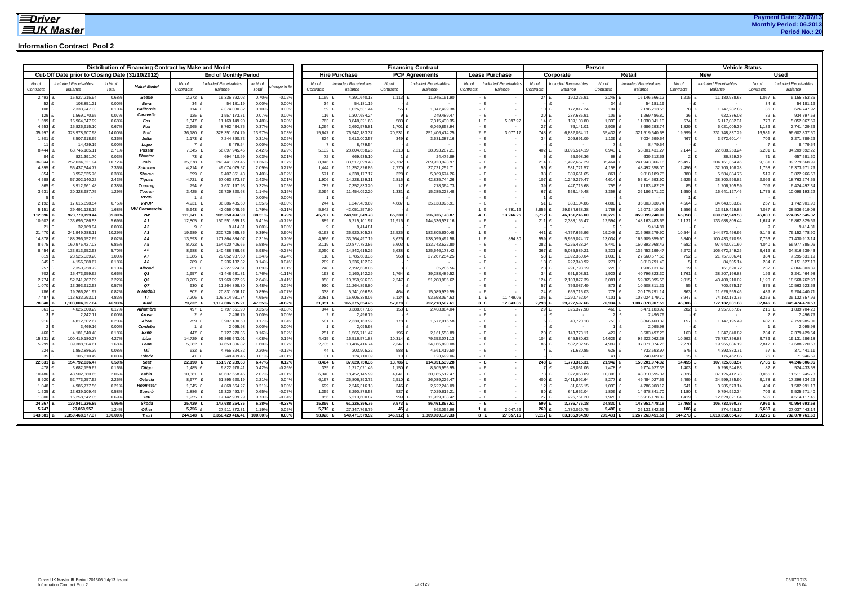|                    |                                                 |                  | Distribution of Financing Contract by Make and Model |                    |                                        |                  |                      |                      |                                        |                    | <b>Financing Contract</b>              |                       |                               |                          |                                | Person                 |                                        |                        | <b>Vehicle Status</b>         |                              |                                |
|--------------------|-------------------------------------------------|------------------|------------------------------------------------------|--------------------|----------------------------------------|------------------|----------------------|----------------------|----------------------------------------|--------------------|----------------------------------------|-----------------------|-------------------------------|--------------------------|--------------------------------|------------------------|----------------------------------------|------------------------|-------------------------------|------------------------------|--------------------------------|
|                    | Cut-Off Date prior to Closing Date (31/10/2012) |                  |                                                      |                    | <b>End of Monthly Period</b>           |                  |                      | <b>Hire Purchase</b> |                                        |                    | <b>PCP Agreements</b>                  | <b>Lease Purchase</b> |                               |                          | Corporate                      |                        | Retail                                 |                        | <b>New</b>                    |                              | <b>Used</b>                    |
|                    |                                                 |                  |                                                      |                    |                                        |                  |                      | No of                |                                        | No of              |                                        | No of                 |                               | No of                    |                                | No of                  |                                        | No of                  | <b>Included Receivables</b>   | No of                        | Included Receivables           |
| No of<br>Contracts | <b>Included Receivables</b><br>Balance          | in % of<br>Total | Make/Model                                           | No of<br>Contracts | <b>Included Receivables</b><br>Balance | in % of<br>Total | nange in !           | Contracts            | <b>Included Receivables</b><br>Balance | Contracts          | <b>Included Receivables</b><br>Balance | Contracts             | cluded Receivables<br>Balance | Contracts                | ncluded Receivables<br>Balance | Contracts              | <b>Included Receivables</b><br>Balance | Contracts              | Balance                       | Contracts                    | Balance                        |
| 2,493              | 15,927,215.94                                   | 0.68%            | <b>Beetle</b>                                        | 2,272              | 16,336,792.03                          | 0.70%            | $-0.02%$             | 1,159                | 4,391,640.13                           | 1,113              | 11,945,151.90                          |                       |                               | 24                       | 190,225.91                     | 2,248                  | 16,146,566.12                          | $1,215$ f              | 11,180,938.68                 | 1,057                        | 5,155,853.35                   |
| 52                 | 108,851.21                                      | 0.00%            | <b>Bora</b>                                          | $34 \text{ } f$    | 54,181.19                              | 0.00%            | 0.00%                | 34                   | 54,181.19                              |                    |                                        |                       | $\sim$                        |                          |                                | $34 \text{ } f$        | 54,181.1                               |                        |                               | 34 £                         | 54,181.19                      |
| 108                | 2,333,947.33                                    | 0.10%            | California                                           | 114 £              | 2,374,030.82                           | 0.10%            | 0.00%                | 59                   | 1,026,531.44                           | 55                 | 1,347,499.38                           |                       |                               | 10 <sup>1</sup>          | 177,817.24                     | 104 £                  | 2,196,213.58                           | 78 £                   | 1,747,282.85                  | $36$ $f$                     | 626,747.97                     |
| 129                | 1,569,070.55                                    | 0.07%            | Caravelle                                            | $125$ £            | 1,557,173.71                           | 0.07%            | 0.00%                | 116                  | 1,307,684.24                           | 9                  | 249,489.47                             |                       |                               | 20 <sup>1</sup>          | 287,686.91                     | 105                    | 1,269,486.80                           | 36 <sup>1</sup>        | 622,376.08                    | 89                           | 934,797.63                     |
| 1,699<br>4,553     | 15,964,347.99<br>15,826,915.10                  | 0.68%<br>0.67%   | Eos<br>Fox                                           | 1,347<br>$2,965$ £ | 11,169,149.90<br>8,762,434.75          | 0.48%<br>0.37%   | 0.20%<br>0.30%       | 763<br>1,264         | 3,848,321.63<br>2,692,575.81           | 583<br>1,701 £     | 7,315,430.35<br>6,069,858.94           | 1 £<br>l £            | 5,397.92                      | 14 £<br>$27$ f           | 139,108.80<br>76,141.01        | 1,333 $E$<br>$2,938$ £ | 11,030,041.1<br>8,686,293.74           | 574 £<br>1,829 £       | 6,117,082.31<br>6,021,005.39  | 773 £<br>1,136 £             | 5,052,067.59<br>2,741,429.36   |
| 35,997             | 328,978,907.98                                  | 14.00%           | Golf                                                 | 36,180             | 328,351,674.79                         | 13.97%           | 0.03%                | 15,647               | 76,942,183.37                          | 20,531             | 251,406,414.25                         |                       | 3.077.17                      | 748 £                    | 6,832,034.1                    | 35,432 £               | 321,519,640.68                         | 19,599 £               | 231,748,837.29                | 16,581 £                     | 96,602,837.50                  |
| 1,301 £            | 8,507,618.69                                    | 0.36%            | Jetta                                                | $1,173$ £          | 7,244,390.73                           | 0.31%            | 0.05%                | 824                  | 3,613,003.57                           | 349 £              | 3,631,387.16                           |                       |                               | $34$ f                   | 209,691.09                     | 1,139 $E$              | 7,034,699.64                           | 467 £                  | 3,972,601.44                  | 706 £                        | 3,271,789.29                   |
| $11$ £             | 14,429.19                                       | 0.00%            | Lupo                                                 |                    | 8,479.54                               | 0.00%            | 0.00%                |                      | 8,479.54                               |                    |                                        |                       |                               |                          |                                |                        | 8,479.54                               |                        |                               |                              | 8,479.54                       |
| 8,444              | 63,746,185.11                                   | 2.71%            | Passat                                               | 7,345              | 56,897,945.46                          | 2.42%            | 0.29%                | 5,132                | 28,804,658.25                          | $2,213$ £          | 28,093,287.21                          |                       |                               | 402 £                    | 3,096,514.19                   | $6,943 \pm 2$          | 53,801,431.27                          | $2,144$ £              | 22,688,253.24                 | 5,201                        | 34,209,692.22                  |
| 84                 | 821,391.70                                      | 0.03%            | Phaeton                                              | 73 £               | 694.410.99                             | 0.03%            | 0.01%                | 72                   | 669.935.10                             |                    | 24,475.89                              |                       |                               |                          | 55.098.36                      | 68                     | 639,312.63                             |                        | 36,829.39                     | 71 £                         | 657,581.60                     |
| 36,044             | 252,034,321.94                                  | 10.72%           | Polo                                                 | 35,678             | 243,441,023.45                         | 10.36%           | 0.37%                | 8,946                | 33,517,099.48                          | 26,732             | 209,923,923.97                         |                       |                               | $214$ £                  | 1,497,657.29                   | 35,464 £               | 241,943,366.1                          | 26,497                 | 204, 161, 354. 46             | $9,181$ £                    | 39,279,668.99                  |
| 4,395              | 55,437,544.77                                   | 2.36%            | Scirocco                                             | 4,214              | 49,074,079.57                          | 2.09%            | 0.27%                | 1,444                | 11,352,826.86                          | 2,770              | 37,721,252.71                          |                       | $\sim$                        | 56                       | 581,721.57                     | 4,158                  | 48,492,358.00                          | 2,456                  | 32,700,108.28                 | 1,758 £                      | 16,373,971.29                  |
| 854 £<br>4.588     | 8,957,535.76<br>57,202,140.22                   | 0.38%<br>2.43%   | <b>Sharan</b><br><b>Tiguan</b>                       | 899 £<br>4,721     | 9,407,851.43<br>57,063,873.37          | 0.40%<br>2.43%   | $-0.02%$<br>0.01%    | 571<br>1,906         | 4,338,177.17<br>14,228,129.11          | 328 £<br>$2,815$ £ | 5,069,674.26<br>42,835,744.26          |                       |                               | $38$ $f$<br>107 £        | 389,661.65<br>1,249,279.47     | 861 £<br>4,614 £       | 9,018,189.78<br>55,814,593.90          | 380 £<br>$2,625$ £     | 5,584,884.75<br>38,300,598.82 | 519 £<br>$2,096$ £           | 3,822,966.68<br>18,763,274.55  |
| 865                | 8,912,961.48                                    | 0.38%            | <b>Touareg</b>                                       | 794 £              | 7,631,197.93                           | 0.32%            | 0.05%                | 782                  | 7,352,833.20                           | $12$ £             | 278,364.73                             |                       |                               | 39 <sub>1</sub>          | 447,715.68                     | 755 £                  | 7,183,482.25                           | 85 £                   | 1,206,705.59                  | 709 £                        | 6,424,492.34                   |
| 3,631              | 30,328,987.75                                   | 1.29%            | Touran                                               | 3,425              | 26,739,320.68                          | 1.14%            | 0.15%                | 2,094                | 11,454,092.20                          | 1,331              | 15,285,228.48                          |                       |                               | 67 <sub>1</sub>          | 553,149.48                     | $3,358$ f              | 26,186,171.20                          | 1,650 £                | 16,641,127.46                 | 1,775 £                      | 10,098,193.22                  |
|                    |                                                 |                  | <b>VW00</b>                                          |                    |                                        | 0.00%            | 0.00%                |                      |                                        |                    |                                        |                       |                               |                          |                                |                        |                                        |                        |                               |                              |                                |
| 2,192              | 17,615,698.54                                   | 0.75%            | <b>VWUP</b>                                          | 4,931              | 36,386,435.60                          | 1.55%            | $-0.80%$             | 244                  | 1.247.439.69                           | 4,687              | 35,138,995.91                          |                       |                               | $51$ $f$                 | 383.104.86                     | 4.880 £                | 36.003.330.74                          | 4,664 £                | 34.643.533.62                 | 267                          | 1,742,901.98                   |
| 5.151              | 39.491.128.19                                   | 1.68%            | <b>VW Commercial</b>                                 | 5.643              | 42.056.048.96                          | 1.79%            | $-0.119$             | 5.642                | 42.051.257.80                          |                    |                                        |                       | 4.791.16                      | 3.855                    | 29.984.638.38                  | 1.788                  | 12.071.410.58                          | 1.556                  | 13.519.429.88                 | 4.087                        | 28.536.619.08                  |
| 112,596            | 923,779,199.44                                  | 39.30%           | VW                                                   | 111,941            | 905,250,494.90                         | 38.51%           | 0.79%                | 46,707 £             | 248,901,049.78                         | 65,230             | 656,336,178.87                         | 4E                    | 13,266.25                     | 5,712 £                  | 46,151,246.00                  | 106,229 £              | 859,099,248.90                         | 65,858 1               | 630,892,949.53                | 46,083 £                     | 274,357,545.37                 |
| 10,602<br>21       | 133,695,086.53                                  | 5.69%<br>0.00%   | <b>A1</b><br><b>A2</b>                               | 12,805             | 150,551,639.13<br>9.414.81             | 6.41%<br>0.00%   | $-0.729$<br>0.00%    | 889                  | 6,215,101.97                           | 11,916             | 144,336,537.16                         |                       | $\sim$                        | 211                      | 2,388,155.47                   | 12,594                 | 148,163,483.6                          | 11,131                 | 133,688,809.44                | 1,674                        | 16,862,829.69                  |
| 21,470             | 32,169.94<br>241,949,288.11                     | 10.29%           | A3                                                   | 19,689             | 220,725,935.86                         | 9.39%            | 0.90%                | 6,163                | 9.414.81<br>36,920,305.38              | 13,525 £           | 183,805,630.48                         |                       |                               | 441                      | 4,757,655.96                   | 19,248 £               | 9.414.81<br>215,968,279.90             | 10,544 £               | 144,573,456.96                | $9,145$ £                    | 9,414.81<br>76,152,478.90      |
| 14,878             | 188,396,152.69                                  | 8.02%            | A4                                                   | 13,593             | 171,864,884.07                         | 7.31%            | 0.70%                | 4,966                | 33,764,497.19                          | 8,626              | 138,099,492.58                         |                       | 894.30                        | 559 £                    | 5,955,024.17                   | 13,034 £               | 165,909,859.90                         | 5,840                  | 100,433,970.93                | 7,753 £                      | 71,430,913.14                  |
| 8,675              | 160,976,427.03                                  | 6.85%            | A5                                                   | 8,722              | 154,620,406.66                         | 6.58%            | 0.27%                | 2,119                | 20,877,783.86                          | 6,603              | 133,742,622.80                         |                       |                               | 282                      | 4,226,438.24                   | 8,440 £                | 150,393,968.42                         | 4,682                  | 97,643,021.60                 | 4,040 £                      | 56,977,385.06                  |
| 8.454              | 133,913,952.53                                  | 5.70%            | A6                                                   | 8,688              | 140,488,788.68                         | 5.98%            | $-0.289$             | 2,050                | 14,842,615.26                          | 6,638              | 125,646,173.42                         |                       | $\sim$                        | 367 £                    | 5,035,589.21                   | 8,321                  | 135,453,199.47                         | $5,272$ f              | 105,672,249.25                | $3.416$ £                    | 34,816,539.43                  |
| 819                | 23,525,039.20                                   | 1.00%            | <b>A7</b>                                            | 1,086              | 29,052,937.60                          | 1.24%            | $-0.24%$             | 118                  | 1,785,683.35                           | 968 £              | 27, 267, 254. 25                       |                       |                               | 53 £                     | 1,392,360.04                   | $1,033$ £              | 27,660,577.56                          | 752 £                  | 21,757,306.41                 | 334 £                        | 7,295,631.19                   |
| $345$ f            | 4,156,088.67                                    | 0.18%            | <b>A8</b>                                            | 289 £              | 3,236,132.32                           | 0.14%            | 0.04%                | 289                  | 3,236,132.32                           |                    |                                        |                       |                               | 18 £                     | 222,340.92                     | 271                    | 3,013,791.40                           |                        | 84,505.14                     | 284 £                        | 3,151,627.18                   |
| 257                | 2,350,958.72                                    | 0.10%            | Allroad                                              | 251 £              | 2,227,924.61                           | 0.09%            | 0.01%                | 248                  | 2,192,638.05                           | $3 \text{ } f$     | 35,286.56                              |                       |                               | 23 f                     | 291,793.19                     | $228 +$                | 1,936,131.42                           | 19 £                   | 161,620.72                    | 232 £                        | 2,066,303.89                   |
| 702                | 15,473,959.62                                   | 0.66%<br>2.22%   | Q3<br>Q5                                             | 1,957<br>3,205     | 41,448,631.81                          | 1.76%<br>2.64%   | $-1.119$<br>$-0.419$ | 193                  | 2,160,142.29                           | 1,764              | 39,288,489.52                          |                       |                               | $34 \text{ f}$<br>124 \$ | 651,808.51                     | $1,923$ f<br>3,081     | 40,796,823.30                          | 1,761                  | 38,207,166.83                 | 196 £                        | 3,241,464.98                   |
| 2,774<br>1,070     | 52,241,767.09<br>13,393,912.53                  | 0.57%            | Q7                                                   | 930                | 61,968,972.95<br>11,264,898.80         | 0.48%            | 0.09%                | 958<br>930           | 10,759,986.33<br>11,264,898.80         | 2,247              | 51,208,986.62<br>ΙF                    |                       |                               | 57 £                     | 2,103,877.39<br>756,087.49     | 873 £                  | 59,865,095.56<br>10,508,811.31         | $2,015$ £<br>55 £      | 43,400,210.02<br>700,975.17   | 1,190 $E$<br>875 £           | 18,568,762.93<br>10,563,923.63 |
| 786                | 19,266,261.97                                   | 0.82%            | <b>R</b> Models                                      | 802                | 20,831,006.1                           | 0.89%            | $-0.079$             | 338                  | 5,741,066.58                           | 464                | 15,089,939.59                          |                       |                               | $24$ £                   | 655,715.03                     | 778 £                  | 20,175,291.1                           | 363 £                  | 11,626,565.46                 | 439                          | 9,204,440.71                   |
| 7,487              | 113,633,293.01                                  | 4.83%            | TT                                                   | 7,206              | 109,314,931.74                         | 4.65%            | 0.18%                | 2,081                | 15,605,388.06                          | 5,124              | 93,698,094.63                          |                       | 11,449.05                     | 105L                     | 1,290,752.04                   | 7,101                  | 108,024,179.7                          | 3,947                  | 74,182,173.75                 | 3,259                        | 35,132,757.99                  |
| 78,340 £           | 1,103,004,357.64                                | 46.93%           | Audi                                                 | 79,232             | 1,117,606,505.21                       | 47.55%           | $-0.62%$             | $21,351$ £           | 165,375,654.25                         | 57,878             | 952,218,507.61                         | 3E                    | 12,343.35                     | $2,298$ £                | 29,727,597.66                  | 76,934                 | 1,087,878,907.55                       | 46,386 £               | 772,132,031.68                | 32,846 £                     | 345,474,473.53                 |
| 361                | 4,026,600.29                                    | 0.17%            | Alhambra                                             | 497 £              | 5,797,561.90                           | 0.25%            | $-0.08%$             | 344                  | 3,388,677.86                           | 153 £              | 2,408,884.04                           |                       | $\sim$                        | 29                       | 326,377.98                     | 468                    | 5,471,183.92                           | 282 £                  | 3,957,857.67                  | $215$ £                      | 1,839,704.23                   |
|                    | 2,242.1                                         | 0.00%            | Arosa                                                | 759 £              | 2,496.79                               | 0.00%            | 0.00%                | 581                  | 2,496.79                               | 178 £              |                                        |                       |                               |                          |                                | 753 £                  | 2,496.79                               | 157 £                  |                               | $2$ £<br>602 £               | 2,496.79                       |
| 916f               | 4,812,802.67<br>3,469.16                        | 0.20%<br>0.00%   | Altea<br>Cordoba                                     |                    | 3,907,180.50<br>2,095.98               | 0.17%<br>0.00%   | 0.04%<br>0.00%       |                      | 2,330,163.92<br>2,095.98               |                    | 1,577,016.58                           |                       |                               |                          | 40,720.18                      |                        | 3,866,460.32<br>2,095.98               |                        | 1,147,195.49                  |                              | 2,759,985.01<br>2,095.98       |
| 460                | 4,181,540.48                                    | 0.18%            | Exeo                                                 | 447 £              | 3,727,270.36                           | 0.16%            | 0.02%                | 251                  | 1,565,711.47                           | 196 £              | 2,161,558.89                           |                       |                               | $20$ £                   | 143,773.1                      | 427 £                  | 3,583,497.25                           | $163 \text{ } \pounds$ | 1,347,840.82                  | 284 £                        | 2,379,429.54                   |
| 15,331             | 100,419,180.27                                  | 4.27%            | Ibiza                                                | 14,729 £           | 95,868,643.01                          | 4.08%            | 0.19%                | 4,415                | 16,516,571.88                          | 10,314 £           | 79,352,071.13                          |                       |                               | $104 +$                  | 645,580.63                     | 14,625 £               | 95,223,062.38                          | 10,993 £               | 76,737,356.83                 | $3,736$ £                    | 19,131,286.18                  |
| 5,299              | 39,388,504.61                                   | 1.68%            | Leon                                                 | 5,082              | 37,653,306.82                          | 1.60%            | 0.07%                | $2,735$ £            | 13,486,416.74                          | 2,347 $E$          | 24,166,890.08                          |                       |                               | $85$ f                   | 582,232.56                     | 4,997 £                | 37,071,074.26                          | $2,270$ £              | 19,965,086.19                 | 2,812 £                      | 17,688,220.63                  |
| 224 £              | 1,852,886.39                                    | 0.08%            | Mii                                                  | 632 £              | 4,765,324.82                           | 0.20%            | $-0.129$             | 44                   | 203,905.32                             | 588                | 4,561,419.50                           |                       |                               |                          | 31,630.85                      | 628 \$                 | 4,733,693.97                           | 575 £                  | 4,393,883.71                  | 57f                          | 371,441.11                     |
| 35 <sup>1</sup>    | 105.610.49                                      | 0.00%            | <b>Toledo</b>                                        | $41 \text{ f}$     | 248,409.45                             | 0.01%            | $-0.019$             | 31                   | 124,710.39                             | 10 <sup>1</sup>    | 123,699.06                             |                       |                               |                          |                                | 41                     | 248,409.45                             | 15                     | 176,462.86                    | $26 \frac{1}{2}$             | 71.946.59                      |
| 22,631             | 154,792,836.47                                  | 6.59%            | <b>Seat</b>                                          | 22,190             | 151,972,289.63                         | 6.47%            | 0.12%                | 8,404                | 37,620,750.35                          | 13,786             | 114,351,539.28                         |                       | $\sim$                        | 248 £                    | 1,770,315.31                   | $21,942$ £             | 150,201,974.32                         | 14,455                 | 107,725,683.57                | 7,735 £                      | 44,246,606.06                  |
| 478<br>10,486      | 3,682,159.62<br>48,502,380.65                   | 0.16%<br>2.06%   | Citigo<br>Fabia                                      | 1,485<br>10,381    | 9,822,978.41<br>48,637,658.46          | 0.42%<br>2.07%   | $-0.269$<br>$-0.019$ | 335<br>6,340         | 1,217,021.46<br>18,452,145.99          | 1,150<br>4,041 £   | 8,605,956.95<br>30,185,512.47          |                       |                               | 73 £                     | 48,051.06<br>327,063.09        | 1,478<br>10,308        | 9,774,927.35<br>48,310,595.37          | 1,403<br>7,326 £       | 9,298,544.83<br>37,126,412.73 | 82 <sub>1</sub><br>$3,055$ £ | 524,433.58<br>11,511,245.73    |
| 8,920              | 52,773,257.52                                   | 2.25%            | Octavia                                              | 8,677              | 51,895,620.19                          | 2.21%            | 0.04%                | 6,167                | 25,806,393.72                          | 2,510              | 26,089,226.47                          |                       |                               | $400$ £                  | 2,411,592.64                   | 8,277 £                | 49,484,027.55                          | 5,499 £                | 34,599,285.90                 | 3,178 $E$                    | 17,296,334.29                  |
| 1,048 £            | 4,985,777.56                                    | 0.21%            | Roomster                                             | 1,045 $E$          | 4,868,564.27                           | 0.21%            | 0.00%                | 699                  | 2,246,316.18                           | 346 £              | 2,622,248.09                           |                       |                               | 12 <sup>1</sup>          | 81,656.15                      | 1,033 £                | 4,786,908.12                           | 641 £                  | 3,285,573.14                  | 404 £                        | 1,582,991.13                   |
| 1,535              | 13,639,109.45                                   | 0.58%            | Superb                                               | 1,886              | 15,320,493.74                          | 0.65%            | $-0.07%$             | 1,359                | 8,290,878.53                           | 527                | 7,029,615.21                           |                       |                               |                          | 641,652.04                     | 1,806                  | 14,678,841.70                          | 1,180                  | 9,794,922.34                  | 706                          | 5,525,571.40                   |
| 1.800              | 16.258.542.05                                   | 0.69%            | Yeti                                                 | 1.955              | 17.142.939.29                          | 0.73%            | $-0.04%$             | 956                  | 5.213.600.87                           | 999                | 11.929.338.42                          |                       |                               | 27 <sup>1</sup>          | 226.761.20                     | 1.928                  | 16.916.178.09                          | 1.419                  | 12.628.821.84                 | 536                          | 4.514.117.45                   |
| 24,267             | 139,841,226.85                                  | 5.95%            | <b>Skoda</b>                                         | 25,429             | 147,688,254.36                         | 6.28%            | $-0.33%$             | 15,856               | 61,226,356.75                          | $9,573$ £          | 86,461,897.61                          |                       |                               | $599$ f                  | 3,736,776.18                   | 24,830                 | 143,951,478.1                          | 17,468                 | 106,733,560.78                | $7,961$ £                    | 40,954,693.58                  |
| 5,747              | 29,050,957                                      | 1.24%            | Other                                                | 5,756              | 27,911,872.31                          | 1.19%            | 0.05%                | 5,710                | 27.347.768.79                          | $45$ £             | 562,055.96                             | 1 I $f$               | 2,047.56                      | 260 f                    | 1,780,029.7                    | 5,496                  | 26, 131, 842. 5                        | 106                    | 874,429.1                     | 5,650                        | 27,037,443.14                  |
| 243,581 £          | 2,350,468,577.37                                | 100.00%          | <b>Total</b>                                         | 244,548            | 2,350,429,416.41                       | 100.00%          | 0.00%                | 98,028               | 540,471,579.92                         | 146,512 £          | 1,809,930,179.33                       | 8F                    | 27,657.16                     | $9,117$ £                | 83,165,964.90                  | 235,431                | 2,267,263,451.51                       | 144,273                | 1,618,358,654.73              | 100,275 £                    | 732,070,761.68                 |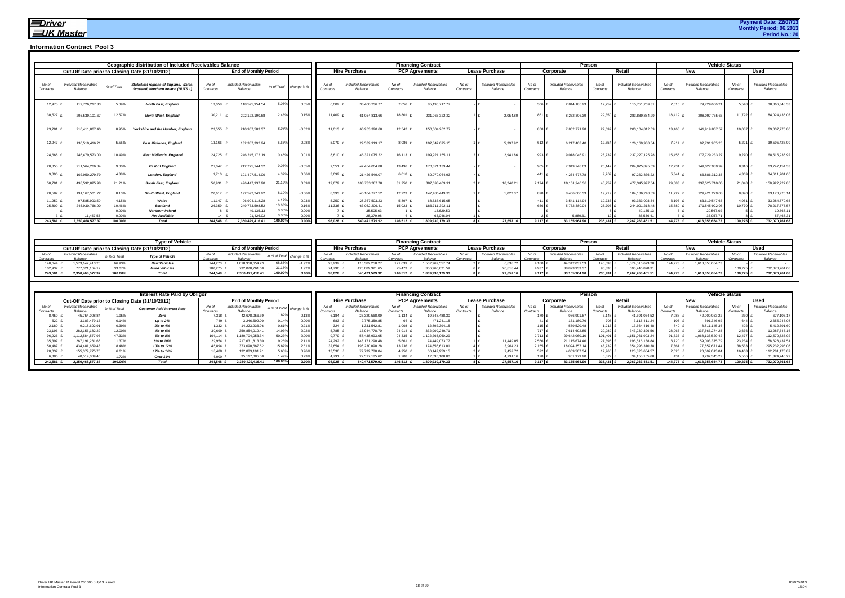|                    |                                        |                           | Geographic distribution of Included Receivables Balance                              |                    |                                        |                  |                |                    |                                        |                    | <b>Financing Contract</b>              |                    |                                        |                    | Person                                 |                    |                                        |                    |                                        | <b>Vehicle Status</b> |                                        |
|--------------------|----------------------------------------|---------------------------|--------------------------------------------------------------------------------------|--------------------|----------------------------------------|------------------|----------------|--------------------|----------------------------------------|--------------------|----------------------------------------|--------------------|----------------------------------------|--------------------|----------------------------------------|--------------------|----------------------------------------|--------------------|----------------------------------------|-----------------------|----------------------------------------|
|                    |                                        |                           | Cut-Off Date prior to Closing Date (31/10/2012)                                      |                    | <b>End of Monthly Period</b>           |                  |                |                    | <b>Hire Purchase</b>                   |                    | <b>PCP Agreements</b>                  |                    | Lease Purchase                         |                    | Corporate                              |                    | Retail                                 |                    | <b>New</b>                             |                       | <b>Used</b>                            |
| No of<br>Contracts | <b>Included Receivables</b><br>Balance | % of Total                | <b>Statistical regions of England, Wales.</b><br>Scotland, Northern Ireland (NUTS 1) | No of<br>Contracts | <b>Included Receivables</b><br>Balance | % of Total       | change in %    | No of<br>Contracts | <b>Included Receivables</b><br>Balance | No of<br>Contracts | <b>Included Receivables</b><br>Balance | No of<br>Contracts | <b>Included Receivables</b><br>Balance | No of<br>Contracts | <b>Included Receivables</b><br>Balance | No of<br>Contracts | <b>Included Receivables</b><br>Balance | No of<br>Contracts | <b>Included Receivables</b><br>Balance | No of<br>Contracts    | <b>Included Receivables</b><br>Balance |
| 12,975             | 119,726,217.33                         | 5.09%                     | <b>North East, England</b>                                                           | 13.058             | 118,595,954.54                         | 5.05%            | $0.05^{\circ}$ | 6.002              | 33,400,236.7                           | 7.056              | 85, 195, 717. 77                       |                    |                                        | 306                | 2,844,185.23                           | 12,752             | 115,751,769.3                          | 7.510              | 79,729,606.2                           | 5,548                 | 38,866,348.33                          |
| 30,527             | 295.539.101.67                         | 12.57%                    | <b>North West, England</b>                                                           | 30,21              | 292.122.190.68                         | 12.43%           | 0.15%          | 11.409             | 61.054.813.66                          | 18,801             | 231.065.322.22                         |                    | 2.054.80                               | 86                 | 8.232.306.39                           | 29,350             | 283.889.884.29                         | 18.419             | 208.097.755.65                         | 11.792                | 84,024,435.0                           |
| 23,281             | 210.411.067.40                         | 8.95%                     | Yorkshire and the Humber. England                                                    | 23.555             | 210.957.583.37                         | 8.98%            | $-0.02%$       | 11.013             | 60.953.320.60                          | 12.542             | 150.004.262.77                         |                    |                                        | 858                | 7.852.771.28                           | 22.697             | 203.104.812.09                         | 13,468             | 141.919.807.57                         | 10.087                | 69.037.775.80                          |
| 12,947             | 130.510.416.21                         | 5.55%                     | <b>East Midlands, England</b>                                                        | 13.166             | 132.387.392.24                         | 5.63%            | $-0.089$       | 5.079              | 29.539.919.17                          | 8.086              | 102.842.075.15                         |                    | 5.397.9                                | 612                | 6.217.403.40                           | 12,554             | 126.169.988.84                         | 7.945              | 92.791.965.25                          | 5,221                 | 39,595,426.99                          |
| 24,668             | 246,479,573.00                         | 10.49%                    | <b>West Midlands, England</b>                                                        | 24.725             | 246,245,172.19                         | 10.48%           | 0.01           | 8.610              | 46.321.075.22                          | 16.113             | 199,921,155.1                          |                    | 2.941.86                               | 993                | 9.018.046.9                            | 23.732             | 237, 227, 125. 28                      | 15.455             | 177,729,233.2                          | 9.270                 | 68,515,938.92                          |
| 20,855             | 211.564.266.84                         | 9.00%                     | <b>East of England</b>                                                               | 21.047             | 212.775.144.32                         | 9.05%            | $-0.05%$       | 7,551              | 42.454.004.8                           | 13.496             | 170,321,139.44                         |                    |                                        | 905                | 7.949.248.63                           | 20,142             | 204.825.895.69                         | 12.731             | 149,027,989.9                          | 8.316                 | 63,747,154.33                          |
| 9.896              | 102,950,279.79                         | 4.38%                     | London, England                                                                      | 9.710              | 101,497,514.00                         | 4.32%            | 0.06%          | 3,692              | 21,426,549.0                           | 6,018              | 80,070,964.93                          |                    |                                        | 441                | 4,234,677.7                            | 9,269              | 97,262,836.22                          | 5.341              | 66,886,312.35                          | 4,369                 | 34,611,201.65                          |
| 50,781             | 498,592,025.98                         | 21.219                    | South East, England                                                                  | 50.931             | 496.447.937.90                         | 21.12%           | 0.09%          | 19,679             | 108,733,287.7                          | 31,250             | 387,698,409.91                         |                    | 16,240.2                               | 2.174              | 19.101.940.36                          | 48,757             | 477,345,997.5                          | 29,883             | 337,525,710.0                          | 21,048                | 158,922,227.85                         |
| 20,587             | 191,167,501.22                         | 8.13%                     | South West, England                                                                  | 20,617             | 192,592,249.22                         | 8.19%            | $-0.06%$       | 8,393              | 45,104,777.52                          | 12,223 £           | 147.486.449.33                         |                    | 1,022.37                               | 898                | 8.406.000.33                           | 19,719             | 184, 186, 248.89                       | 11,727             | 129,421,279.08                         | 8,890                 | 63,170,970.14                          |
| 11,252             | 97.585.903.50                          | 4.15%                     | Wales                                                                                | 11.147             | 96.904.118.28                          | 4.12%            | 0.03%          | 5,250              | 28.367.503.23                          | 5,897              | 68.536.615.05                          |                    |                                        | 411                | 3.541.114.94                           | 10,736             | 93.363.003.34                          | 6.196              | 63.619.547.63                          | 4.951                 | 33,284,570.65                          |
| 25,809             | 245,930,766.90                         | 10.46%                    | <b>Scotland</b>                                                                      | 26.359             | 249,763,598.5                          | 10.63%           | $-0.16%$       | 11.336             | 63,052,206.41                          | 15.023             | 186,711,392.11                         |                    |                                        | 656                | 5,762,380.0                            | 25,703             | 244,001,218.48                         | 15,589             | 171,545,922.9                          | 10.770                | 78,217,675.57                          |
|                    |                                        | 0.00%                     | <b>Northern Ireland</b>                                                              |                    | 49.135.                                | 0.00%            | 0.00%          |                    | 35,505.63                              |                    | 13,629.50                              |                    |                                        |                    |                                        |                    | 49,135.1                               |                    | 29,567.0                               |                       | 19,568.1                               |
| 243.581            | 11.457.53<br>2.350.468.577.37          | $0.00^{\circ}$<br>100.00% | <b>Not Available</b><br><b>Total</b>                                                 | 244.548            | 91.426.0<br>2.350.429.416.41           | 0.00%<br>100.00% | 0.00<br>0.00%  | 98.028             | 28.379.98<br>540.471.579.92            | 146.512            | 63.046.04<br>1.809.930.179.33          |                    | 27.657.16<br>$R$ $f$                   | 9.117              | 5,889.6<br>83.165.964.90               | 235.431            | 85.536.4<br>2.267.263.451.51           | 144.273            | 33.957.7<br>1.618.358.654.73           | 100.275               | 57.468.3<br>732,070,761.68             |
|                    |                                        |                           |                                                                                      |                    |                                        |                  |                |                    |                                        |                    |                                        |                    |                                        |                    |                                        |                    |                                        |                    |                                        |                       |                                        |

|           |                      |            | Type of Vehicle                                 |           |                              |                         |                 |                      |         | <b>Financing Contract</b> |           |                       |           | Persor              |         |                  |         |                  | <b>Vehicle Status</b> |                      |
|-----------|----------------------|------------|-------------------------------------------------|-----------|------------------------------|-------------------------|-----------------|----------------------|---------|---------------------------|-----------|-----------------------|-----------|---------------------|---------|------------------|---------|------------------|-----------------------|----------------------|
|           |                      |            | Cut-Off Date prior to Closing Date (31/10/2012) |           | <b>End of Monthly Period</b> |                         |                 | <b>Hire Purchase</b> |         | <b>PCP Agreements</b>     |           | <b>Lease Purchase</b> |           | Corporate           |         | Retai            |         | New              |                       |                      |
| No oi     | Included Receivable. | n % of Tot | Type of Vehicle                                 |           | Included                     | in % of Total change In |                 | Included Receivables | No c    | Included Receiva          | No c      |                       |           | Included Receivable | No c    | Included I       | No o    | Include          |                       | Included Receivables |
| Contracts |                      |            |                                                 | Contracts |                              |                         |                 | Balance              |         | Balance                   | Contracts |                       |           | Balance             |         | Balance          |         | Balance          |                       |                      |
| 140,644   | 1.573.147.413.25     | 66.93%     | <b>New Vehicles</b>                             | 144.273   | 1.618.358.654.73             | 68.85%                  | 23.232          | 115.382.258.3        | 121,039 | 1,502,969,557.74          |           |                       | $.180 \;$ | 44.342.031          | 140,093 | 1574,016,623.2u  | 144.273 | 1,618,358,654.73 |                       |                      |
| 102,937   | 777.321.164.12       | 33.07      | <b>Used Vehicles</b>                            | 100,275   | 732,070,761.68               | 31.15%                  | 74.796          | 425,089,321.6        | 25.473  | 306,960,621.59            |           |                       | 4.937 f   | 38.823.933.3        | 95,338  | 693,246,828.3    |         |                  | 100,275               | 732,070,761.68       |
| 243,581   | 2.350.468.577.37     | 100.00%    | Total                                           | 244.548   | 2.350.429.416.41             | 100.00%                 | $98,028$ $\sim$ | 540,471,579.92       | 146,512 | 1,809,930,179.33          |           | 27,657.1              | $9.117$ £ | 83,165,964.9        | 235,431 | 2,267,263,451.51 | 144.273 | 1,618,358,654.73 | 100,275               | 732,070,761.68       |

|           |                             |               | Interest Rate Paid by Obligor                   |           |                              |                           |      |                  |                      |           | <b>Financing Contract</b>   |           |                     |           |                     | Person    |                             |                   |                     | <b>Vehicle Status</b> |                     |
|-----------|-----------------------------|---------------|-------------------------------------------------|-----------|------------------------------|---------------------------|------|------------------|----------------------|-----------|-----------------------------|-----------|---------------------|-----------|---------------------|-----------|-----------------------------|-------------------|---------------------|-----------------------|---------------------|
|           |                             |               | Cut-Off Date prior to Closing Date (31/10/2012) |           | <b>End of Monthly Period</b> |                           |      |                  | <b>Hire Purchase</b> |           | <b>PCP Agreements</b>       |           | Lease Purchase      |           | Corporate           |           | Retai                       |                   | <b>New</b>          |                       | <b>Used</b>         |
| No of     | <b>Included Receivables</b> | in % of Total | <b>Customer Paid Interest Rate</b>              |           | <b>Included Receivables</b>  | in % of Total change in ? |      |                  | Included Receivables | No o      | <b>Included Receivables</b> | No of     | Included Receivable | No of     | Included Receivable | No oi     | <b>Included Receivables</b> | No of             | Included Receivable | No of                 | Included Receivable |
| Contracts | <b>Balance</b>              |               |                                                 | Contracts | Balance                      |                           |      | Contracts        | Balance              | Contract: | Balance                     | Contracts | Balance             | Contracts | Balance             | Contracts | Balance                     | Contracts         | Balance             | Contracts             | Balance             |
| 8,450     | 45,754,008.84               |               | Zero                                            | 7.318     | 42,678,056.39                | 1.82%                     |      | 6.184            | 23,329,568.0         | $1.134$ £ | 19,348,488.30               |           |                     |           | 986,991.8           | 7.148     | 41,691,064.52               | $.088$ !          | 42,000,953.2        | 230                   | 677,103.17          |
| 522       | 3,183,479.17                |               | up to $2%$                                      | 749       | 3,246,592.00                 |                           |      | 683 f            | 2,775,350.85         | 66 £      | 471.241.1                   |           |                     |           | 131,180.7           | 708       | 3,115,411.24                | 1051 <sub>1</sub> | 591,346.92          | 644                   | 2,655,245.08        |
| $2,180$ £ | 9.218.602.91                |               | 2% to 4%                                        | 1,332     | 14.223.936.96                | 0.61%                     |      | $324 \text{ } f$ | 1.331.542.81         | 1,008     | 12.892.394.1                |           |                     |           | 559,520.48          | 1,217     | 13.664.416.48               | 840               | 8,811,145.36        | 492 £                 | 5,412,791.60        |
| 23,196    | 282.156.182.22              | 12.009        | 4% to 6%                                        | 30,699    | 150.854.019.41               | 14.93%                    |      | 5.785            | 17.944.778.70        | 24,914 £  | 332.909.240.71              |           |                     |           | 7,614,692.85        | 29,982    | 343,239,326.5               | 28.063            | 337,566,274.25      | 2,636                 | 13,287,745.16       |
| 96,926    | 112.584.577.97              | 47.33%        | 6% to 8%                                        | 104.114   | 180,704,053.34               | 50.23%                    |      | 9.779            | 58,438,993.05        | 94,335 £  | 1,122,265,060.29            |           |                     | 2,713     | 29,642,060.1        | 101,401   | 151,061,993.24              | 91.637            | 1,068,133,529.42    | 12.477                | 112,570,523.92      |
| 35,397    | 267, 191, 281. 68           | 11.37%        | 8% to 10%                                       | 29,954    | 217,631,813.30               | 9.26%                     |      | 24.292           | 143, 171, 290. 48    | $5,661$ £ | 74.449.073.77               |           | 11,449.0            | 2,556     | 21,115,674.46       | 27,398    | 196,516,138.84              | 6.720             | 59,003,375.79       | 23,234                | 158,628,437.51      |
| 50,487    | 434.481.659.43              | 18.48%        | 10% to 12%                                      | 45.894    | 373,090,667.52               | 15.87%                    |      | 32,654           | 198,230,090.28       | 13,236    | 174,856,613.01              |           | 3,964.23            | 2,155     | 18,094,357.1        | 43,739    | 354,996,310.38              | 7.361             | 77,857,671.44       | 38,533                | 295,232,996.0       |
| 20,037    | 155.379.775.75              |               | 12% to 14%                                      | 18.488    | 132.883.191.91               | 5.65%                     |      | 13.536           | 72.732.780.04        | 4,950     | 60,142,959.1                |           | 7,452.72            | $522$ £   | 4,059,507.34        | 17,966    | 128,823,684.5               | 2.025             | 20,602,013.0        | 16.463                | 112,281,178.87      |
| 6.386     | 10.519.009.40               |               | Over 14%                                        | 6.000     | 35.117.085.58                |                           | u.za |                  | 22.517.185.62        | $1,208$ f | 12.595.108.8                |           |                     |           | 961.979.90          | 5.872     | 34.155.105.68               | 434               | 3,792,345.29        | 5.566                 | 31,324,740.29       |
| 243,581   | 2.350.468.577.37            | 100.00%       | Total                                           | 244,548   | 2.350.429.416.41             | 100.00%                   |      | 98.028           | 540,471,579.92       | 46,512 £  | 1,809,930,179.33            |           | 27.657.16           | $9.117$ £ | 83.165.964.90       | 235.431   | 2,267,263,451.51            | 144.273           | 1,618,358,654.73    | 100,275               | 732,070,761.68      |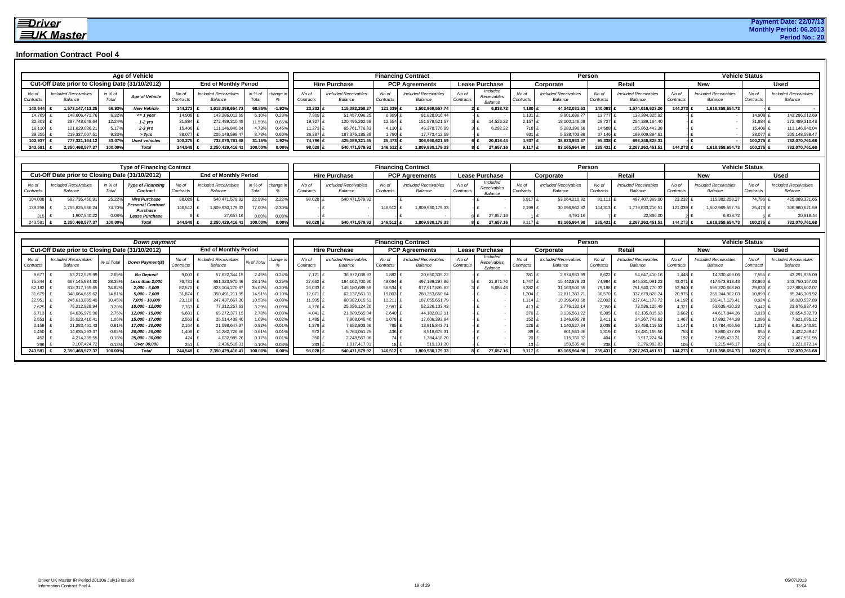|                    |                                                 |                  | Age of Vehicle        |                                |                                        |                  |                |                    |                                        |                   | <b>Financing Contract</b>       |                    |                                    |                    |                                        | Person             |                                        |                    |                                        | <b>Vehicle Status</b> |                                        |
|--------------------|-------------------------------------------------|------------------|-----------------------|--------------------------------|----------------------------------------|------------------|----------------|--------------------|----------------------------------------|-------------------|---------------------------------|--------------------|------------------------------------|--------------------|----------------------------------------|--------------------|----------------------------------------|--------------------|----------------------------------------|-----------------------|----------------------------------------|
|                    | Cut-Off Date prior to Closing Date (31/10/2012) |                  |                       |                                | <b>End of Monthly Period</b>           |                  |                |                    | <b>Hire Purchase</b>                   |                   | <b>PCP Agreements</b>           |                    | <b>Lease Purchase</b>              |                    | Corporate                              |                    | Retai                                  |                    | <b>New</b>                             |                       | Used                                   |
| No of<br>Contracts | <b>Included Receivables</b><br>Balance          | in % of<br>Total | <b>Age of Vehicle</b> | No of<br>Contract <sup>®</sup> | <b>Included Receivables</b><br>Balance | in % of<br>Total | change i       | No of<br>Contracts | <b>Included Receivables</b><br>Balance | No of<br>Contract | Included Receivables<br>Balance | No of<br>Contracts | Included<br>Receivables<br>Balance | No of<br>Contracts | <b>Included Receivables</b><br>Balance | No of<br>Contracts | <b>Included Receivables</b><br>Balance | No of<br>Contracts | <b>Included Receivables</b><br>Balance | No of<br>Contracts    | <b>Included Receivables</b><br>Balance |
| 140,644            | 1.573.147.413.25                                | 66.93%           | <b>New Vehicle</b>    | 144.273                        | 1,618,358,654.73                       | 68.85%           | $-1.92%$       | 23.232             | 115.382.258.27                         | 121,039           | 1,502,969,557.74                |                    | 6,838.72                           | 4,180              | 44.342.031.53                          | 140,093 £          | 1,574,016,623.20                       | 144.273 £          | 1,618,358,654.73                       |                       |                                        |
| 14.769             | 148,606,471.76                                  | $3.32\%$         | <= 1 year             | 14.908                         | 143,286,012.69                         | 6.10%            | 0.23%          | 7,909              | 51,457,096.25                          |                   | 91,828,916.44                   |                    |                                    | .131               | 9,901,686.77                           | 13,777 1           | 133,384,325.92                         |                    |                                        | 14.90                 | 143,286,012.69                         |
| 32.803             | 287.748.648.64                                  | 12.24%           | $1-2$ yrs             | 31.884                         | 272.489.310.48                         | 11.59%           | 0.65%          | 19.327             | 120.495.262.69                         | $12.554$ .        | 151,979,521.57                  |                    | 14,526.22                          | $2.157$ £          | 18,100,146.08                          | 29.727             | 254.389.164.40                         |                    |                                        | 31.884                | 272,489,310.48                         |
| 16.110             | 121.629.036.21                                  | 5.17%            | $2-3$ yrs             | 15.406                         | 111.146.840.04                         | 4.73%            | 0.45%          | 11.273             | 65.761.776.83                          | 1130              | 45.378.770.99                   |                    | 6.292.22                           | 718 ±              | 5,283,396.66                           | $14.688$ $\mu$     | 105.863.443.38                         |                    |                                        | 15.406                | 111,146,840.04                         |
| 39,255             | 219.337.007.51                                  | 9.33%            | > 3yrs                |                                | 205.148.598.47                         | 8.73%            | $0.60^{\circ}$ | 36,287             | 187, 375, 185.88                       |                   | 17.773.412.59                   |                    |                                    | 931 I              | 5,538,703.86                           | 37.146             | 199,609,894.61                         |                    |                                        | 38,077                | 205, 148, 598. 47                      |
| 102.937            | 777.321.164.12                                  | 33.07%           | <b>Used vehicles</b>  | 100,275                        | 732.070.761.68                         | 31.15%           | 1.92%          | 74.796             | 425.089.321.65                         | 25.473            | 306.960.621.59                  |                    | 20,818.44                          | 4.937              | 38.823.933.37                          | 95.338             | 693.246.828.31                         |                    |                                        | 100,275               | 732,070,761.68                         |
| 243,581            | 2.350.468.577.37                                | 100.00%          | Total                 | 244.548                        | 2.350.429.416.41                       | 100.00%          | $0.00\%$       | 98.028             | 540,471,579.92                         | 146.512           | 1,809,930,179.33                |                    | 27.657.16                          | $9.117$ f          | 83,165,964.90                          | 235,431 £          | 2,267,263,451.51                       | 144.273 £          | 1,618,358,654.73                       | 100.275               | 732,070,761.68                         |

|                    |         |                                                 |                 | <b>Type of Financing Contract</b>       |                   |                                        |                  |           |                                |                                        |                    | <b>Financing Contract</b>              |                    |                                    |             |                                        | Person             |                                        |                    |                                 | <b>Vehicle Status</b> |                                 |
|--------------------|---------|-------------------------------------------------|-----------------|-----------------------------------------|-------------------|----------------------------------------|------------------|-----------|--------------------------------|----------------------------------------|--------------------|----------------------------------------|--------------------|------------------------------------|-------------|----------------------------------------|--------------------|----------------------------------------|--------------------|---------------------------------|-----------------------|---------------------------------|
|                    |         | Cut-Off Date prior to Closing Date (31/10/2012) |                 |                                         |                   | <b>End of Monthly Period</b>           |                  |           |                                | <b>Hire Purchase</b>                   |                    | <b>PCP Agreements</b>                  |                    | <b>Lease Purchase</b>              |             | Corporate                              |                    | Retail                                 |                    | New                             |                       | <b>Used</b>                     |
| No of<br>Contracts |         | Included Receivables                            | in % c<br>Total | <b>Type of Financing</b><br>$C$ ontract | No of<br>Contract | <b>Included Receivables</b><br>Balance | in % of<br>Total | change in | No of<br>Contract <sup>®</sup> | <b>Included Receivables</b><br>Balance | No of<br>Contracts | <b>Included Receivables</b><br>Balance | No of<br>Contracts | Included<br>Receivables<br>Balance |             | <b>Included Receivables</b><br>Balance | No of<br>Contracts | <b>Included Receivables</b><br>Balance | No of<br>Contracts | Included Receivables<br>Balance | No of<br>Contracts    | Included Receivables<br>Balance |
|                    | 104,008 | 592.735.450.9                                   | 25.229          | <b>Hire Purchase</b>                    | 98,028            | 540.471.579.92                         | 22.99%           | 2.22%     | 98,028                         | 540,471,579.92                         |                    |                                        |                    |                                    | $6.917$ .   | 53.064.210.92                          | 91,111             | 487.407.369.0                          | 23.2321            | 115.382.258.27                  | 74.796                | 425,089,321.65                  |
|                    | 139,258 | 1.755,825,586.24                                | 74.70%          | <b>Personal Contract</b><br>Purchase    | 146.512           | 1.809.930.179.33                       | 77.00%           | 2.30%     |                                |                                        | 146,512 £          | 1,809,930,179.33                       |                    |                                    | 2.199       | 30,096,962.82                          | 144.313            | 1,779,833,216.5                        | 121.039            | 1,502,969,557.74                | 25.473                | 306,960,621.59                  |
|                    |         | 1,907,540.22                                    |                 | <b>Lease Purchase</b>                   |                   | 27,657.1                               | 0.00%            | 0.08%     |                                |                                        |                    |                                        |                    | 27,657.16                          |             | 4,791.16                               |                    | 22,866.00                              |                    | 6,838.72                        |                       | 20,818.44                       |
| 243,581            |         | 2.350.468.577.37                                | 100.00%         | Total                                   | 244.548           | 2.350.429.416.41                       | 100.00%          | 0.00%     | 98.028                         | 540,471,579.92                         | 146.512 £          | 1,809,930,179.33                       |                    | 27,657.16                          | 9.117 $\pm$ | 83,165,964.90                          | 235,431            | 2.267.263.451.51                       | 144.273 £          | 1.618.358.654.73                | 100.275               | 732,070,761.68                  |

|                    |                                        |            | Down payment                                    |                    |                                        |                   |          |                    |                                        | <b>Financing Contract</b> |                                        |                    |                                    |                    |                                        | Person             |                                        |                    |                                        | <b>Vehicle Status</b> |                                        |
|--------------------|----------------------------------------|------------|-------------------------------------------------|--------------------|----------------------------------------|-------------------|----------|--------------------|----------------------------------------|---------------------------|----------------------------------------|--------------------|------------------------------------|--------------------|----------------------------------------|--------------------|----------------------------------------|--------------------|----------------------------------------|-----------------------|----------------------------------------|
|                    |                                        |            | Cut-Off Date prior to Closing Date (31/10/2012) |                    | <b>End of Monthly Period</b>           |                   |          |                    | <b>Hire Purchase</b>                   |                           | <b>PCP Agreements</b>                  |                    | Lease Purchase                     |                    | Corporate                              |                    | Retai                                  |                    | <b>New</b>                             |                       | Used                                   |
| No of<br>Contracts | <b>Included Receivables</b><br>Balance | % of Total | Down Payment(£)                                 | No of<br>Contracts | <b>Included Receivables</b><br>Balance | % of Total        | change   | No of<br>Contracts | <b>Included Receivables</b><br>Balance | No of<br>Contract:        | <b>Included Receivables</b><br>Balance | No of<br>Contracts | Included<br>Receivables<br>Balance | No of<br>Contract. | <b>Included Receivables</b><br>Balance | No of<br>Contract: | <b>Included Receivables</b><br>Balance | No of<br>Contracts | <b>Included Receivables</b><br>Balance | No o<br>Contracts     | <b>Included Receivables</b><br>Balance |
| 9,677              | 63,212,529.9                           | 2.69%      | <b>No Deposit</b>                               | 9,003              | 57,622,344.1                           | 2.45%             | 0.24%    | $7.121 \pm$        | 36,972,038.93                          | .882                      | 20,650,305.22                          |                    |                                    |                    | 2.974.933.99                           | 8.622              | 54,647,410.1                           | 1.448              | 14,330,409.06                          | 7.555                 | 43,291,935.09                          |
| 75,844             | 667, 145, 934.3                        | 28.38%     | <b>Less than 2,000</b>                          | 76,731             | 661,323,970.46                         | 28.14             | 0.25%    | 27,662             | 164, 102, 700. 90                      | 49.064                    | 497,199,297.8                          |                    | 21,971.70                          | 1.747              | 15,442,879.23                          | 74,984 £           | 645,881,091.23                         | 43,071             | 417,573,813.43                         | 33.660                | 243,750,157.03                         |
| 82,182             | 818,317,765.65                         | 34.82%     | 2,000 - 5,000                                   | 82,570             | 823.104.270.87                         | 35.02             | $-0.20%$ | 26,033             | 145, 180, 689.59                       | 56.534                    | 677,917,895.82                         |                    | 5,685.4                            | 3,382              | 31,163,500.55                          | 79.188             | 791,940,770.32                         | 52,940             | 595,220,668.8                          | 29.630                | 227,883,602.07                         |
| 31,679             | 348,064,669.6                          | 14.81%     | 5,000 - 7,000                                   | 31.874             | 350.491.211.95                         | 14.919            | $-0.10%$ | 12,071             | 62,137,561.31                          | 19,803                    | 288,353,650.6                          |                    |                                    | 1,304              | 12,811,383.71                          | 30,570             | 337,679,828.24                         | 20,975             | 265,244,902.03                         | 0.899                 | 85,246,309.92                          |
| 22,95'             | 245,613,889.4                          | 10.45%     | 7,000 - 10,000                                  | 23,116             | 247,437,667.30                         | 10.53             | $-0.08%$ | $11,905$ $\lambda$ | 60,382,015.51                          | 11,211                    | 187,055,651.7                          |                    |                                    | 1.114              | 10,396,493.58                          | 22,002 £           | 237,041,173.72                         | 14.192             | 181,417,129.41                         | 8.924                 | 66,020,537.89                          |
| 7,625              | 75,212,928.9                           | 3.20%      | 10,000 - 12,000                                 | 7.763              | 77,312,257.63                          | 3.29 <sup>o</sup> | $-0.09%$ | 4.776              | 25,086,124.20                          | 2.987                     | 52,226,133.43                          |                    |                                    |                    | 3,776,132.14                           | $7,350 \pm$        | 73,536,125.49                          | $4,321$ f          | 53,635,420.23                          | 3.442                 | 23,676,837.40                          |
| 6,713              | 64,636,979.90                          | 2.75%      | 12,000 - 15,000                                 | 6,681              | 65,272,377.1                           | 2.78              | $-0.03%$ | 4.041              | 21,089,565.04                          | 2.640                     | 44.182.812.1                           |                    |                                    |                    | 3,136,561.22                           | 6.305              | 62,135,815.93                          | 3,662              | 44,617,844.36                          | 3,019                 | 20,654,532.79                          |
| 2,553              | 25,023,410.41                          | 1.06%      | 15,000 - 17,000                                 | 2,563              | 25,514,439.40                          | 1.09              | $-0.02%$ | $1,485$ $\lambda$  | 7,908,045.46                           | .0781                     | 17,606,393.94                          |                    |                                    |                    | 1,246,695.78                           | 2.411              | 24, 267, 743. 62                       | $1.467$ $\mu$      | 17,892,744.28                          | .096                  | 7,621,695.12                           |
| 2.159              | 21,283,461.4                           | 0.91%      | 17,000 - 20,000                                 | 2.164              | 21,598,647.3                           |                   | $-0.01%$ | 1.379              | 7,682,803.66                           | 785 Ł                     | 13,915,843.7                           |                    |                                    |                    | 1,140,527.84                           | 2.038              | 20,458,119.53                          | $1.147 \pm$        | 14,784,406.56                          | $1.017$ £             | 6,814,240.81                           |
| 1.450              | 14,635,293.3                           | 0.62%      | 20,000 - 25,000                                 | 1.408              | 14,282,726.56                          | 0.61              | 0.01%    | 972                | 5,764,051.25                           | 436 £                     | 8,518,675.3                            |                    |                                    |                    | 801,561.06                             | $.319 -$           | 13,481,165.50                          | 753 Ł              | 9.860.437.09                           | 655                   | 4,422,289.47                           |
| 452                | 4,214,289.5                            | 0.18%      | 25,000 - 30,000                                 | 424                | 4,032,985.2                            |                   | 0.019    | 350                | 2,248,567.06                           | 74 £                      | 1,784,418.20                           |                    |                                    |                    | 115,760.32                             |                    | 3,917,224.94                           | 192                | 2,565,433.3                            | 232                   | 1,467,551.95                           |
|                    | 3,107,424.7                            | 1.139      | Over 30,000                                     | 251 l              | 2,436,518.31                           |                   | 0.03%    |                    | 1.917.417.01                           |                           | 519,101.3                              |                    |                                    |                    | 159.535.48                             | 2381               | 2.276.982.83                           | 05 <sub>1</sub>    | 1,215,446.1                            |                       | 1,221,072.14                           |
| 243,58             | ,350,468,577.37                        | 100.00%    | Total                                           | 244.548            | 2,350,429,416.41                       | 100.00            |          | 38,028             | 540,471,579.92                         | 146,512                   | 1,809,930,179.33                       |                    | 27.657.1                           |                    | 83,165,964.90                          |                    | 2,267,263,451.51                       | 144,273            | 1,618,358,654.73                       | 100,275               | 732,070,761.68                         |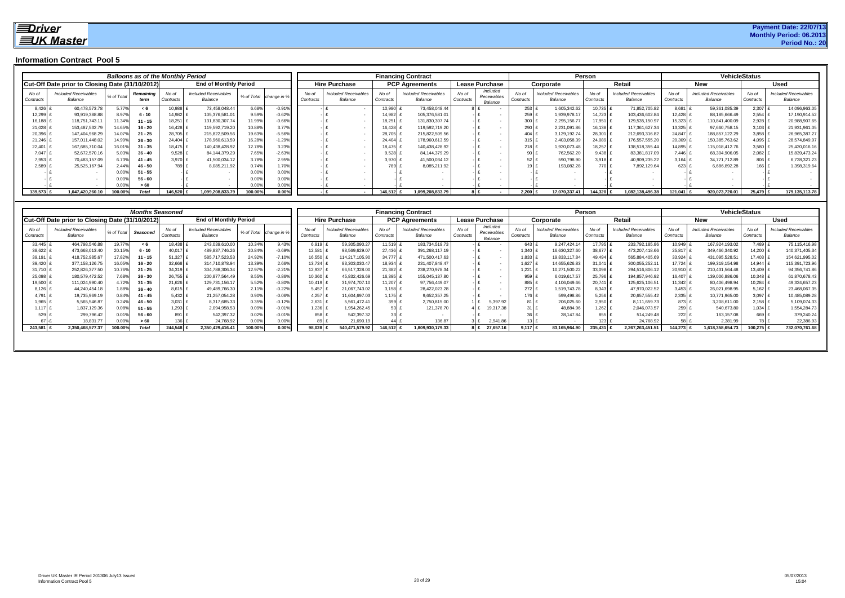|                    |                                                 |            | <b>Balloons as of the Monthly Period</b> |                    |                                        |          |                        |                    |                                        |                    | <b>Financing Contract</b>              |                    |                                    |                    |                                        | <b>Person</b>      |                                        |                    |                                        | <b>VehicleStatus</b> |                                        |
|--------------------|-------------------------------------------------|------------|------------------------------------------|--------------------|----------------------------------------|----------|------------------------|--------------------|----------------------------------------|--------------------|----------------------------------------|--------------------|------------------------------------|--------------------|----------------------------------------|--------------------|----------------------------------------|--------------------|----------------------------------------|----------------------|----------------------------------------|
|                    | Cut-Off Date prior to Closing Date (31/10/2012) |            |                                          |                    | <b>End of Monthly Period</b>           |          |                        |                    | <b>Hire Purchase</b>                   |                    | <b>PCP Agreements</b>                  |                    | <b>Lease Purchase</b>              |                    | Corporate                              |                    | Retail                                 |                    | <b>New</b>                             |                      | Used                                   |
| No of<br>Contracts | <b>Included Receivables</b><br>Balance          | % of Total | Remaining<br>term                        | No of<br>Contracts | <b>Included Receivables</b><br>Balance |          | % of Total change in 9 | No of<br>Contracts | <b>Included Receivables</b><br>Balance | No of<br>Contracts | <b>Included Receivables</b><br>Balance | No of<br>Contract: | Included<br>Receivables<br>Balance | No of<br>Contracts | <b>Included Receivables</b><br>Balance | No of<br>Contracts | <b>Included Receivables</b><br>Balance | No of<br>Contracts | <b>Included Receivables</b><br>Balance | No of<br>Contract:   | <b>Included Receivables</b><br>Balance |
| 8,426              | 60,478,573.78                                   | 5.77%      | < 6                                      | 10,988             | 73,458,048.44                          | 6.68%    | $-0.91%$               |                    |                                        | 10,980             | 73,458,048.44                          |                    | $8$ $f$                            | 253                | 1,605,342.62                           | 10,735 £           | 71,852,705.82                          | 8,681              | 59,361,085.39                          | 2,307                | 14,096,963.05                          |
| 12,299             | 93,919,388.88                                   | 8.97%      | 6 - 10                                   | 14,982             | 105,376,581.01                         | 9.59%    | $-0.62%$               |                    |                                        | 14,982             | 105,376,581.01                         |                    |                                    | 259                | 1,939,978.17                           | 14.723 £           | 103,436,602.84                         | 12,428             | 88,185,666.49                          | 2.554                | 17,190,914.52                          |
| 16,188             | 118,751,743.11                                  | 11.34%     | $11 - 15$                                | 18,251             | 131,830,307.74                         | '1.99%   | $-0.66%$               |                    |                                        | 18,251             | 131,830,307.74                         |                    |                                    | 300                | 2,295,156.77                           | 17,951 £           | 129,535,150.97                         | 15,323             | 110,841,400.09                         | 2,928                | 20,988,907.65                          |
| 21,028             | 153,487,532.79                                  | 14.65%     | $16 - 20$                                | 16.428             | 119,592,719.20                         | 10.88%   | 3.77%                  |                    |                                        | 16,428             | 119.592.719.20                         |                    |                                    | 290                | 2,231,091.86                           | 16.138 £           | 117,361,627.34                         | 13.325             | 97,660,758.15                          | 3.103                | 21,931,961.05                          |
| 20,396             | 147,404,968.29                                  | 14.07%     | $21 - 25$                                | 28,705             | 215,822,509.56                         | 19.63%   | $-5.569$               |                    |                                        | 28,705             | 215.822.509.56                         |                    |                                    | 404                | 3,129,192.74                           | 28,301 £           | 212,693,316.82                         | 24,847             | 188,857,122.29                         | 3.858                | 26,965,387.27                          |
| 21.246             | 157,011,448.02                                  | 14.99%     | $26 - 30$                                | 24,404             | 178,960,613.59                         | 16.28%   | $-1.29%$               |                    |                                        | 24,404             | 178,960,613.59                         |                    |                                    | 315                | 2,403,058.39                           | 24,089 £           | 176,557,555.20                         | 20,309             | 150,385,763.62                         | 4.095                | 28.574.849.97                          |
| 22,401             | 167,685,710.04                                  | 16.01%     | $31 - 35$                                | 18,475             | 140,438,428.92                         | 12.78%   | 3.23%                  |                    |                                        | 18,475             | 140,438,428.92                         |                    |                                    | 218                | 1,920,073.48                           | 18,257 £           | 138,518,355.44                         | 14,895             | 115,018,412.76                         | 3.580                | 25,420,016.16                          |
| 7,047              | 52,672,570.16                                   | 5.03%      | $36 - 40$                                | 9,528              | 84.144.379.29                          | 7.65%    | $-2.63%$               |                    |                                        | 9,528              | 84,144,379.29                          |                    |                                    | 90                 | 762,562.20                             | $9.438$ £          | 83,381,817.09                          | 7.446              | 68,304,906.05                          | 2,082                | 15,839,473.24                          |
| 7,953              | 70,483,157.09                                   | 6.73%      | $41 - 45$                                | 3,970              | 41,500,034.12                          | 3.78%    | 2.95%                  |                    |                                        | 3,970              | 41,500,034.12                          |                    |                                    |                    | 590,798.90                             | $3,918$ £          | 40,909,235.22                          | 3,164              | 34,771,712.89                          | 806                  | 6,728,321.23                           |
| 2,589              | 25,525,167.94                                   | 2.44%      | $46 - 50$                                | 789                | 8,085,211.92                           | 0.74%    | 1.70%                  |                    |                                        | 789 l              | 8,085,211.92                           |                    |                                    |                    | 193,082.28                             | 770 £              | 7,892,129.64                           | 6231               | 6,686,892.28                           |                      | 1,398,319.64                           |
|                    |                                                 | 0.00%      | $51 - 55$                                |                    |                                        | 0.00%    | 0.00%                  |                    |                                        |                    |                                        |                    |                                    |                    |                                        |                    |                                        |                    |                                        |                      |                                        |
|                    |                                                 | $0.00\%$   | $56 - 60$                                |                    |                                        | $0.00\%$ | 0.00%                  |                    |                                        |                    |                                        |                    |                                    |                    |                                        |                    |                                        |                    |                                        |                      |                                        |
|                    |                                                 | 0.00%      |                                          |                    |                                        | $0.00\%$ | 0.00%                  |                    |                                        |                    |                                        |                    |                                    |                    |                                        |                    |                                        |                    |                                        |                      |                                        |
| 139,573            | 1,047,420,260.10                                | 100.00%    | Total                                    | 146,520            | 1,099,208,833.79                       | 100.00%  | 0.00%                  |                    |                                        | 146,512            | 1,099,208,833.79                       |                    | 8 £                                | 2.200              | 17,070,337.41                          | 144,320            | 1,082,138,496.38                       | 121,041            | 920,073,720.01                         | 25,479               | 179,135,113.78                         |

|                    |                                                         |            | <b>Months Seasoned</b> |                    |                                 |         |                        |                    |                                 | <b>Financing Contract</b> |                                        |                    |                                    |                   |                                        | <b>Person</b>      |                                 |                    | <b>VehicleStatus</b>                   |                    |                                        |
|--------------------|---------------------------------------------------------|------------|------------------------|--------------------|---------------------------------|---------|------------------------|--------------------|---------------------------------|---------------------------|----------------------------------------|--------------------|------------------------------------|-------------------|----------------------------------------|--------------------|---------------------------------|--------------------|----------------------------------------|--------------------|----------------------------------------|
|                    | <b>ICut-Off Date prior to Closing Date (31/10/2012)</b> |            |                        |                    | <b>End of Monthly Period</b>    |         |                        |                    | <b>Hire Purchase</b>            |                           | <b>PCP Agreements</b>                  |                    | <b>Lease Purchase</b>              |                   | Corporate                              |                    | Retail                          |                    | <b>New</b>                             |                    | <b>Used</b>                            |
| No of<br>Contracts | <b>Included Receivables</b><br>Balance                  | % of Total | Seasoned               | No of<br>Contracts | Included Receivables<br>Balance |         | % of Total change in % | No of<br>Contracts | Included Receivables<br>Balance | No of<br>Contracts        | <b>Included Receivables</b><br>Balance | No of<br>Contracts | Included<br>Receivables<br>Balance | No o<br>Contracts | <b>Included Receivables</b><br>Balance | No of<br>Contract. | Included Receivables<br>Balance | No of<br>Contracts | <b>Included Receivables</b><br>Balance | No of<br>Contracts | <b>Included Receivables</b><br>Balance |
| 33.445 £           | 464.798.546.88                                          | 19.77%     |                        | 18.438             | 243,039,610.00                  | 10.34%  | 9.43%                  | 6.919              | 59,305,090.27                   | 11,519 £                  | 183,734,519.73                         |                    |                                    | 643               | 9,247,424.14                           | 17.795             | 233,792,185.86                  | 10.949             | 167,924,193.02                         | 7.489              | 75,115,416.98                          |
| 38,622 £           | 473,668,013.40                                          | 20.15%     | 6 - 10                 | 40,017             | 489,837,746.26                  | 20.84%  | $-0.699$               | 12,581             | 98,569,629.07                   | 27,436 £                  | 391,268,117.19                         |                    |                                    | $1,340$ £         | 16,630,327.60                          | 38,677 £           | 473,207,418.66                  | 25,817 £           | 349,466,340.92                         | 14.200             | 140,371,405.34                         |
| 39,191 £           | 418,752,985.67                                          | 17.82%     | $11 - 15$              | 51,327             | 585,717,523.53                  | 24.92%  | $-7.10%$               | 16,550             | 114,217,105.90                  | 34,777 £                  | 471,500,417.63                         |                    |                                    | 1,833             | 19,833,117.84                          | 49,494 £           | 565,884,405.69                  | 33,924 £           | 431,095,528.51                         | 17.403             | 154,621,995.02                         |
| 39,420 £           | 377,158,126.75                                          | 16.05%     | $16 - 20$              | 32,668             | 314,710,878.94                  | 13.39%  | $2.66^{\circ}$         | 13,734             | 83,303,030.47                   | 18,934 £                  | 231,407,848.47                         |                    |                                    | 1,627             | 14,655,626.83                          | 31,041 £           | 300,055,252.1                   | 17,724 £           | 199,319,154.98                         | 14.944             | 115,391,723.96                         |
| 31.710 £           | 252,826,377.50                                          | 10.76%     | $21 - 25$              | 34,319             | 304,788,306.34                  | 12.97%  | $-2.219$               | 12,937             | 66.517.328.00                   | 21,382 £                  | 238,270,978.34                         |                    |                                    | 1,221             | 10,271,500.22                          | 33.098             | 294,516,806.1                   | 20,910 £           | 210,431,564.48                         | 13.409             | 94,356,741.86                          |
| 25,098             | 180,579,472.52                                          | 7.68%      | $26 - 30$              | 26,755             | 200,877,564.49                  | 8.55%   | $-0.869$               | 10,360             | 45,832,426.69                   | 16,395 £                  | 155,045,137.80                         |                    |                                    | 959               | 6,019,617.57                           | 25,796 £           | 194,857,946.92                  | 16,407 £           | 139,006,886.06                         | 10.348             | 61,870,678.43                          |
| 19,500             | 111,024,990.40                                          | 4.72%      | $31 - 35$              | 21.626             | 129,731,156.17                  | 5.52%   | $-0.80^{\circ}$        | 10.419             | 31.974.707.10                   | 11,207 £                  | 97.756.449.07                          |                    |                                    | 885               | 4,106,049.66                           | 20,741 £           | 125,625,106.51                  | 11,342 £           | 80,406,498.94                          | 10.284             | 49,324,657.23                          |
| 8,126              | 44,240,454.18                                           | 1.88%      | $36 - 40$              | 8,615              | 49,489,766.30                   | 2.11%   | $-0.229$               | 5,457              | 21,067,743.02                   | $3,158$ £                 | 28,422,023.28                          |                    |                                    | 272               | 1,519,743.78                           | $8,343$ f          | 47,970,022.52                   | 3,453              | 26,021,698.95                          | 5.162              | 23,468,067.35                          |
| 4,791 £            | 19,735,969.19                                           | 0.84%      | $41 - 45$              | 5.432              | 21,257,054.28                   | 0.90%   | $-0.06$                | 4.257              | 11,604,697.03                   | $1.175$ £                 | 9,652,357.25                           |                    |                                    | 176 £             | 599,498.86                             | $5,256$ £          | 20,657,555.42                   | 2,335              | 10,771,965.00                          | 3.097              | 10,485,089.28                          |
| 1,965              | 5,565,546.87                                            | 0.24%      | $46 - 50$              | 3,031              | 8,317,685.33                    | 0.35%   | $-0.129$               | 2,631              | 5,561,472.41                    | 399 £                     | 2,750,815.00                           |                    | 5,397.92                           | 81 £              | 206,025.60                             | 2,950              | 8,111,659.7                     | 873                | 3,208,611.00                           | 2.158              | 5,109,074.33                           |
| 1.117 $E$          | 1,837,129.36                                            | 0.08%      | $51 - 55$              | 1.293              | 2,094,958.53                    | 0.09%   | $-0.01%$               | 1.236              | 1,954,262.45                    | 53 <sub>1</sub>           | 121,378.70                             |                    | 19,317.38                          | 31 £              | 48,884.96                              | 1,262 £            | 2,046,073.57                    | 259                | 540,673.80                             | .034               | 1,554,284.73                           |
| 529                | 299,796.42                                              | 0.01%      | $56 - 60$              | 891                | 542,397.32                      | 0.02%   | $-0.01%$               | 858 £              | 542,397.32                      |                           |                                        |                    |                                    |                   | 28,147.84                              | 855 1              | 514,249.48                      | 222                | 163,157.08                             | 669                | 379,240.24                             |
|                    | 18,831.77                                               | 0.00%      |                        | 136 I              | 24,768.92                       | 0.00%   | $0.00^{\circ}$         | 89.                | 21,690.19                       |                           | 136.87                                 |                    | 2.941.86                           |                   |                                        | 123 <sup>1</sup>   | 24,768.92                       | $58$   $\pm$       | 2.381.99                               | 78 I               | 22,386.93                              |
| 243,581            | 2,350,468,577.37                                        | 100.00%    | Total                  | 244,548            | 2.350.429.416.41                | 100.00% | $0.00^{\circ}$         | 98.028             | 540.471.579.92                  | 146,512 £                 | 1,809,930,179.33                       |                    | $27,657.1^{\circ}$                 | 9.117 E           | 83,165,964.90                          | 235.431            | 2.267.263.451.                  | 144,273            | 1,618,358,654.73                       | 100.275            | 732,070,761.68                         |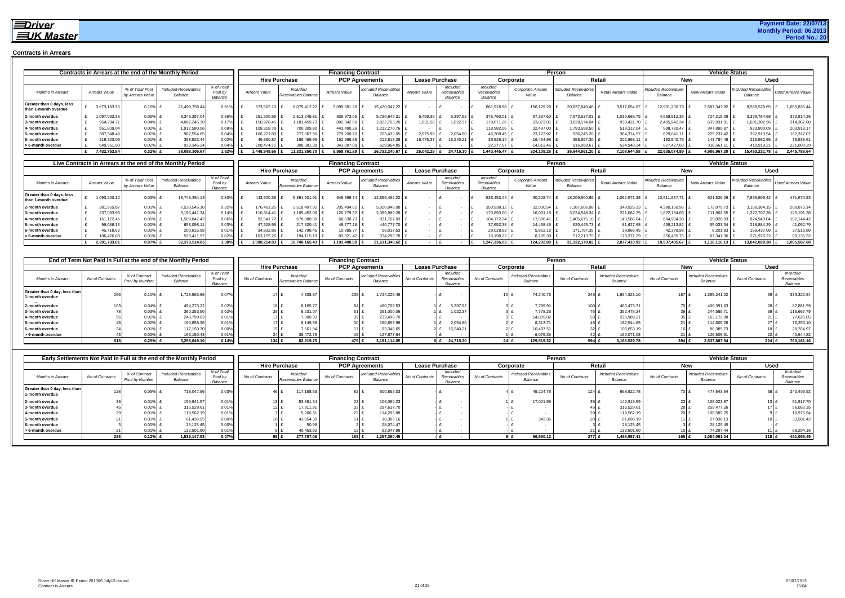#### **Contracts in Arrears**

|                                                   |               |                                     | Contracts in Arrears at the end of the Monthly Period |                                  |               |                                 | <b>Financing Contract</b> |                                        |                       |                                    |                                    |                                   | Person                                 |                      |                                        | <b>Vehicle Status</b>    |                                        |                           |
|---------------------------------------------------|---------------|-------------------------------------|-------------------------------------------------------|----------------------------------|---------------|---------------------------------|---------------------------|----------------------------------------|-----------------------|------------------------------------|------------------------------------|-----------------------------------|----------------------------------------|----------------------|----------------------------------------|--------------------------|----------------------------------------|---------------------------|
|                                                   |               |                                     |                                                       |                                  |               | <b>Hire Purchase</b>            |                           | <b>PCP Agreements</b>                  | <b>Lease Purchase</b> |                                    |                                    | Corporate                         |                                        | Retail               |                                        | <b>New</b>               | Used                                   |                           |
| <b>Months in Arrears</b>                          | Arrears Value | % of Total Pool<br>by Arrears Value | <b>Included Receivables</b><br>Balance                | % of Total<br>Pool by<br>Balance | Arrears Value | Included<br>Receivables Balance | Arrears Value             | <b>Included Receivables</b><br>Balance | Arrears Value         | Included<br>Receivable:<br>Balance | Included<br>Receivables<br>Balance | <b>Corporate Arrears</b><br>Value | <b>Included Receivables</b><br>Balance | Retail Arrears Value | <b>Included Receivables</b><br>Balance | <b>New Arrears Value</b> | <b>Included Receivables</b><br>Balance | <b>Used Arrears Value</b> |
| Greater than 0 days, less<br>than 1-month overdue | 3,673,183.3   | 0.16%                               | 21,499,759.44                                         | 0.91%                            | 573,502.10    | 6,079,412.22                    | 3,099,681.26              | 15,420,347.22                          |                       |                                    | 661,918.98                         | 156,129.29                        | 20,837,840.46                          | 3,517,054.07         | 12,931,230.79                          | 2,587,347.92             | 8,568,528.65                           | 1,085,835.44              |
| 2-month overdue                                   | 097,033.3     | 0.05%                               | 8,349,297.04                                          | 0.36%                            | 251,600.95    | 2,613,249.81                    | 839,973.05                | 5,730,649.31                           | 5,459.35              | 5,397.92                           | 375,760.01                         | 57,367.60                         | 7,973,537.03                           | 1,039,665.75         | 4,969,512.36 f                         | 724,219.09               | 3,379,784.68                           | 372,814.26                |
| 3-month overdue                                   | 954,294.7     | 0.04%                               | 4,007,245.30                                          |                                  | 150,920.45    | 1,183,459.73                    | 802,342.68                | 2,822,763.20                           | 1,031.58              | 1,022.37                           | 178,671.26                         | 23,873.01                         | 3,828,574.04                           | 930,421.70 £         | 2,405,942.34 £                         | 639,931.91               | 1,601,302.96                           | 314,362.80                |
| 4-month overdue                                   | 551,809.04    | 0.02%                               | 1,912,580.56                                          | 0.08%                            | 108,318.78    | 700,309.80                      | 443.490.26                | 1,212,270.76                           |                       |                                    | 118,982.06                         | 32,497.00                         | 1,793,598.50                           | 519,312.04 £         | 988,780.47 £                           | 347,890.87               | 923,800.09                             | 203,918.17                |
| 5-month overdue                                   | 387,548.49    | 0.02%                               | 982,554.65                                            | 0.04%                            | 106,271.80    | 277,067,80                      | 279,200.70                | 703,432.05                             | 2.075.99              | 2,054.80                           | 46.309.45                          | 23,173.92                         | 936,245.20                             | 364,374.57 £         | 629,641.11 £                           | 225,231.42               | 352,913.54                             | 162,317.07                |
| 6-month overdue                                   | 219,323.0     | 0.01%                               | 398,523.44                                            | $0.02\%$                         | 49,860.87     | 169,469.95 £                    | 152,986.85                | 212,813.28                             | 16.475.37             | 16,240.21                          | 39,526.14                          | 16,454.98                         | 358,997.30                             | 202,868.11 £         | 182,540.79 £                           | 143,784.48               | 215,982.65                             | 75,538.61                 |
| > 6-month overdue                                 | 549,561.8     | 0.02%                               | 938,346.24                                            | 0.04%                            | 208.474.71    | 308,381.39                      | 341,087.09                | 629,964.85                             |                       |                                    | 22,277.57                          | 14,613.46                         | 916,068.67                             | 534,948.34 £         | 527,427.03                             | 318,561.51               | 410,919.21                             | 231,000.29                |
|                                                   | 7,432,753.84  | 0.32%                               | 38,088,306.67                                         | 1.62%                            | ,448,949.66   | 11.331.350.70                   | 5,958,761.89              | 26,732,240.67                          |                       | 25,042.29 £ 24,715.30              | ,443,445.47                        | 324,109.26                        | 36,644,861.20                          | 7,108,644.58 £       | 22.635.074.89                          | 4,986,967.20             | 15,453,231.78                          | 2,445,786.64              |

|                                                   |               |                                     | Live Contracts in Arrears at the end of the Monthly Period |                                  |               |                                 | Financing Contract |                                        |                       |                                    |                                    |                            | <b>Person</b>                          |                      |                                        | <b>Vehicle Status</b> |                                        |                           |
|---------------------------------------------------|---------------|-------------------------------------|------------------------------------------------------------|----------------------------------|---------------|---------------------------------|--------------------|----------------------------------------|-----------------------|------------------------------------|------------------------------------|----------------------------|----------------------------------------|----------------------|----------------------------------------|-----------------------|----------------------------------------|---------------------------|
|                                                   |               |                                     |                                                            |                                  |               | <b>Hire Purchase</b>            |                    | <b>PCP Agreements</b>                  | <b>Lease Purchase</b> |                                    |                                    | Corporate                  |                                        | Retail               |                                        | <b>New</b>            | Used                                   |                           |
| <b>Months in Arrears</b>                          | Arrears Value | % of Total Pool<br>by Arrears Value | <b>Included Receivables</b><br>Balance                     | % of Total<br>Pool by<br>Balance | Arrears Value | Included<br>Receivables Balance | Arrears Value      | <b>Included Receivables</b><br>Balance | <b>Arrears Value</b>  | Included<br>Receivables<br>Balance | Included<br>Receivables<br>Balance | Corporate Arrears<br>Value | <b>Included Receivables</b><br>Balance | Retail Arrears Value | <b>Included Receivables</b><br>Balance | New Arrears Value     | <b>Included Receivables</b><br>Balance | <b>Used Arrears Value</b> |
| Greater than 0 days, less<br>than 1-month overdue | ,093,200.12   | 0.03%                               | 18,748,354.13                                              | 0.80%                            | 443,600.38    | 5,891,901.91                    | 649,599.74         | 12,856,452.22                          |                       |                                    | 538,453.44                         | 30,228.74                  | 18,209,900.69                          | 1,062,971.38         | 10,911,657.71                          | 621,529.29            | 7,836,696.42                           | 471,670.83                |
| 2-month overdue                                   | 381,955.87    | 0.01%                               | 7,538,545.1                                                | 0.32%                            | 76,461.25     | 2,518,497.02                    | 205,494.62         | 5,020,048.08                           |                       |                                    | 350,938.12                         | 32,030.54                  | 7,187,606.98                           | 349,925.33           | 4,380,160.95                           | 173,079.73            | 3,158,384.15                           | 208,876.14                |
| 3-month overdue                                   | 237,093.93    | 0.01%                               | 3,195,441.34                                               | $0.14\%$   {                     | 10.314.41     | 1,105,452.06                    | 126,779.52         | 2,089,989.28                           |                       |                                    | 170,893.00   2                     | 16,031.18                  | 3.024.548.34                           | 221,062.7            | 1,822,734.08                           | 111,902.55            | 1,372,707.26                           | 125,191.38                |
| 4-month overdue                                   | 161,172.45    | 0.00%                               | 1,509,847.42                                               | 0.06%                            | 92.541.72     | 678,080.39                      | 68,630.73          | 831,767.03                             |                       |                                    | 104,172.24                         | 17,586.41                  | 1,405,675.18                           | 143,586.04           | 684,904.38                             | 59,028.03             | 824,943.04                             | 102,144.42                |
| 5-month overdue                                   | 96,086.1      | 0.00%                               | 658,098.1                                                  | $0.03\%$                         | 47,308.95     | 217.320.41                      | 48.777.18          | 440.777.70                             |                       |                                    | 37,652.38                          | 14,458.45 L                | 620.445.73                             | 81,627.68            | 439,213.82                             | 55,033.34             | 218,884.29                             | 41,052.79                 |
| 6-month overdue                                   | 45,718.63     | 0.00%                               | 200,815.98                                                 | 0.01%                            | 34,832.86     | 142,798.45                      | 10,885.77          | 58,017.53                              |                       |                                    | 29,028.63                          | 5,852.18                   | 171,787.35                             | 39,866.45            | 42,378.98                              | 8,201.83              | 158,437.00                             | 37,516.80                 |
| > 6-month overdue                                 | 186,476.68    | 0.01%                               | 528,411.97                                                 | 0.02%                            | 103,155.26    | 194.115.19                      | 83.321.42          | 334,296.78                             |                       |                                    | 16,198.22                          | 8,105.39                   | 512,213.75                             | 178,371.29           | 256,435.75                             | 87.341.36             | 271,976.22                             | 99,135.32                 |
|                                                   | 2,201,703.81  | 0.07%                               | 32.379.514.05                                              | .38%                             | 1.008.214.83  | 10.748.165.43                   | ,193,488.98        | 21,631,348.62                          |                       |                                    | 1.247.336.03                       | 124.292.89                 | 31.132.178.02 £                        | 2,077,410.92 £       | 18,537,485.67                          | 1,116,116.13          | 13,842,028.38                          | 1,085,587.68              |

|                                                  |                 |                                 | End of Term Not Paid in Full at the end of the Monthly Period |                                  |                 |                                 | <b>Financing Contract</b> |                                        |                       |                                           |                 |                                        | Person          |                                        |                 | <b>Vehicle Status</b>                  |                 |                                    |
|--------------------------------------------------|-----------------|---------------------------------|---------------------------------------------------------------|----------------------------------|-----------------|---------------------------------|---------------------------|----------------------------------------|-----------------------|-------------------------------------------|-----------------|----------------------------------------|-----------------|----------------------------------------|-----------------|----------------------------------------|-----------------|------------------------------------|
|                                                  |                 |                                 |                                                               |                                  |                 | <b>Hire Purchase</b>            |                           | <b>PCP Agreements</b>                  | <b>Lease Purchase</b> |                                           |                 | Corporate                              |                 | Retail                                 |                 | <b>New</b>                             | Used            |                                    |
| <b>Months in Arrears</b>                         | No of Contracts | % of Contract<br>Pool by Number | <b>Included Receivables</b><br>Balance                        | % of Total<br>Pool by<br>Balance | No of Contracts | Included<br>Receivables Balance | No of Contracts           | <b>Included Receivables</b><br>Balance | No of Contracts       | Included<br>Receivables<br><b>Balance</b> | No of Contracts | <b>Included Receivables</b><br>Balance | No of Contracts | <b>Included Receivables</b><br>Balance | No of Contracts | <b>Included Receivables</b><br>Balance | No of Contracts | Included<br>Receivables<br>Balance |
| Greater than 0 day, less than<br>1-month overdue |                 | 0.10%                           | 1,728,563.86                                                  | 0.07%                            |                 | 4,338.37                        | 239                       | 1,724,225.49                           |                       |                                           |                 | 74,240.76                              | 246             | 1,654,323.10                           | 187             | 1,395,241.02                           | 69              | 333,322.84                         |
| 2-month overdue                                  |                 | 0.04%                           | 494,273.22                                                    | 0.02%                            | 18              | 8,165.77                        | 84                        | 480,709.53                             |                       | 5,397.92                                  |                 | 7,799.91                               | $100 \pm$       | 486,473.31                             | 75.             | 406,391.63                             | 28              | 87,881.59                          |
| 3-month overdue                                  |                 | 0.03%                           | 360,253.50                                                    | 0.02%                            |                 | 3.231.07                        |                           | 351,000.06                             |                       | 1,022.3                                   |                 | 7,778.26                               |                 | 352,475.24<br>751 <sub>1</sub>         | 39              | 244,585.71                             |                 | 115,667.79                         |
| 4-month overdue                                  |                 | 0.02%                           | 240,799.03                                                    | 0.01%                            |                 | 17<br>7.300.33                  | 39 <sub>1</sub>           | 233,498.70                             |                       |                                           |                 | 14.809.82                              | 53              | 225,989.21                             |                 | 163,172.98                             | $21 \text{ f}$  | 77,626.05                          |
| 5-month overdue                                  |                 | 0.02%                           | 190,858.36                                                    | 0.01%                            |                 | 8.149.58<br>17L                 | 30 <sub>1</sub>           | 180,653.98                             |                       | 2,054.8                                   |                 | 8,313.7                                | 46              | 182,544.65                             |                 | 114,605.26                             | 27 f            | 76,253.10                          |
| 6-month overdue                                  |                 | 0.01%                           | 117,150.70                                                    | 0.00%                            |                 | 7,561.84<br>$15$ $\frac{1}{2}$  |                           | 93,348.65                              |                       | 16,240.2                                  |                 | 10,497.5                               |                 | 106,653.19<br>32 f                     | 16              | 88,385.73                              | $18 +$          | 28,764.97                          |
| > 6-month overdue                                |                 | 0.02%                           | 166,150.43                                                    | 0.01%                            |                 | 38,472.79                       |                           | 127.677.64                             |                       |                                           |                 | 6,079.35                               |                 | 160,071.08                             |                 | 125,505.61                             | 22f             | 40,644.82                          |
|                                                  | 618             | 0.25%                           | 3,298,049.10                                                  | 0.14%                            |                 | 82.219.75<br>134 $E$            | 479 I                     | 3.191.114.05                           |                       | 24,715.30                                 |                 | 129,519.32                             | 594 £           | 3,168,529.78                           | 394 £           | 2.537.887.94                           | $224$ £         | 760,161.16                         |

|                                                  |                 |                                 | Early Settlements Not Paid in Full at the end of the Monthly Period |                                  |                 |                                 | <b>Financing Contract</b> |                                        |                                                      |                 |                                        | Person          |                                        |                 | <b>Vehicle Status</b>                  |                 |                                    |
|--------------------------------------------------|-----------------|---------------------------------|---------------------------------------------------------------------|----------------------------------|-----------------|---------------------------------|---------------------------|----------------------------------------|------------------------------------------------------|-----------------|----------------------------------------|-----------------|----------------------------------------|-----------------|----------------------------------------|-----------------|------------------------------------|
|                                                  |                 |                                 |                                                                     |                                  |                 | <b>Hire Purchase</b>            |                           | <b>PCP Agreements</b>                  | <b>Lease Purchase</b>                                | Corporate       |                                        |                 | Retail                                 |                 | New                                    | <b>Used</b>     |                                    |
| Months in Arrears                                | No of Contracts | % of Contract<br>Pool by Number | <b>Included Receivables</b><br>Balance                              | % of Total<br>Pool by<br>Balance | No of Contracts | Included<br>Receivables Balance | No of Contracts           | <b>Included Receivables</b><br>Balance | Included<br>No of Contracts<br>Receivable<br>Balance | No of Contracts | <b>Included Receivables</b><br>Balance | No of Contracts | <b>Included Receivables</b><br>Balance | No of Contracts | <b>Included Receivables</b><br>Balance | No of Contracts | Included<br>Receivable:<br>Balance |
| Greater than 0 day, less than<br>1-month overdue |                 | 0.05%                           | 718,047.56                                                          | 0.03%                            | 46.             | 117,188.53                      | 82                        | 600,859.03                             |                                                      |                 | 49,224.78                              | $124 \;$ 1      | 668,822.78                             |                 | 477.643.64                             | 58 £            | 240,403.92                         |
| 2-month overdue                                  |                 | 0.01%                           | 159,941.57                                                          | 0.01%                            |                 | 53,861.34                       | 23.                       | 106,080.23                             |                                                      |                 | 17,021.98                              | 35 I            | 142,919.59                             |                 | 108,023.87                             | $13 \pm$        | 51,917.70                          |
| 3-month overdue                                  |                 | 0.02%                           | 315,529.61                                                          | 0.01%                            |                 | 17,911.91<br>12 E               |                           | 297,617.70                             |                                                      |                 |                                        |                 | 315,529.61                             |                 | 259,477.26                             | 17 <sup>1</sup> | 56,052.35                          |
| 4-month overdue                                  |                 | 0.01%                           | 119,562.1                                                           | 0.01%                            |                 | 5,266.3                         | 22 <sup>1</sup>           | 114.295.88                             |                                                      |                 |                                        |                 | 119,562.19                             |                 | 108,585.25                             |                 | 10,976.94                          |
| 5-month overdue                                  |                 | 0.01%                           | 61,439.55                                                           | 0.00%                            | 10L             | 43,054.39                       |                           | 18.385.1                               |                                                      |                 | 343.36                                 |                 | 61,096.19                              |                 | 27.938.13                              | 10 £            | 33,501.42                          |
| 6-month overdue                                  |                 | $0.00\%$                        | 28,125.45                                                           | 0.00%                            |                 | 50.98                           |                           | 28.074.47                              |                                                      |                 |                                        |                 | 28,125.45                              |                 | 28,125.45                              |                 |                                    |
| > 6-month overdue                                |                 | 0.01%                           | 132,501.60                                                          | 0.01%                            |                 | 40.453.62                       |                           | 92.047.98                              |                                                      |                 |                                        |                 | 132.501.60                             |                 | 74.297.44                              |                 | 58,204.1                           |
|                                                  |                 | 0.12%                           | 1.535.147.53                                                        | 0.07%                            |                 | 277.787.08<br>98 £              | $185$ £                   | 1,257,360.45                           |                                                      |                 | 66,590.12                              | $277$ £         | 1,468,557.41                           | 165             | 1,084,091.04                           | 118 £           | 451,056.49                         |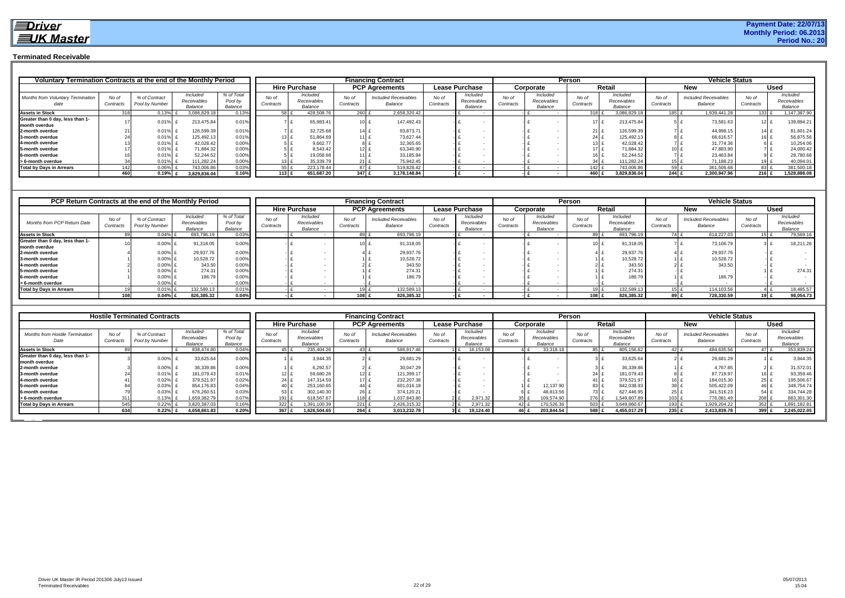### **Terminated Receivable**

| Voluntary Termination Contracts at the end of the Monthly Period |                    |                                 |                                    |                                  |                    |                                    |                    | <b>Financing Contract</b>              |                    |                                    |                    |                                    | Person             |                                    |                    | <b>Vehicle Status</b>                  |                    |                                    |
|------------------------------------------------------------------|--------------------|---------------------------------|------------------------------------|----------------------------------|--------------------|------------------------------------|--------------------|----------------------------------------|--------------------|------------------------------------|--------------------|------------------------------------|--------------------|------------------------------------|--------------------|----------------------------------------|--------------------|------------------------------------|
|                                                                  |                    |                                 |                                    |                                  |                    | <b>Hire Purchase</b>               |                    | <b>PCP Agreements</b>                  |                    | <b>Lease Purchase</b>              |                    | Corporate                          |                    | Retail                             |                    | <b>New</b>                             |                    | Used                               |
| <b>Months from Voluntary Termination</b>                         | No of<br>Contracts | % of Contract<br>Pool by Number | Included<br>Receivables<br>Balance | % of Total<br>Pool by<br>Balance | No of<br>Contracts | Included<br>Receivables<br>Balance | No of<br>Contracts | <b>Included Receivables</b><br>Balance | No of<br>Contracts | Included<br>Receivables<br>Balance | No of<br>Contracts | Included<br>Receivables<br>Balance | No of<br>Contracts | Included<br>Receivables<br>Balance | No of<br>Contracts | <b>Included Receivables</b><br>Balance | No of<br>Contracts | Included<br>Receivables<br>Balance |
| <b>Assets in Stock</b>                                           |                    | 0.13%                           | 3.086.829.18                       | 0.13%                            |                    | 428.508.76                         | <b>260</b>         | 2.658.320.42                           |                    |                                    |                    |                                    | $318 \pm$          | 3.086.829.18                       |                    | 1,939,441.28                           | $133 \text{ F}$    | 1,147,387.90                       |
| Greater than 0 day, less than 1-<br>month overdue                |                    | 0.019                           | 213,475.84                         | 0.01%                            |                    | 65,983.41                          | $101$ .            | 147,492.43                             |                    |                                    |                    |                                    |                    | 213,475.84                         |                    | 73,581.63                              | 12 L               | 139,894.21                         |
| 2-month overdue                                                  |                    | 0.019                           | 126,599.39                         | 0.01%                            |                    | 32,725.68                          | 14                 | 93,873.71                              |                    |                                    |                    |                                    | ؛ 211              | 126,599.39                         |                    | 44,998.15                              | ؛ 141              | 81,601.24                          |
| 3-month overdue                                                  |                    | 0.01%                           | 125.492.13                         | 0.01%                            | 13 E               | 51,864.69                          | 1111               | 73,627.44                              |                    |                                    |                    |                                    | 24                 | 125,492.13                         |                    | 68,616.57                              | 16 B               | 56,875.56                          |
| 4-month overdue                                                  |                    | 0.01%                           | 42,028.42                          | 0.00%                            |                    | 9.662.77                           |                    | 32,365.65                              |                    |                                    |                    |                                    | 13 <sup>1</sup>    | 42,028.42                          |                    | 31,774.36                              |                    | 10,254.06                          |
| 5-month overdue                                                  |                    | 0.01%                           | 71.884.32                          | 0.00%                            |                    | 8.543.42                           | 12.                | 63,340.90                              |                    |                                    |                    |                                    | 17 <sup>1</sup>    | 71.884.32                          |                    | 47,883.90                              |                    | 24,000.42                          |
| 6-month overdue                                                  |                    | 0.01%                           | 52.244.52                          | 0.00%                            |                    | 19,058.68                          | 11                 | 33,185.84                              |                    |                                    |                    |                                    |                    | 52,244.52                          |                    | 23,463.84                              |                    | 28,780.68                          |
| > 6-month overdue                                                |                    | 0.01%                           | 111.282.24                         | 0.00%                            |                    | 35.339.79                          | $21 \;$ $\;$       | 75.942.45                              |                    |                                    |                    |                                    |                    | 111.282.24                         |                    | 71,188.23                              |                    | 40,094.01                          |
| <b>Total by Days in Arrears</b>                                  | 1421               | 0.06%                           | 743,006.86                         | 0.03%                            | $55$ f             | 223.178.44                         | 87 £               | 519,828.42                             |                    |                                    |                    |                                    | 142                | 743,006.86                         |                    | 361,506.68<br>59 £                     | 83 £               | 381,500.18                         |
|                                                                  | 460 I              | $0.19\%$ £                      | 3,829,836.04                       | 0.16%                            | $113$ £            | 651,687.20                         | 347 $E$            | 3,178,148.84                           |                    |                                    |                    |                                    | 460 I              | 3,829,836.04                       | 244 E              | 2,300,947.96                           | 216 E              | 1,528,888.08                       |

| PCP Return Contracts at the end of the Monthly Period |                   |                                 |                                    |                                  |                    |                                    |                    | <b>Financing Contract</b>              |                    |                                    |                    |                                    | Person             |                                    |                    | <b>Vehicle Status</b>                  |                    |                                    |
|-------------------------------------------------------|-------------------|---------------------------------|------------------------------------|----------------------------------|--------------------|------------------------------------|--------------------|----------------------------------------|--------------------|------------------------------------|--------------------|------------------------------------|--------------------|------------------------------------|--------------------|----------------------------------------|--------------------|------------------------------------|
|                                                       |                   |                                 |                                    |                                  |                    | <b>Hire Purchase</b>               |                    | <b>PCP Agreements</b>                  |                    | Lease Purchase                     |                    | Corporate                          |                    | Retail                             |                    | <b>New</b>                             |                    | <b>Used</b>                        |
| Months from PCP Return Date                           | No o<br>Contracts | % of Contract<br>Pool by Number | Included<br>Receivables<br>Balance | % of Total<br>Pool by<br>Balance | No of<br>Contracts | Included<br>Receivables<br>Balance | No of<br>Contracts | <b>Included Receivables</b><br>Balance | No of<br>Contracts | Included<br>Receivables<br>Balance | No of<br>Contracts | Included<br>Receivables<br>Balance | No of<br>Contracts | Included<br>Receivables<br>Balance | No of<br>Contracts | <b>Included Receivables</b><br>Balance | No of<br>Contracts | Included<br>Receivables<br>Balance |
| <b>Assets in Stock</b>                                |                   | 0.04%                           | 693,796.19                         | $0.03\%$                         |                    |                                    |                    | 693,796.19                             |                    |                                    |                    |                                    | 89 £               | 693,796.19                         | 74 £               | 614,227.03                             |                    | 79,569.16                          |
| Greater than 0 day, less than 1-<br>month overdue     |                   | 0.00%                           | 91,318.05                          | 0.00%                            |                    |                                    |                    | 91,318.05                              |                    |                                    |                    |                                    | 10 E               | 91,318.05                          |                    | 73,106.79                              |                    | 18,211.26                          |
| 2-month overdue                                       |                   | $0.00\%$                        | 29,937.76                          | $0.00\%$                         |                    |                                    |                    | 29,937.76                              |                    |                                    |                    |                                    |                    | 29,937.76                          |                    | 29,937.76                              |                    |                                    |
| 3-month overdue                                       |                   | $0.00\%$                        | 10,528.72                          | 0.00%                            |                    |                                    |                    | 10,528.72                              |                    |                                    |                    |                                    |                    | 10,528.72                          |                    | 10,528.72                              |                    |                                    |
| 4-month overdue                                       |                   | $0.00\%$                        | 343.50                             | 0.00%                            |                    |                                    |                    | 343.50                                 |                    |                                    |                    |                                    |                    | 343.50                             |                    | 343.50                                 |                    |                                    |
| 5-month overdue                                       |                   | 0.00%                           | 274.31                             | 0.00%                            |                    |                                    |                    | 274.31                                 |                    |                                    |                    |                                    |                    | 274.31                             |                    |                                        |                    | 274.31                             |
| 6-month overdue                                       |                   | $0.00\%$                        | 186.79                             | 0.00%                            |                    |                                    |                    | 186.79                                 |                    |                                    |                    |                                    |                    | 186.79                             |                    | 186.79                                 |                    |                                    |
| > 6-month overdue                                     |                   | $0.00\%$                        |                                    | 0.00%                            |                    |                                    |                    |                                        |                    |                                    |                    |                                    |                    |                                    |                    |                                        |                    |                                    |
| <b>Total by Days in Arrears</b>                       |                   | $0.01\%$                        | 132.589.13                         | 0.01%                            |                    |                                    |                    | 132.589.13                             |                    |                                    |                    |                                    | $19$ f             | 132,589.13                         | 15 I £             | 114,103.56                             |                    | 18,485.57                          |
|                                                       |                   | $0.04\%$                        | 826.385.32                         | 0.04%                            |                    |                                    | 108I               | 826,385.32                             |                    |                                    |                    |                                    | 108 L              | 826,385.32                         | 89 E               | 728,330.59                             | 19 I £             | 98,054.73                          |

|                                                   |                    | <b>Hostile Terminated Contracts</b> |                                    |                                  |                    |                                    |                    | <b>Financing Contract</b>              |                    |                                    |                    |                                    | <b>Person</b>      |                                    |                    | <b>Vehicle Status</b>                  |                    |                                                  |
|---------------------------------------------------|--------------------|-------------------------------------|------------------------------------|----------------------------------|--------------------|------------------------------------|--------------------|----------------------------------------|--------------------|------------------------------------|--------------------|------------------------------------|--------------------|------------------------------------|--------------------|----------------------------------------|--------------------|--------------------------------------------------|
|                                                   |                    |                                     |                                    |                                  |                    | <b>Hire Purchase</b>               |                    | <b>PCP Agreements</b>                  |                    | <b>Lease Purchase</b>              |                    | Corporate                          |                    | Retail                             |                    | <b>New</b>                             |                    | <b>Used</b>                                      |
| <b>Months from Hostile Termination</b><br>Date    | No of<br>Contracts | % of Contract<br>Pool by Number     | Included<br>Receivables<br>Balance | % of Total<br>Pool by<br>Balance | No of<br>Contracts | Included<br>Receivables<br>Balance | No of<br>Contracts | <b>Included Receivables</b><br>Balance | No of<br>Contracts | Included<br>Receivables<br>Balance | No of<br>Contracts | Included<br>Receivables<br>Balance | No oi<br>Contracts | Included<br>Receivables<br>Balance | No of<br>Contracts | <b>Included Receivables</b><br>Balance | No of<br>Contracts | <i><b>Included</b></i><br>Receivables<br>Balance |
| <b>Assets in Stock</b>                            |                    |                                     | 838.474.80                         | 0.04%                            | 45 L               | 235.404.26                         | $43$ f             | 586,917.46                             |                    | 6,153.0                            |                    | 33,318.18                          | 85 F               | 805,156.62                         |                    | 484,635.56                             |                    | 353,839.24                                       |
| Greater than 0 day, less than 1-<br>month overdue |                    | 0.00%                               | 33,625.64                          | 0.00%                            |                    | 3,944.35                           |                    | 29,681.29                              |                    |                                    |                    |                                    |                    | 33,625.64                          |                    | 29,681.29                              |                    | 3,944.35                                         |
| 2-month overdue                                   |                    | 0.00%                               | 36,339.8                           | 0.00%                            |                    | 6,292.57                           |                    | 30,047.29                              |                    |                                    |                    |                                    |                    | 36,339.86                          |                    | 4,767.85                               | $2$   £            | 31,572.01                                        |
| 3-month overdue                                   |                    | 0.01%                               | 181,079.43                         | 0.01%                            | 12 L I             | 59,680.26                          | 12E                | 121,399.17                             |                    |                                    |                    |                                    | 24                 | 181,079.43                         |                    | 87,719.97                              |                    | 93,359.46                                        |
| 4-month overdue                                   |                    | 0.02%                               | 379,521.97                         | 0.02%                            | 24 <sup>1</sup>    | 147,314.59                         | 17E                | 232,207.38                             |                    |                                    |                    |                                    | 41                 | 379,521.97                         |                    | 184,015.30                             | 25 E               | 195,506.67                                       |
| 5-month overdue                                   |                    | 0.03%                               | 854,176.83                         | 0.04%                            | 40 <sup>1</sup>    | 253,160.65                         | 44                 | 601,016.18                             |                    |                                    |                    | 12,137.90                          | 83                 | 842,038.93                         |                    | 505,422.09                             |                    | 348,754.74                                       |
| 6-month overdue                                   |                    | 0.03%                               | 676,260.51                         | 0.03%                            | 53                 | 302,140.30                         | $26 \text{ f}$     | 374,120.21                             |                    |                                    |                    | 48,813.56                          | 73                 | 627.446.95                         | 25                 | 341,516.23                             | 54:                | 334,744.28                                       |
| > 6-month overdue                                 |                    | 0.13%                               | .659,382.79                        | 0.07%                            | 191 $\pm$          | 618,567.67                         | 118 £              | 1,037,843.80                           |                    | 2.971.32                           |                    | 09,574.90                          | 276                | 1,549,807.89                       | $103 \text{ E}$    | 776,081.49                             | $208 \text{ f}$    | 883,301.30                                       |
| <b>Total by Days in Arrears</b>                   | 545                | 0.22%                               | 3.820,387.03                       | 0.16%                            | 322 £              | 1,391,100.39                       | 221E               | 2,426,315.32                           |                    | 2.971.32                           |                    | 70,526.36                          | 503                | 8,649,860.67                       | 193 £              | 1,929,204.22                           | 352                | 1,891,182.81                                     |
|                                                   | 634                | 0.22%                               | 4,658,861.83                       | 0.20%                            | 367 E              | 1,626,504.65                       | $264 \text{ E}$    | 3,013,232.78                           |                    | 19,124.40<br>3 I £                 | 46 E               | 203,844.54                         | 588 £              | 4,455,017.29                       | $235$ £            | 2,413,839.78                           | 399 E              | 2,245,022.05                                     |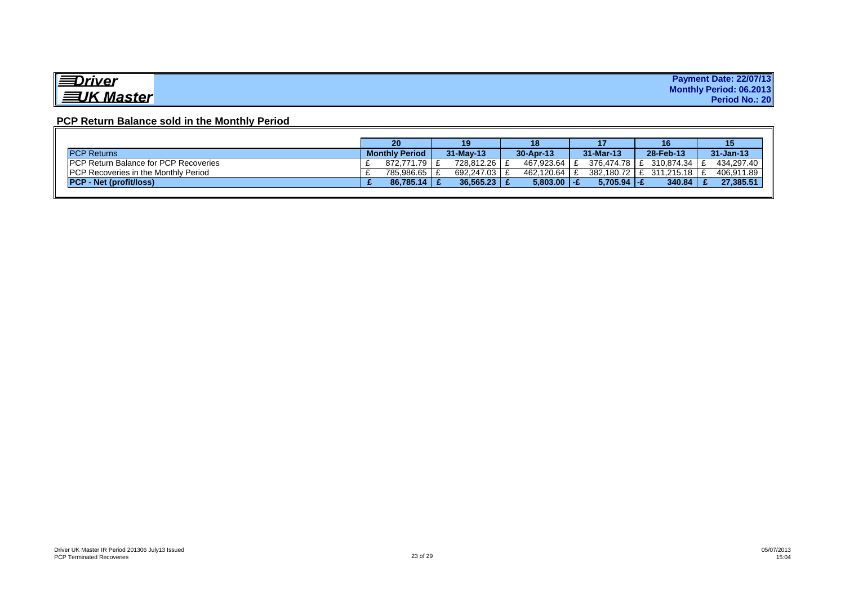| <i><u><del>≡D</del>river</u></i> | <b>Payment Date: 22/07/13</b> |
|----------------------------------|-------------------------------|
|                                  | Monthly Period: 06.2013       |
| <b>EUK Master</b>                | Period No.: 20                |

### **PCP Return Balance sold in the Monthly Period**

|                                               | 20                    | 19           | 18         |                        | 16           |               |
|-----------------------------------------------|-----------------------|--------------|------------|------------------------|--------------|---------------|
| <b>PCP Returns</b>                            | <b>Monthly Period</b> | $31-Mav-13$  | 30-Apr-13  | $31-Mar-13$            | 28-Feb-13    | $31 - Jan-13$ |
| <b>IPCP Return Balance for PCP Recoveries</b> | 872.771.79            | 728.812.26   | 467.923.64 | 376.474.78 E           | 310.874.34 l | 434.297.40    |
| <b>IPCP Recoveries in the Monthly Period</b>  | 785.986.65            | 692.247.03 L | 462.120.64 | $382.180.72 \text{ E}$ | 311.215.18 E | 406.911.89    |
| <b>PCP - Net (profit/loss)</b>                | 86.785.14             | 36.565.23    | 5.803.00   | $5.705.94$ $\pm$       | 340.84       | 27,385.51     |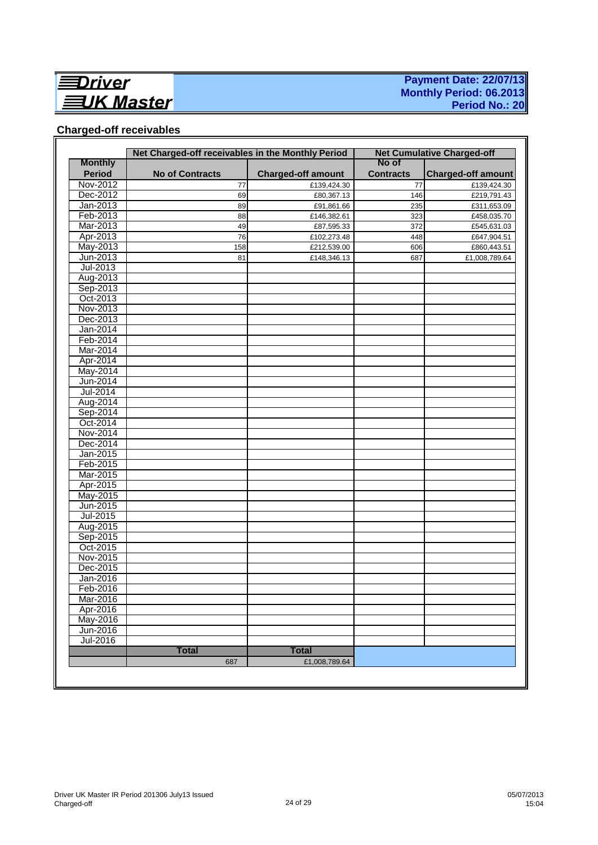

### **Payment Date: 22/07/13 Monthly Period: 06.2013 Period No.: 20**

## **Charged-off receivables**

|                | Net Charged-off receivables in the Monthly Period |                           | No of            | <b>Net Cumulative Charged-off</b> |
|----------------|---------------------------------------------------|---------------------------|------------------|-----------------------------------|
| <b>Monthly</b> |                                                   |                           |                  |                                   |
| <b>Period</b>  | <b>No of Contracts</b>                            | <b>Charged-off amount</b> | <b>Contracts</b> | <b>Charged-off amount</b>         |
| Nov-2012       | 77                                                | £139,424.30               | 77               | £139,424.30                       |
| Dec-2012       | 69                                                | £80,367.13                | 146              | £219,791.43                       |
| Jan-2013       | 89                                                | £91,861.66                | 235              | £311,653.09                       |
| Feb-2013       | 88                                                | £146,382.61               | 323              | £458,035.70                       |
| Mar-2013       | 49                                                | £87,595.33                | 372              | £545,631.03                       |
| Apr-2013       | 76                                                | £102,273.48               | 448              | £647,904.51                       |
| May-2013       | 158                                               | £212,539.00               | 606              | £860,443.51                       |
| Jun-2013       | 81                                                | £148,346.13               | 687              | £1,008,789.64                     |
| Jul-2013       |                                                   |                           |                  |                                   |
| Aug-2013       |                                                   |                           |                  |                                   |
| Sep-2013       |                                                   |                           |                  |                                   |
| Oct-2013       |                                                   |                           |                  |                                   |
| Nov-2013       |                                                   |                           |                  |                                   |
| Dec-2013       |                                                   |                           |                  |                                   |
| Jan-2014       |                                                   |                           |                  |                                   |
| Feb-2014       |                                                   |                           |                  |                                   |
| Mar-2014       |                                                   |                           |                  |                                   |
| Apr-2014       |                                                   |                           |                  |                                   |
| May-2014       |                                                   |                           |                  |                                   |
| Jun-2014       |                                                   |                           |                  |                                   |
| Jul-2014       |                                                   |                           |                  |                                   |
| Aug-2014       |                                                   |                           |                  |                                   |
| Sep-2014       |                                                   |                           |                  |                                   |
| Oct-2014       |                                                   |                           |                  |                                   |
| Nov-2014       |                                                   |                           |                  |                                   |
| Dec-2014       |                                                   |                           |                  |                                   |
| Jan-2015       |                                                   |                           |                  |                                   |
| Feb-2015       |                                                   |                           |                  |                                   |
| Mar-2015       |                                                   |                           |                  |                                   |
| Apr-2015       |                                                   |                           |                  |                                   |
| May-2015       |                                                   |                           |                  |                                   |
| Jun-2015       |                                                   |                           |                  |                                   |
| Jul-2015       |                                                   |                           |                  |                                   |
| Aug-2015       |                                                   |                           |                  |                                   |
| Sep-2015       |                                                   |                           |                  |                                   |
| Oct-2015       |                                                   |                           |                  |                                   |
| Nov-2015       |                                                   |                           |                  |                                   |
| Dec-2015       |                                                   |                           |                  |                                   |
| Jan-2016       |                                                   |                           |                  |                                   |
| Feb-2016       |                                                   |                           |                  |                                   |
| Mar-2016       |                                                   |                           |                  |                                   |
| Apr-2016       |                                                   |                           |                  |                                   |
| May-2016       |                                                   |                           |                  |                                   |
| Jun-2016       |                                                   |                           |                  |                                   |
| Jul-2016       |                                                   |                           |                  |                                   |
|                | <b>Total</b>                                      | <b>Total</b>              |                  |                                   |
|                | 687                                               | £1,008,789.64             |                  |                                   |
|                |                                                   |                           |                  |                                   |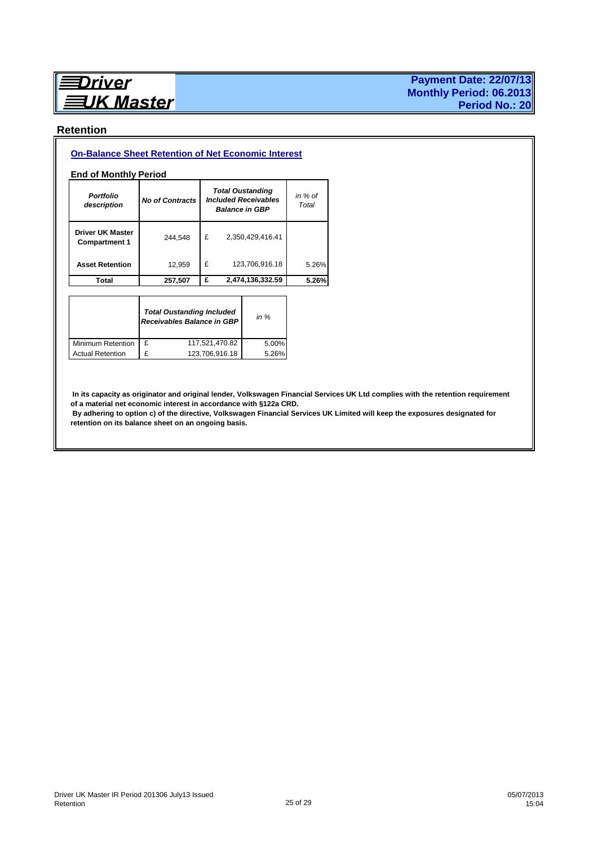# **Driver UK Master**

#### **Payment Date: 22/07/13 Monthly Period: 06.2013 Period No.: 20**

#### **Retention**

#### **On-Balance Sheet Retention of Net Economic Interest**

#### **End of Monthly Period**

| <b>Portfolio</b><br>description                 | <b>No of Contracts</b> |   | <b>Total Oustanding</b><br><b>Included Receivables</b><br><b>Balance in GBP</b> | in $%$ of<br>Total |
|-------------------------------------------------|------------------------|---|---------------------------------------------------------------------------------|--------------------|
| <b>Driver UK Master</b><br><b>Compartment 1</b> | 244,548                | £ | 2,350,429,416.41                                                                |                    |
| <b>Asset Retention</b>                          | 12,959                 | £ | 123,706,916.18                                                                  | 5.26%              |
| Total                                           | 257,507                | £ | 2,474,136,332.59                                                                | 5.26%              |

|                         |   | <b>Total Oustanding Included</b><br>Receivables Balance in GBP | in $%$ |
|-------------------------|---|----------------------------------------------------------------|--------|
| Minimum Retention       | £ | 117,521,470.82                                                 | 5.00%  |
| <b>Actual Retention</b> | £ | 123.706.916.18                                                 | 5.26%  |

 **In its capacity as originator and original lender, Volkswagen Financial Services UK Ltd complies with the retention requirement of a material net economic interest in accordance with §122a CRD.** 

 **By adhering to option c) of the directive, Volkswagen Financial Services UK Limited will keep the exposures designated for retention on its balance sheet on an ongoing basis.**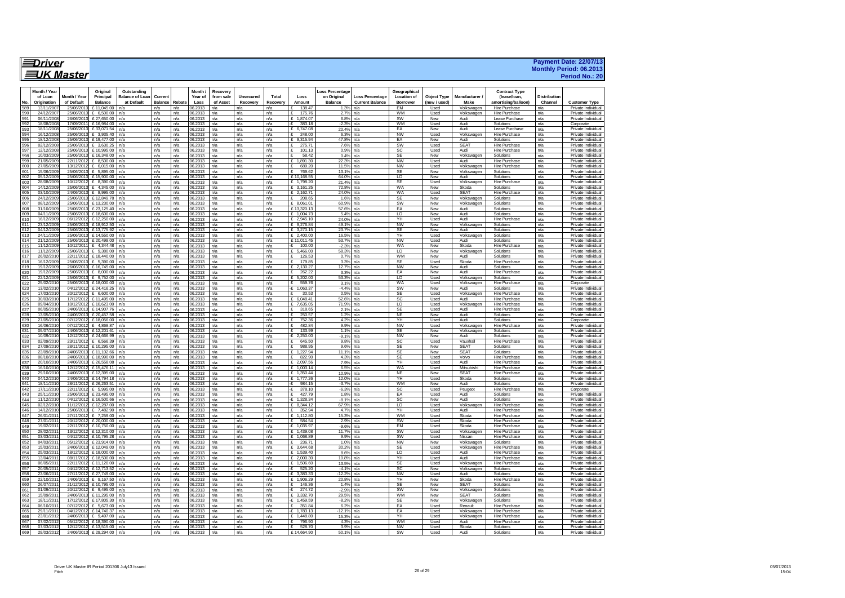| ≣Driver           | <b>Payment Date: 22/07/13</b>  |
|-------------------|--------------------------------|
|                   | <b>Monthly Period: 06.2013</b> |
| <b>三JK Master</b> | Period No.: 20                 |

|            | Month / Yea            |                        | Original                 | Outstanding            |                |            | Month /           | Recovery   |            |            |                             | Loss Percentage |                        | Geographical           |                    |                    | <b>Contract Type</b>                         |                     |                                          |
|------------|------------------------|------------------------|--------------------------|------------------------|----------------|------------|-------------------|------------|------------|------------|-----------------------------|-----------------|------------------------|------------------------|--------------------|--------------------|----------------------------------------------|---------------------|------------------------------------------|
|            | of Loan                | Month / Year           | Principal                | <b>Balance of Loan</b> | Current        |            | Year of           | from sale  | Unsecured  | Total      | Loss                        | on Original     | <b>Loss Percentage</b> | <b>Location of</b>     | <b>Object Type</b> | Manufacturer       | (lease/loan.                                 | <b>Distribution</b> |                                          |
| No         | Origination            | of Default             | <b>Balance</b>           | at Default             | <b>Balance</b> | Rebate     | Loss              | of Asset   | Recovery   | Recovery   | Amount                      | Balance         | <b>Current Balance</b> | <b>Borrower</b>        | (new / used)       | Make               | amortising/balloon)                          | Channel             | Customer Type                            |
| 589        | 13/11/200              | 25/06/201              | £11,045.00               | n/a                    | n/a            | n/a        | 06.2013           | n/a        | n/a        | n/a        | 138.47                      | $1.3%$ n/a      |                        | <b>FM</b>              | Used               | Volkswagen         | <b>Hire Purchase</b>                         | n/a                 | Private Individual                       |
| 590        | 24/12/200              | 25/06/201              | £ 6,500,00               | n/a                    | n/a            | n/a        | 16.2013           | n/a        | n/a        | n/a        | 175.76<br>£                 | 2.7%            | n/a                    | <b>WM</b>              | Used               | Volkswagen         | Hire Purchase                                | n/a                 | Private Individual                       |
| 59         | 06/11/200              | 26/06/20               | £27,650.00               | n/a                    | n/a            | n/a        | 6.2013            | n/a        | n/a        | n/a        | £ 1.874.07                  | 6.8%            | n/a                    | SW                     | New                | Audi               | Lease Purchase                               | n/a                 | Private Individual                       |
| 592        | 18/08/200              | 17/09/201              | £16,984.00               | n/a                    | n/a            | n/a        | 06.2013           | n/a        | n/a        | n/a        | 383.18<br>٠F                | $-2.3%$         | n/a                    | <b>WM</b>              | Used               | Audi               | Solutions                                    | n/a                 | Corporate                                |
| 593        | 18/11/200              | 25/06/20               | £33.071.54               | n/a                    | n/a            | n/a        | 06.2013           | n/a        | n/a        | n/a        | £ 6.747.08                  | 20.4% INa       |                        | EA                     | New                | Audi               | Lease Purchase                               | n/a                 | Private Individual                       |
| 594        | 16/12/200              | 25/06/201              | £ 3.935.40               | n/a                    | n/a            | n/a        | 06.2013           | n/a        | n/a        | n/a        | £<br>248.00                 | 6.3%            | n/a                    | <b>NW</b>              | Used               | Volkswagen         | <b>Hire Purchase</b>                         | n/a                 | Private Individual                       |
| 595        | 18/12/200              | 25/06/201              | £19,477.00               | n/a                    | n/a            | n/a        | 6.2013            | n/a        | n/a        | n/a        | 9.315.94<br>£               | 47.8%           | n/a                    | EA                     | New                | Audi               | Solutions                                    | n/a                 | Private Individual                       |
| 596        | 02/12/2008             | 25/06/201              | £ 3.630.25               | n/a                    | n/a            | n/a        | 06.2013           | n/a        | n/a        | n/a        | 275.71<br>$\mathbf{f}$      | 7.6%            | n/a                    | SW                     | Used               | <b>SEAT</b>        | <b>Hire Purchase</b>                         | n/a                 | Private Individual                       |
| 597        | 12/12/200              | 25/06/20               | £10,995.00               | n/a                    | n/a            | n/a        | 06.2013           | n/a        | n/a        | n/a        | £<br>101.13                 | 0.9%            | n/a                    | SC                     | Used               | Audi               | <b>Hire Purchase</b>                         | n/a                 | Private Individual                       |
| 598        | 10/03/200              | 25/06/201              | £16,348.00               | n/a                    | n/a            | n/a        | 06.2013           | n/a        | n/a        | n/a        | 58.42<br>$\mathcal{F}$      | 0.4%            | n/a                    | <b>SE</b>              | New                | Volkswagen         | Solutions                                    | n/a                 | Private Individual                       |
| 599        | 21/05/200              | 22/11/201              | \$8,500.00               | n/a                    | n/a            | n/a        | 6.2013            | n/a        | n/a        | n/a        | £ 1.891.30                  | 22.3%           | n/a                    | <b>NW</b>              | Used               | Audi               | Hire Purchase                                | n/a                 | Private Individual                       |
| 600        | 27/05/200              | 13/12/201              | £ 6.015.00               | n/a                    | n/a            | n/a        | 6.2013            | n/a        | n/a        | n/a        | 689.20                      | 11.5%           | n/a                    | <b>NW</b>              | Used               | Volkswagen         | Hire Purchase                                | n/a                 | Private Individual                       |
| 601        | 15/06/200              | 25/06/201              | £ 5.895.00               | n/a                    | n/a            | n/a        | 06.2013           | n/a        | n/a        | n/a        | ç<br>769.62                 | 13.1%           | n/a                    | <b>SE</b>              | New                | Volkswagen         | Solutions                                    | n/a                 | Private Individual                       |
| 602        | 05/12/200              | 25/06/20               | £15,900.00               | n/a                    | n/a            | n/a        | 06.2013           | n/a        | n/a        | n/a        | £10.168.55                  | 64.0%           | n/a                    | <b>LO</b>              | New                | Audi               | Solutions                                    | n/a                 | Private Individual                       |
| 603        | 28/08/200              | 10/12/201              | £ 8.390.00               | n/a                    | n/a            | n/a        | 16.2013           | n/a        | n/a        | n/a        | £ 1.798.20                  | 21.4%           | n/a                    | SF                     | Used               | Volkswagen         | Hire Purchase                                | n/a                 | Private Individual                       |
| 604        | 14/12/200              | 25/06/20               | £ 4.345.00               | n/a                    | n/a            | n/a        | 6.2013            | n/a        | n/a        | n/a        | £ 3.161.25                  | 72.8%           | n/a                    | <b>WA</b>              | New                | Skoda              | Solutions                                    | n/a                 | Private Individual                       |
| 605        | 03/10/2009             | 24/06/2013             | £ 8,995.00               | n/a                    | n/a            | n/a        | 06.2013           | n/a        | n/a        | n/a        | £ 2.162.71                  | $24.0\%$ n/a    |                        | <b>WA</b>              | Used               | SFAT               | Hire Purchase                                | n/a                 | Private Individual                       |
| 606        | 24/12/200              | 25/06/20               | £12,849.78               | n/a                    | n/a            | n/a        | 06.2013           | n/a        | n/a        | n/a        | £<br>208.65                 | 1.6%            | n/a                    | <b>SE</b>              | New                | Volkswagen         | Solutions                                    | n/a                 | Private Individual                       |
| 607        | 08/12/200              | 25/06/201              | £13,230.00               | n/a                    | n/a            | n/a        | 06.2013           | n/a        | n/a        | n/a        | $£$ 8.061.0                 | 60.9%           | n/a                    | SW                     | <b>New</b>         | Volkswagen         | Solutions                                    | n/a                 | Private Individual                       |
| 608        | 31/10/200              | 25/06/20               | £ 23,125.40              | n/a                    | n/a            | n/a        | 6.2013            | n/a        | n/a        | n/a        | £13,320.13                  | 57.6%           | n/a                    | EA                     | New                | Audi               | Solutions                                    | n/a                 | Private Individual                       |
| 609        | 04/11/200              | 25/06/201              | £18,600.00               | n/a                    | n/a            | n/a        | 06.2013           | n/a        | n/a        | n/a        | £ 1,004.73                  | 5.4%            | n/a                    | $\overline{0}$         | New                | Audi               | Solutions                                    | n/a                 | Private Individual                       |
| 610        | 16/12/200              | 06/12/201              | £12,250.00               | n/a                    | n/a            | n/a        | 16.2013           | n/a        | n/a        | n/a        | $F$ 2.945.10                | 24.0%           | n/a                    | YH                     | Used               | Audi               | Hire Purchase                                | n/a                 | Private Individual                       |
| 611        | 23/12/200              | 25/06/201              | £18,912.50               | n/a                    | n/a            | n/a        | 6.2013            | n/a        | n/a        | n/a        | £ 9,276.84                  | 49.1%           | n/a                    | <b>NW</b>              | New                | Volkswagen         | Solutions                                    | n/a                 | Private Individual                       |
| 612        | 04/12/200              | 25/06/201              | £13,775.92               | n/a                    | n/a            | n/a        | 6.2013            | n/a        | n/a        | n/a        | \$3.270.15                  | 23.7%           | n/a                    | SF                     | New                | Audi               | Solutions                                    | n/a                 | Private Individual                       |
| 613        |                        | 25/06/201              | £14,550.00               | n/a                    | n/a            | n/a        | 6.2013            | n/a        | n/a        | n/a        | £ 2.400.00                  | 16.5%           | n/a                    | YH                     | Used               | Volkswagen         | Solutions                                    | n/a                 | Private Individual                       |
| 614        | 21/12/2009             | 25/06/2013             | £ 20,499.00              | n/a                    | n/a            | n/a        | 16.2013           | n/a        | n/a        | n/a        | £11.011.45                  | 53.7%           | n/a                    | <b>NW</b>              | Used               | Audi               | Solutions                                    | n/a                 | Private Individual                       |
| 615        | 11/12/200              | 10/12/201              | £ 4,344.48               | n/a                    | n/a            | n/a        | 06.2013           | n/a        | n/a        | n/a        | $-E$ 100.00                 | $-2.3%$         | n/a                    | WA                     | New                | Skoda              | Hire Purchase                                | n/a                 | Private Individual                       |
| 616        | 11/12/200              | 25/06/201              | £ 9.380.00               | n/a                    | n/a            | n/a        | 06.2013           | n/a        | n/a        | n/a        | £ $5.466.00$                | 58.3%           | n/a                    | $\overline{10}$        | New                | Volkswagen         | Solutions                                    | n/a                 | Private Individual                       |
| 617        | 26/02/201              | 22/11/20               | £18,440.00               | n/a                    | n/a            | n/a        | 6.2013            | n/a        | n/a        | n/a        | 126.                        | 0.7%            | n/a                    | <b>WM</b>              | New                | Audi               | Solutions                                    | n/a                 | Private Individual                       |
| 618        | 16/12/2009             | 25/06/201              | £ 5.390.00               | n/a                    | n/a            | n/a        | 06.2013           | n/a        | n/a        | n/a        | 179.85<br>$\mathbf{f}$      | 3.3%            | n/a                    | <b>SE</b>              | Used               | Skoda              | <b>Hire Purchase</b>                         | n/a                 | Private Individual                       |
| 619        | 19/12/200              | 26/06/20               | £16,745.00               | n/a                    | n/a            | n/a        | 06.2013           | n/a        | n/a        | n/a        | $£$ 2.130.2                 | 12.7%           | n/a                    | <b>NW</b>              | New                | Audi               | Solutions                                    | n/a                 | Private Individual                       |
| 620        | 19/12/2009             | 25/06/201              | £ 8,000.00               | n/a                    | n/a            | n/a        | 06.2013           | n/a        | n/a        | n/a        | 262.22<br>£                 | 3.3%            | n/a                    | EA                     | New                | Audi               | Hire Purchase                                | n/a                 | Private Individual                       |
| 621        | 22/12/200              | 25/06/201              | \$9.752.00               | n/a                    | n/a            | n/a        | 6.2013            | n/a        | n/a        | n/a        | $F = 5.202.00$              | 53.3%           | n/a                    | LO                     | Used               | Volkswagen         | Solutions                                    | n/a                 | Private Individual                       |
| 622        | 25/02/201              | 25/06/201              | £18,000.00               | n/a                    | n/a            | n/a        | 6.2013            | n/a        | n/a        | n/a        | 559.76                      | 3.1%            | n/a                    | WA                     | Used               | Volkswagen         | Hire Purchase                                | n/a                 | Corporate                                |
| 623        | 13/02/201              | 04/12/201              | £24416.25                | n/a                    | n/a            | n/a        | 16.2013           | n/a        | n/a        | n/a        | $-F$ 1.063.37               | $-4.4%$         | n/a                    | SW                     | New                | Audi               | Solutions                                    | n/a                 | Private Individual                       |
| 624        | 17/03/201              | 20/12/201              | £ 6,600.00               | n/a                    | n/a            | n/a        | 06.2013           | n/a        | n/a        | n/a        | £<br>30.53                  | 0.5%            | n/a                    | <b>SE</b>              | Used               | Volkswagen         | Hire Purchase                                | n/a                 | Private Individual                       |
| 625        | 30/03/201              | 17/12/201              | £11.495.00               | n/a                    | n/a            | n/a        | 16.2013           | n/a        | n/a        | n/a        | £ 6.048.41                  | 52.6%           | n/a                    | SC.                    | Used               | Audi               | Hire Purchase                                | n/a                 | Private Individual                       |
| 626        | 09/04/20               | 10/12/20               | £10.623.00               | n/a                    | n/a            | n/a        | 6.2013            | n/a        | n/a        | n/a        | £ 7.635.05                  | 71.9%           | n/a                    | LO                     | Used               | Volkswagen         | Hire Purchase                                | n/a                 | Private Individual                       |
| 627        | 06/05/201              | 24/06/201              | £14,907.76               | n/a                    | n/a            | n/a        | 6.2013            | n/a        | n/a        | n/a        | 318.65<br>£                 | 2.1%            | n/a                    | SF                     | Used               | Audi               | Hire Purchase                                | n/a                 | Private Individual                       |
| 628        | 13/05/201              | 24/06/201              | £20,457.58               | n/a                    | n/a            | n/a        | 06.2013           | n/a        | n/a        | n/a        | £<br>250.57                 | 1.2%            | n/a                    | <b>NE</b>              | New                | Audi               | Solutions                                    | n/a                 | Private Individual                       |
| 629        | 27/05/201              | 07/12/201              | £18.056.00               | n/a                    | n/a            | n/a        | 06.2013           | n/a        | n/a        | n/a        | 752.36<br>$\mathbf{f}$      | 4.2%            | n/a                    | YH                     | Used               | Audi               | Solutions                                    | n/a                 | Corporate                                |
| 630        | 16/06/20               | 07/12/20               | £ 4,868.87               | n/a                    | n/a            | n/a        | 6.2013            | n/a        | n/a        | n/a        | 482.84<br>£                 | 9.9%            | n/a                    | NW                     | Used               | Volkswagen         | <b>Hire Purchase</b>                         | n/a                 | Private Individual                       |
| 631        | 05/07/201              | 24/06/201              | £12,201.61               | n/a                    | n/a            | n/a        | 06.2013           | n/a        | n/a        | n/a        | 133.99<br>£                 | 1.1%            | n/a                    | <b>SE</b>              | New                | Volkswagen         | Solutions                                    | n/a                 | Private Individual                       |
| 632        | 10/09/201              | 12/12/201              | £24,666.99               | n/a                    | n/a            | n/a        | 06.2013           | n/a        | n/a        | n/a        | $-E$ 2,250.00               | $-9.1%$         | n/a                    | <b>NW</b>              | New                | Audi               | Solutions                                    | n/a                 | Private Individual                       |
| 633        | 02/09/201              | 23/11/201              | £ 6,566.39               | n/a                    | n/a            | n/a        | 06.2013           | n/a        | n/a        | n/a        | 645.50<br>$\mathbf{F}$      | 9.8%            | n/a                    | SC                     | Used               | Vauxhall           | Hire Purchase                                | n/a                 | Private Individual                       |
| 63/        | 27/09/20               | 28/11/201              | £10.295.00               | n/a                    | n/a            | n/a        | 6.2013            | n/a        | n/a        | n/a        | 988.95<br>$\mathbf{f}$      | 9.6%            | n/a                    | <b>SE</b>              | New                | SFAT               | Solutions                                    | n/a                 | Private Individual                       |
| 635        | 23/09/20               | 24/06/20               | £11.102.66               | n/a                    | n/a            | n/a        | 6.2013            | n/a        | n/a        | n/a        | £ 1.227.94                  | 11.1%           | n/a                    | <b>SE</b>              | New                | <b>SEAT</b>        | Solutions                                    | n/a                 | Private Individual                       |
| 636        | 08/10/201              | 24/06/201              | £18,990.00               | n/a                    | n/a            | n/a        | 16.2013           | n/a        | n/a        | n/a        | F<br>822.90                 | 4.3%            | n/a                    | <b>SE</b>              | Used               | Volvo              | Hire Purchase                                | n/a                 | Private Individual                       |
| 637        | 20/10/20               | 24/06/20               | £ 26,558.08              | n/a                    | n/a            | n/a        | 06.2013           | n/a        | n/a        | n/a        | £ 2.097.56                  | 7.9%            | n/a                    | YH                     | Used               | Audi               | Hire Purchase                                | n/a                 | Private Individual                       |
| 638        | 16/10/201              | 12/12/201              | £15.476.11               | n/a                    | n/a            | n/a        | 16.2013           | n/a        | n/a        | n/a        | $f$ 1.003.14                | 6.5%            | n/a                    | <b>WA</b>              | Used               | Mitsubishi         | Hire Purchase                                | n/a                 | Private Individual                       |
| 639        | 29/10/201              | 24/06/201              | £12,395.00               | n/a                    | n/a            | n/a        | 6.2013            | n/a        | n/a        | n/a        | £ 1.350.44                  | 10.9%           | n/a                    | <b>NE</b>              | New                | <b>SEAT</b>        | Hire Purchase                                | n/a                 | Private Individual                       |
| 640        | 04/12/201              | 24/06/2013             | £14.794.18               | n/a                    | n/a            | n/a        | 06.2013           | n/a        | n/a        | n/a        | £ 1,777.26                  | 12.0%           | n/a                    | YH                     | Used               | Skoda              | Solutions                                    | n/a                 | Private Individual                       |
| 641        | 18/11/201              | 28/11/20               | £26,263.51               | n/a                    | n/a            | n/a        | 06.2013           | n/a        | n/a        | n/a        | ٠£<br>984.15                | $-3.7%$         | n/a                    | WM                     | New                | Audi               | Solutions                                    | n/a                 | Private Individual                       |
| 642        | 17/11/201              | 22/11/201              | £ 5.995.00               | n/a                    | n/a            | n/a        | 06.2013           | n/a        | n/a        | n/a        | -£<br>378.10                | $-6.3%$         | n/a                    | <b>SC</b>              | Used               | Peugeot            | Hire Purchase                                | n/a                 | Corporate                                |
| 643        | 25/11/201              | 25/06/201              | £23,495.00               | n/a                    | n/a            | n/a        | 6.2013            | n/a        | n/a        | n/a        | £<br>427.79                 | 1.8%            | n/a                    | EA                     | Used               | Audi               | Solutions                                    | n/a                 | Private Individual                       |
| 644        | 11/12/201              | 04/12/201              | £16,500.66               | n/a                    | n/a            | n/a        | 6.2013            | n/a        | n/a        | n/a        | $-E$ 1,328.34               | $-8.1%$         | n/a                    | SC                     | New                | Audi               | Solutions                                    | n/a                 | Private Individual                       |
| 645        | 02/12/201              | 11/12/201              | £12,287.00<br>£ 7.482.90 | n/a                    | n/a            | n/a        | 06.2013           | n/a        | n/a        | n/a        | £ 8.344.12                  | 67.9%<br>4.7%   | n/a                    | LO<br>YH               | Used               | Volkswagen         | Hire Purchase                                | n/a                 | Private Individual                       |
| 646<br>647 | 14/12/201<br>26/01/201 | 25/06/201<br>27/11/201 | $F$ 7.259.00             | n/a                    | n/a            | n/a        | 06.2013<br>6.2013 | n/a        | n/a<br>n/a | n/a<br>n/a | 352.94<br>£<br>$f$ 1.112.80 | 15.3%           | n/a                    | <b>WM</b>              | Used<br>Used       | Audi<br>Skoda      | <b>Hire Purchase</b><br><b>Hire Purchase</b> | n/a<br>n/a          | Private Individual<br>Private Individual |
| 648        | 27/01/201              | 20/12/201              | £20,000.00               | n/a<br>n/a             | n/a<br>n/a     | n/a<br>n/a | 6.2013            | n/a        | n/a        | n/a        | 584.54                      | 2.9%            | n/a<br>n/a             | SW                     | Used               | Skoda              | Hire Purchase                                | n/a                 | Private Individual                       |
| 649        | 19/02/201              | 22/11/201              | £10.750.00               | n/a                    |                | n/a        |                   | n/a        |            |            | $-F$ 1.035.97               | $-9.6%$         |                        | EM                     | Used               | Skoda              | Hire Purchase                                |                     | Private Individual                       |
| 650        | 28/02/20               | 13/12/201              | £12,310.00               |                        | n/a<br>n/a     | n/a        | 06.2013           | n/a<br>n/a | n/a<br>n/a | n/a        | £ 1,439.08                  | 11.7%           | n/a                    | SW                     | Used               | Volkswagen         | Hire Purchase                                | n/a<br>n/a          | Private Individual                       |
|            | 03/03/201              | 04/12/201              | £10.795.28               | n/a                    |                |            | 06.2013           |            |            | n/a        | £ 1.068.89                  |                 | n/a                    | SW                     | Used               | Nissan             | Hire Purchase                                |                     | Private Individual                       |
| 651<br>652 | 04/03/20               | 05/12/20               | £23,914.00               | n/a                    | n/a<br>n/a     | n/a<br>n/a | 06.2013<br>6.2013 | n/a<br>n/a | n/a<br>n/a | n/a<br>n/a | £<br>236.7'                 | 9.9%<br>1.0%    | n/a                    | <b>NW</b>              | New                | Volkswagen         | Solutions                                    | n/a<br>n/a          | Private Individual                       |
|            |                        |                        |                          | n/a                    |                |            |                   |            |            |            |                             |                 | n/a                    |                        |                    |                    |                                              |                     |                                          |
| 653<br>654 | 15/03/20<br>25/03/201  | 24/06/201<br>18/12/201 | £12,049.00<br>£18,000.00 | n/a<br>n/a             | n/a<br>n/a     | n/a<br>n/a | 6.2013<br>6.2013  | n/a<br>n/a | n/a<br>n/a | n/a<br>n/a | £ 3.644.68<br>£ 1,539.40    | 30.2%<br>8.6%   | n/a<br>n/a             | <b>SE</b><br><b>LO</b> | Used<br>Used       | Volkswagen<br>Audi | Hire Purchase<br><b>Hire Purchase</b>        | n/a<br>n/a          | Private Individual<br>Private Individual |
|            |                        | 08/11/201              | £18,500.00               | n/a                    |                |            |                   |            |            |            |                             | 10.8%           |                        |                        |                    |                    |                                              |                     |                                          |
| 655<br>656 | 13/04/201<br>06/05/201 | 22/11/201              | £11.120.00               | n/a                    | n/a<br>n/a     | n/a<br>n/a | 06.2013<br>6.2013 | n/a<br>n/a | n/a<br>n/a | n/a<br>n/a | £ 2,000.30<br>£ 1,506.60    | 13.5%           | n/a<br>n/a             | YH<br><b>SE</b>        | Used<br>Used       | Audi<br>Volkswagen | Hire Purchase<br>Hire Purchase               | n/a<br>n/a          | Private Individual<br>Private Individual |
| 657        | 20/05/201              | 04/12/201              | £12,713.52               | n/a                    | n/a            | n/a        | 6.2013            | n/a        | n/a        | n/a        | 525.20                      | $-4.1%$         | n/a                    | SC                     | New                | Volkswagen         | Solutions                                    | n/a                 | Private Individual                       |
| 658        | 23/06/201              | 27/11/201              | £ 27,749.00              | n/a                    | n/a            | n/a        | 06.2013           | n/a        | n/a        | n/a        | $-E$ 3.383.33               | $-12.2%$        | n/a                    | <b>NW</b>              | Used               | Audi               | Solutions                                    | n/a                 | Private Individual                       |
| 659        | 22/10/201              | 24/06/201              | £ 9,167.50               | n/a                    | n/a            | n/a        | 06.2013           | n/a        | n/a        | n/a        | £ 1,906.29                  | 20.8%           | n/a                    | YH                     | New                | Skoda              | Hire Purchase                                | n/a                 | Private Individual                       |
| 660        | 26/07/201              | 21/12/201              | £10.795.00               | n/a                    | n/a            | n/a        | 6.2013            | n/a        | n/a        | n/a        | F<br>146.36                 | 1.4%            | n/a                    | <b>SE</b>              | New                | SFAT               | Solutions                                    | n/a                 | Private Individual                       |
| 661        |                        | 20/12/201              | £ 9.495.00               | n/a                    | n/a            | n/a        | 6.2013            | n/a        | n/a        | n/a        | 274.72                      | $-2.9%$         | n/a                    | SW                     | New                | Volkswagen         | Solutions                                    | n/a                 | Private Individual                       |
| 662        | 15/09/201              | 24/06/2013             | £11,295.00               | n/a                    | n/a            | n/a        | 06.2013           | n/a        | n/a        | n/a        | £ 3.332.70                  | 29.5%           | n/a                    | <b>WM</b>              | New                | <b>SFAT</b>        | Solutions                                    | n/a                 | Private Individual                       |
| 663        | 18/11/201              | 17/12/201              | £17,805.30               | n/a                    | n/a            | n/a        | 6.2013            | n/a        | n/a        | n/a        | $-E$ 1,459.59               | $-8.2%$         | n/a                    | SE                     | New                | Volkswagen         | Solutions                                    | n/a                 | Private Individual                       |
| 664        | 06/10/201              | 07/12/201              | \$5.673.00               | n/a                    | n/a            | n/a        | 06.2013           | n/a        | n/a        | n/a        | \$ 351.84                   | 6.2%            | n/a                    | EA                     | Used               | Renault            | <b>Hire Purchase</b>                         | n/a                 | Private Individual                       |
| 665        | 29/11/201              | 04/12/201              | £14,740.37               | n/a                    | n/a            | n/a        | 6.2013            | n/a        | n/a        | n/a        | $-E$ 1,783.13               | $-12.1%$        | n/a                    | EA                     | Used               | Volkswagen         | <b>Hire Purchase</b>                         | n/a                 | Private Individual                       |
| 666        | 23/01/20               | 24/06/201              | £ 9.497.00               | n/a                    | n/a            | n/a        | 6.2013            | n/a        | n/a        | n/a        | £ $1.448.80$                | 15.3%           | n/a                    | YH                     | Used               | Volkswagen         | Hire Purchase                                | n/a                 | Private Individual                       |
| 667        | 07/02/201              | 05/12/2012             | £18,390.00               | n/a                    | n/a            | n/a        | 06.2013           | n/a        | n/a        | n/a        | 796.90<br>£                 | 4.3%            | n/a                    | WM                     | Used               | Audi               | Hire Purchase                                | n/a                 | Private Individual                       |
| 668        | 07/03/201              |                        | 12/12/2012 £13,515.00    | n/a                    | n/a            | n/a        | 06.2013           | n/a        | n/a        | n/a        | £ 528.70                    | 3.9%            | n/a                    | <b>NW</b>              | Used               | Skoda              | Solutions                                    | n/a                 | Private Individual                       |
| 669        | 29/03/201              | 24/06/2013             | £ 29.294.00              | n/a                    | n/a            | n/a        | 06.2013           | n/a        | n/a        | n/a        | £14,664.90                  | 50.1%           | n/a                    | SW                     | Used               | Audi               | Solutions                                    | n/a                 | Private Individual                       |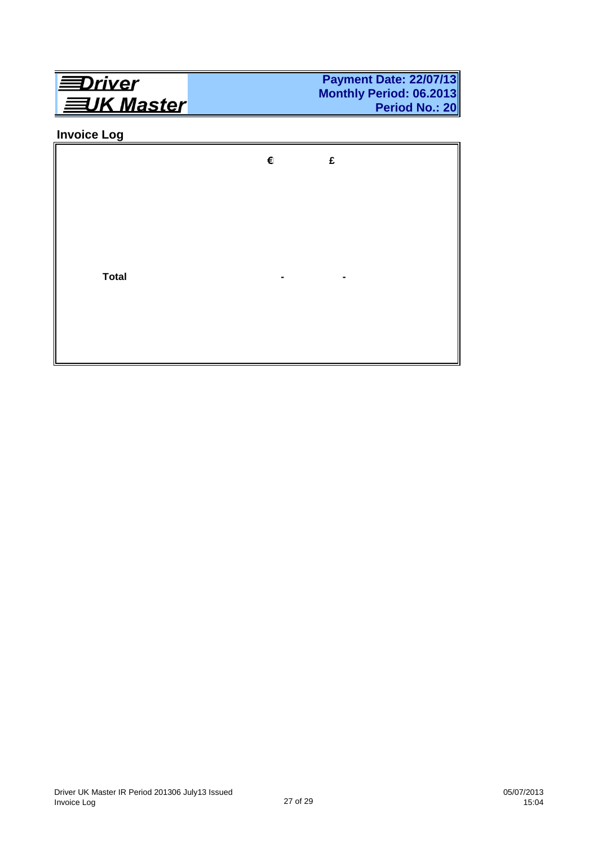

## **Invoice Log**

|              | € | £ |  |
|--------------|---|---|--|
|              |   |   |  |
|              |   |   |  |
| <b>Total</b> |   |   |  |
|              |   |   |  |
|              |   |   |  |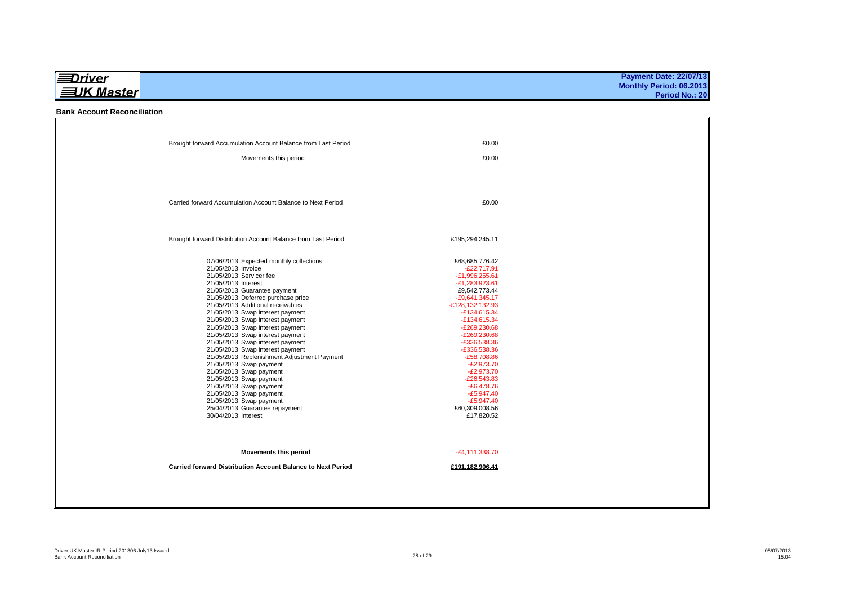|                   | <b>Payment Date: 22/07/13</b> |
|-------------------|-------------------------------|
|                   | Monthly Period: 06.2013       |
| <b>三UK Master</b> | Period No.: 20                |
|                   |                               |

#### **Bank Account Reconciliation**

| Brought forward Accumulation Account Balance from Last Period        | £0.00                            |  |
|----------------------------------------------------------------------|----------------------------------|--|
| Movements this period                                                | £0.00                            |  |
|                                                                      |                                  |  |
|                                                                      |                                  |  |
| Carried forward Accumulation Account Balance to Next Period          | £0.00                            |  |
|                                                                      |                                  |  |
|                                                                      |                                  |  |
| Brought forward Distribution Account Balance from Last Period        | £195,294,245.11                  |  |
|                                                                      |                                  |  |
| 07/06/2013 Expected monthly collections<br>21/05/2013 Invoice        | £68,685,776.42<br>$-E22.717.91$  |  |
| 21/05/2013 Servicer fee                                              | -£1,996,255.61                   |  |
| 21/05/2013 Interest                                                  | $-E1.283.923.61$                 |  |
| 21/05/2013 Guarantee payment                                         | £9,542,773.44                    |  |
| 21/05/2013 Deferred purchase price                                   | $-E9,641,345.17$                 |  |
| 21/05/2013 Additional receivables                                    | -£128,132,132.93                 |  |
| 21/05/2013 Swap interest payment                                     | $-E134,615.34$                   |  |
| 21/05/2013 Swap interest payment<br>21/05/2013 Swap interest payment | $-E134,615.34$<br>$-E269,230.68$ |  |
| 21/05/2013 Swap interest payment                                     | $-E269,230.68$                   |  |
| 21/05/2013 Swap interest payment                                     | $-E336,538.36$                   |  |
| 21/05/2013 Swap interest payment                                     | $-£336,538.36$                   |  |
| 21/05/2013 Replenishment Adjustment Payment                          | $-E58,708.86$                    |  |
| 21/05/2013 Swap payment                                              | $-E2,973.70$                     |  |
| 21/05/2013 Swap payment<br>21/05/2013 Swap payment                   | $-E2,973.70$<br>$-E26.543.83$    |  |
| 21/05/2013 Swap payment                                              | $-E6,478.76$                     |  |
| 21/05/2013 Swap payment                                              | $-E5,947.40$                     |  |
| 21/05/2013 Swap payment                                              | $-E5,947.40$                     |  |
| 25/04/2013 Guarantee repayment                                       | £60,309,008.56                   |  |
| 30/04/2013 Interest                                                  | £17,820.52                       |  |
|                                                                      |                                  |  |
| Movements this period                                                | $-E4, 111, 338.70$               |  |
| Carried forward Distribution Account Balance to Next Period          | £191,182,906.41                  |  |
|                                                                      |                                  |  |
|                                                                      |                                  |  |
|                                                                      |                                  |  |